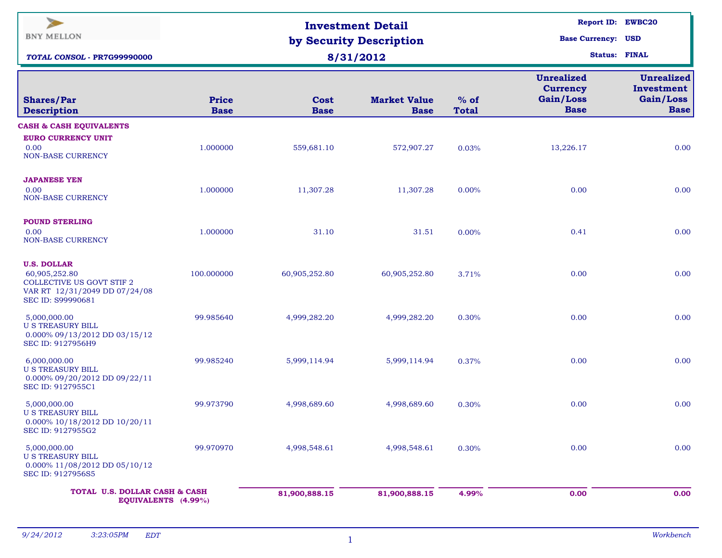| $\overline{\phantom{a}}$<br><b>BNY MELLON</b><br>TOTAL CONSOL - PR7G99990000                                           |                             | <b>Investment Detail</b><br>by Security Description<br>8/31/2012 | Report ID: EWBC20<br><b>Base Currency: USD</b><br><b>Status: FINAL</b> |                        |                                                                  |                                                      |
|------------------------------------------------------------------------------------------------------------------------|-----------------------------|------------------------------------------------------------------|------------------------------------------------------------------------|------------------------|------------------------------------------------------------------|------------------------------------------------------|
| <b>Shares/Par</b><br><b>Description</b>                                                                                | <b>Price</b><br><b>Base</b> | Cost<br><b>Base</b>                                              | <b>Market Value</b><br><b>Base</b>                                     | $%$ of<br><b>Total</b> | <b>Unrealized</b><br><b>Currency</b><br>Gain/Loss<br><b>Base</b> | Unrealized<br>Investment<br>Gain/Loss<br><b>Base</b> |
| <b>CASH &amp; CASH EQUIVALENTS</b><br><b>EURO CURRENCY UNIT</b><br>0.00<br>NON-BASE CURRENCY                           | 1.000000                    | 559,681.10                                                       | 572,907.27                                                             | 0.03%                  | 13,226.17                                                        | 0.00                                                 |
| <b>JAPANESE YEN</b><br>0.00<br><b>NON-BASE CURRENCY</b>                                                                | 1.000000                    | 11,307.28                                                        | 11,307.28                                                              | 0.00%                  | 0.00                                                             | 0.00                                                 |
| <b>POUND STERLING</b><br>0.00<br><b>NON-BASE CURRENCY</b>                                                              | 1.000000                    | 31.10                                                            | 31.51                                                                  | 0.00%                  | 0.41                                                             | 0.00                                                 |
| <b>U.S. DOLLAR</b><br>60,905,252.80<br>COLLECTIVE US GOVT STIF 2<br>VAR RT 12/31/2049 DD 07/24/08<br>SEC ID: S99990681 | 100.000000                  | 60,905,252.80                                                    | 60,905,252.80                                                          | 3.71%                  | 0.00                                                             | 0.00                                                 |
| 5,000,000.00<br><b>U S TREASURY BILL</b><br>0.000% 09/13/2012 DD 03/15/12<br>SEC ID: 9127956H9                         | 99.985640                   | 4,999,282.20                                                     | 4,999,282.20                                                           | 0.30%                  | 0.00                                                             | 0.00                                                 |
| 6,000,000.00<br><b>U S TREASURY BILL</b><br>0.000% 09/20/2012 DD 09/22/11<br>SEC ID: 9127955C1                         | 99.985240                   | 5,999,114.94                                                     | 5,999,114.94                                                           | 0.37%                  | 0.00                                                             | 0.00                                                 |
| 5,000,000.00<br><b>U S TREASURY BILL</b><br>0.000% 10/18/2012 DD 10/20/11<br>SEC ID: 9127955G2                         | 99.973790                   | 4,998,689.60                                                     | 4,998,689.60                                                           | 0.30%                  | 0.00                                                             | 0.00                                                 |
| 5,000,000.00<br><b>U S TREASURY BILL</b><br>0.000% 11/08/2012 DD 05/10/12<br>SEC ID: 9127956S5                         | 99.970970                   | 4,998,548.61                                                     | 4,998,548.61                                                           | 0.30%                  | 0.00                                                             | 0.00                                                 |
| TOTAL U.S. DOLLAR CASH & CASH<br>EQUIVALENTS (4.99%)                                                                   |                             | 81,900,888.15                                                    | 81,900,888.15                                                          | 4.99%                  | 0.00                                                             | 0.00                                                 |

1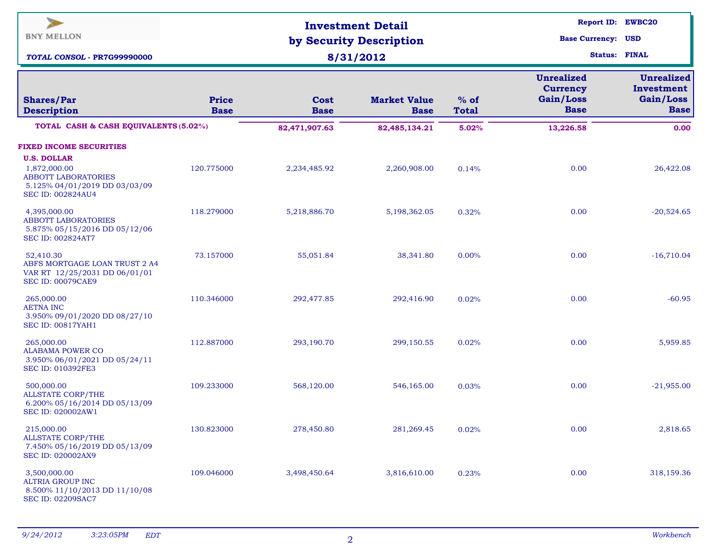| ⋗<br><b>BNY MELLON</b><br>TOTAL CONSOL - PR7G99990000                                                                         |                             | <b>Investment Detail</b><br>by Security Description<br>8/31/2012 | <b>Report ID: EWBC20</b><br><b>Base Currency: USD</b><br><b>Status: FINAL</b> |                        |                                                                  |                                                             |
|-------------------------------------------------------------------------------------------------------------------------------|-----------------------------|------------------------------------------------------------------|-------------------------------------------------------------------------------|------------------------|------------------------------------------------------------------|-------------------------------------------------------------|
| <b>Shares/Par</b><br><b>Description</b>                                                                                       | <b>Price</b><br><b>Base</b> | <b>Cost</b><br><b>Base</b>                                       | <b>Market Value</b><br><b>Base</b>                                            | $%$ of<br><b>Total</b> | <b>Unrealized</b><br><b>Currency</b><br>Gain/Loss<br><b>Base</b> | <b>Unrealized</b><br>Investment<br>Gain/Loss<br><b>Base</b> |
| TOTAL CASH & CASH EQUIVALENTS (5.02%)                                                                                         |                             | 82,471,907.63                                                    | 82,485,134.21                                                                 | 5.02%                  | 13,226.58                                                        | 0.00                                                        |
| <b>FIXED INCOME SECURITIES</b>                                                                                                |                             |                                                                  |                                                                               |                        |                                                                  |                                                             |
| <b>U.S. DOLLAR</b><br>1,872,000.00<br><b>ABBOTT LABORATORIES</b><br>5.125% 04/01/2019 DD 03/03/09<br><b>SEC ID: 002824AU4</b> | 120.775000                  | 2,234,485.92                                                     | 2,260,908.00                                                                  | 0.14%                  | 0.00                                                             | 26,422.08                                                   |
| 4,395,000.00<br><b>ABBOTT LABORATORIES</b><br>5.875% 05/15/2016 DD 05/12/06<br>SEC ID: 002824AT7                              | 118.279000                  | 5,218,886.70                                                     | 5,198,362.05                                                                  | 0.32%                  | 0.00                                                             | $-20,524.65$                                                |
| 52,410.30<br>ABFS MORTGAGE LOAN TRUST 2 A4<br>VAR RT 12/25/2031 DD 06/01/01<br><b>SEC ID: 00079CAE9</b>                       | 73.157000                   | 55,051.84                                                        | 38,341.80                                                                     | 0.00%                  | 0.00                                                             | $-16,710.04$                                                |
| 265,000.00<br><b>AETNA INC</b><br>3.950% 09/01/2020 DD 08/27/10<br><b>SEC ID: 00817YAH1</b>                                   | 110.346000                  | 292,477.85                                                       | 292,416.90                                                                    | 0.02%                  | 0.00                                                             | $-60.95$                                                    |
| 265,000.00<br><b>ALABAMA POWER CO</b><br>3.950% 06/01/2021 DD 05/24/11<br><b>SEC ID: 010392FE3</b>                            | 112.887000                  | 293,190.70                                                       | 299,150.55                                                                    | 0.02%                  | 0.00                                                             | 5,959.85                                                    |
| 500,000.00<br><b>ALLSTATE CORP/THE</b><br>6.200% 05/16/2014 DD 05/13/09<br><b>SEC ID: 020002AW1</b>                           | 109.233000                  | 568,120.00                                                       | 546,165.00                                                                    | 0.03%                  | 0.00                                                             | $-21,955.00$                                                |
| 215,000.00<br><b>ALLSTATE CORP/THE</b><br>7.450% 05/16/2019 DD 05/13/09<br>SEC ID: 020002AX9                                  | 130.823000                  | 278,450.80                                                       | 281,269.45                                                                    | 0.02%                  | 0.00                                                             | 2,818.65                                                    |
| 3,500,000.00<br><b>ALTRIA GROUP INC</b><br>8.500% 11/10/2013 DD 11/10/08<br><b>SEC ID: 02209SAC7</b>                          | 109.046000                  | 3,498,450.64                                                     | 3,816,610.00                                                                  | 0.23%                  | 0.00                                                             | 318,159.36                                                  |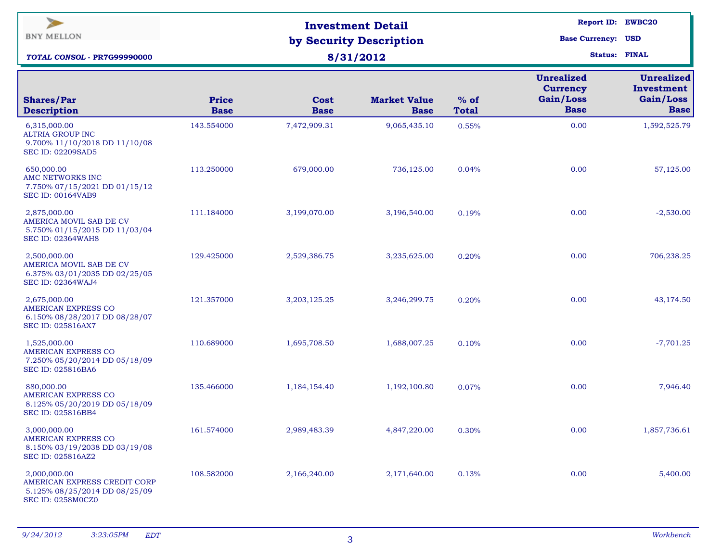| $\rightarrow$<br><b>BNY MELLON</b><br>TOTAL CONSOL - PR7G99990000                                    |                             | <b>Investment Detail</b><br>by Security Description<br>8/31/2012 | Report ID: EWBC20<br><b>Base Currency: USD</b><br><b>Status: FINAL</b> |                        |                                                                  |                                                             |
|------------------------------------------------------------------------------------------------------|-----------------------------|------------------------------------------------------------------|------------------------------------------------------------------------|------------------------|------------------------------------------------------------------|-------------------------------------------------------------|
| <b>Shares/Par</b><br><b>Description</b>                                                              | <b>Price</b><br><b>Base</b> | Cost<br><b>Base</b>                                              | <b>Market Value</b><br><b>Base</b>                                     | $%$ of<br><b>Total</b> | <b>Unrealized</b><br><b>Currency</b><br>Gain/Loss<br><b>Base</b> | <b>Unrealized</b><br>Investment<br>Gain/Loss<br><b>Base</b> |
| 6,315,000.00<br><b>ALTRIA GROUP INC</b><br>9.700% 11/10/2018 DD 11/10/08<br><b>SEC ID: 02209SAD5</b> | 143.554000                  | 7,472,909.31                                                     | 9,065,435.10                                                           | 0.55%                  | 0.00                                                             | 1,592,525.79                                                |
| 650,000.00<br>AMC NETWORKS INC<br>7.750% 07/15/2021 DD 01/15/12<br><b>SEC ID: 00164VAB9</b>          | 113.250000                  | 679,000.00                                                       | 736,125.00                                                             | 0.04%                  | 0.00                                                             | 57,125.00                                                   |
| 2,875,000.00<br>AMERICA MOVIL SAB DE CV<br>5.750% 01/15/2015 DD 11/03/04<br><b>SEC ID: 02364WAH8</b> | 111.184000                  | 3,199,070.00                                                     | 3,196,540.00                                                           | 0.19%                  | 0.00                                                             | $-2,530.00$                                                 |
| 2,500,000.00<br>AMERICA MOVIL SAB DE CV<br>6.375% 03/01/2035 DD 02/25/05<br><b>SEC ID: 02364WAJ4</b> | 129.425000                  | 2,529,386.75                                                     | 3,235,625.00                                                           | 0.20%                  | 0.00                                                             | 706,238.25                                                  |
| 2,675,000.00<br>AMERICAN EXPRESS CO<br>6.150% 08/28/2017 DD 08/28/07<br><b>SEC ID: 025816AX7</b>     | 121.357000                  | 3,203,125.25                                                     | 3,246,299.75                                                           | 0.20%                  | 0.00                                                             | 43,174.50                                                   |
| 1,525,000.00<br>AMERICAN EXPRESS CO<br>7.250% 05/20/2014 DD 05/18/09<br>SEC ID: 025816BA6            | 110.689000                  | 1,695,708.50                                                     | 1,688,007.25                                                           | 0.10%                  | 0.00                                                             | $-7,701.25$                                                 |
| 880,000.00<br>AMERICAN EXPRESS CO<br>8.125% 05/20/2019 DD 05/18/09<br>SEC ID: 025816BB4              | 135.466000                  | 1,184,154.40                                                     | 1,192,100.80                                                           | 0.07%                  | 0.00                                                             | 7,946.40                                                    |
| 3,000,000.00<br>AMERICAN EXPRESS CO<br>8.150% 03/19/2038 DD 03/19/08<br>SEC ID: 025816AZ2            | 161.574000                  | 2,989,483.39                                                     | 4,847,220.00                                                           | 0.30%                  | 0.00                                                             | 1,857,736.61                                                |
| 2,000,000.00<br>AMERICAN EXPRESS CREDIT CORP<br>5.125% 08/25/2014 DD 08/25/09<br>SEC ID: 0258M0CZ0   | 108.582000                  | 2,166,240.00                                                     | 2,171,640.00                                                           | 0.13%                  | 0.00                                                             | 5,400.00                                                    |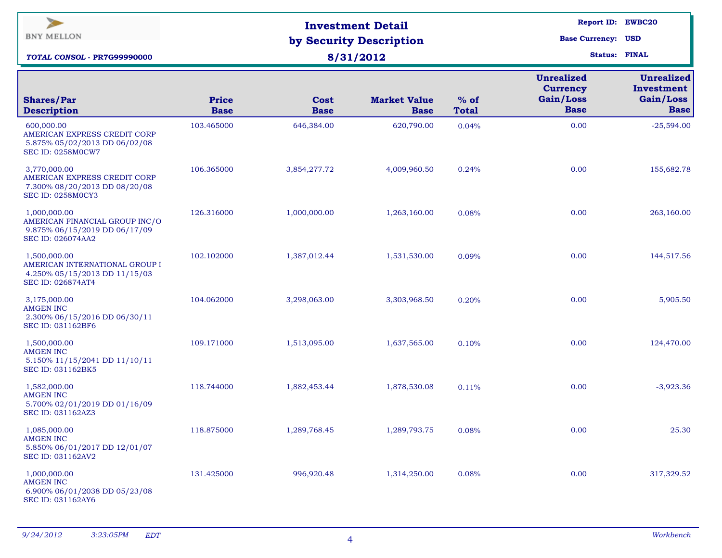| $\blacktriangleright$<br><b>BNY MELLON</b><br><b>TOTAL CONSOL - PR7G99990000</b>                        |                             | <b>Investment Detail</b><br>by Security Description<br>8/31/2012 |                                    | Report ID: EWBC20<br><b>Base Currency: USD</b><br><b>Status: FINAL</b> |                                                                  |                                                             |
|---------------------------------------------------------------------------------------------------------|-----------------------------|------------------------------------------------------------------|------------------------------------|------------------------------------------------------------------------|------------------------------------------------------------------|-------------------------------------------------------------|
| <b>Shares/Par</b><br><b>Description</b>                                                                 | <b>Price</b><br><b>Base</b> | Cost<br><b>Base</b>                                              | <b>Market Value</b><br><b>Base</b> | $%$ of<br><b>Total</b>                                                 | <b>Unrealized</b><br><b>Currency</b><br>Gain/Loss<br><b>Base</b> | <b>Unrealized</b><br>Investment<br>Gain/Loss<br><b>Base</b> |
| 600,000.00<br>AMERICAN EXPRESS CREDIT CORP<br>5.875% 05/02/2013 DD 06/02/08<br><b>SEC ID: 0258M0CW7</b> | 103.465000                  | 646,384.00                                                       | 620,790.00                         | 0.04%                                                                  | 0.00                                                             | $-25,594.00$                                                |
| 3,770,000.00<br>AMERICAN EXPRESS CREDIT CORP<br>7.300% 08/20/2013 DD 08/20/08<br>SEC ID: 0258M0CY3      | 106.365000                  | 3,854,277.72                                                     | 4,009,960.50                       | 0.24%                                                                  | 0.00                                                             | 155,682.78                                                  |
| 1,000,000.00<br>AMERICAN FINANCIAL GROUP INC/O<br>9.875% 06/15/2019 DD 06/17/09<br>SEC ID: 026074AA2    | 126.316000                  | 1,000,000.00                                                     | 1,263,160.00                       | 0.08%                                                                  | 0.00                                                             | 263,160.00                                                  |
| 1,500,000.00<br>AMERICAN INTERNATIONAL GROUP I<br>4.250% 05/15/2013 DD 11/15/03<br>SEC ID: 026874AT4    | 102.102000                  | 1,387,012.44                                                     | 1,531,530.00                       | 0.09%                                                                  | 0.00                                                             | 144,517.56                                                  |
| 3,175,000.00<br><b>AMGEN INC</b><br>2.300% 06/15/2016 DD 06/30/11<br>SEC ID: 031162BF6                  | 104.062000                  | 3,298,063.00                                                     | 3,303,968.50                       | 0.20%                                                                  | 0.00                                                             | 5,905.50                                                    |
| 1,500,000.00<br><b>AMGEN INC</b><br>5.150% 11/15/2041 DD 11/10/11<br>SEC ID: 031162BK5                  | 109.171000                  | 1,513,095.00                                                     | 1,637,565.00                       | 0.10%                                                                  | 0.00                                                             | 124,470.00                                                  |
| 1,582,000.00<br>AMGEN INC<br>5.700% 02/01/2019 DD 01/16/09<br>SEC ID: 031162AZ3                         | 118.744000                  | 1,882,453.44                                                     | 1,878,530.08                       | 0.11%                                                                  | 0.00                                                             | $-3,923.36$                                                 |
| 1,085,000.00<br>AMGEN INC<br>5.850% 06/01/2017 DD 12/01/07<br>SEC ID: 031162AV2                         | 118.875000                  | 1,289,768.45                                                     | 1,289,793.75                       | 0.08%                                                                  | 0.00                                                             | 25.30                                                       |
| 1,000,000.00<br>AMGEN INC<br>6.900% 06/01/2038 DD 05/23/08<br>SEC ID: 031162AY6                         | 131.425000                  | 996,920.48                                                       | 1,314,250.00                       | 0.08%                                                                  | 0.00                                                             | 317,329.52                                                  |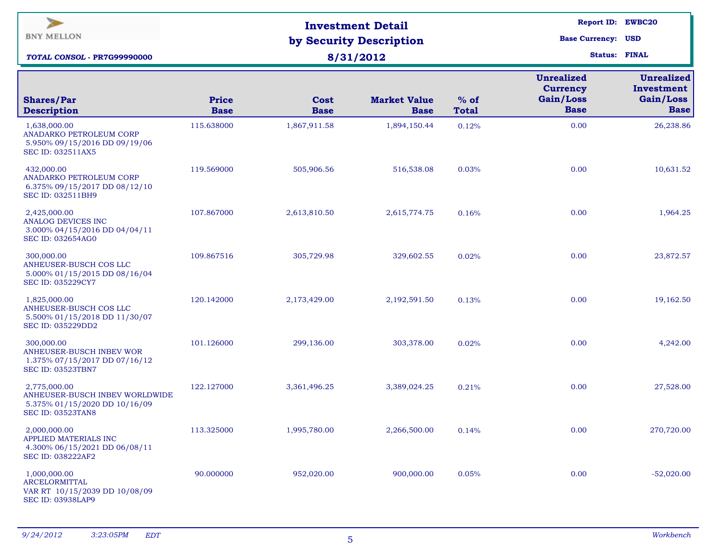| $\blacktriangleright$<br><b>BNY MELLON</b><br><b>TOTAL CONSOL - PR7G99990000</b>                            |                             | <b>Investment Detail</b><br>by Security Description<br>8/31/2012 | Report ID: EWBC20<br><b>Base Currency: USD</b><br><b>Status: FINAL</b> |                        |                                                                  |                                                             |
|-------------------------------------------------------------------------------------------------------------|-----------------------------|------------------------------------------------------------------|------------------------------------------------------------------------|------------------------|------------------------------------------------------------------|-------------------------------------------------------------|
| <b>Shares/Par</b><br><b>Description</b>                                                                     | <b>Price</b><br><b>Base</b> | Cost<br><b>Base</b>                                              | <b>Market Value</b><br><b>Base</b>                                     | $%$ of<br><b>Total</b> | <b>Unrealized</b><br><b>Currency</b><br>Gain/Loss<br><b>Base</b> | <b>Unrealized</b><br>Investment<br>Gain/Loss<br><b>Base</b> |
| 1,638,000.00<br>ANADARKO PETROLEUM CORP<br>5.950% 09/15/2016 DD 09/19/06<br>SEC ID: 032511AX5               | 115.638000                  | 1,867,911.58                                                     | 1,894,150.44                                                           | 0.12%                  | 0.00                                                             | 26,238.86                                                   |
| 432,000.00<br>ANADARKO PETROLEUM CORP<br>6.375% 09/15/2017 DD 08/12/10<br><b>SEC ID: 032511BH9</b>          | 119.569000                  | 505,906.56                                                       | 516,538.08                                                             | 0.03%                  | 0.00                                                             | 10,631.52                                                   |
| 2,425,000.00<br><b>ANALOG DEVICES INC</b><br>3.000% 04/15/2016 DD 04/04/11<br><b>SEC ID: 032654AG0</b>      | 107.867000                  | 2,613,810.50                                                     | 2,615,774.75                                                           | 0.16%                  | 0.00                                                             | 1,964.25                                                    |
| 300,000.00<br>ANHEUSER-BUSCH COS LLC<br>5.000% 01/15/2015 DD 08/16/04<br>SEC ID: 035229CY7                  | 109.867516                  | 305,729.98                                                       | 329,602.55                                                             | 0.02%                  | 0.00                                                             | 23,872.57                                                   |
| 1,825,000.00<br>ANHEUSER-BUSCH COS LLC<br>5.500% 01/15/2018 DD 11/30/07<br>SEC ID: 035229DD2                | 120.142000                  | 2,173,429.00                                                     | 2,192,591.50                                                           | 0.13%                  | 0.00                                                             | 19,162.50                                                   |
| 300,000.00<br>ANHEUSER-BUSCH INBEV WOR<br>1.375% 07/15/2017 DD 07/16/12<br><b>SEC ID: 03523TBN7</b>         | 101.126000                  | 299,136.00                                                       | 303,378.00                                                             | 0.02%                  | 0.00                                                             | 4,242.00                                                    |
| 2,775,000.00<br>ANHEUSER-BUSCH INBEV WORLDWIDE<br>5.375% 01/15/2020 DD 10/16/09<br><b>SEC ID: 03523TAN8</b> | 122.127000                  | 3,361,496.25                                                     | 3,389,024.25                                                           | 0.21%                  | 0.00                                                             | 27,528.00                                                   |
| 2,000,000.00<br>APPLIED MATERIALS INC<br>4.300% 06/15/2021 DD 06/08/11<br>SEC ID: 038222AF2                 | 113.325000                  | 1,995,780.00                                                     | 2,266,500.00                                                           | 0.14%                  | 0.00                                                             | 270,720.00                                                  |
| 1,000,000.00<br><b>ARCELORMITTAL</b><br>VAR RT 10/15/2039 DD 10/08/09<br><b>SEC ID: 03938LAP9</b>           | 90.000000                   | 952,020.00                                                       | 900,000.00                                                             | 0.05%                  | 0.00                                                             | $-52,020.00$                                                |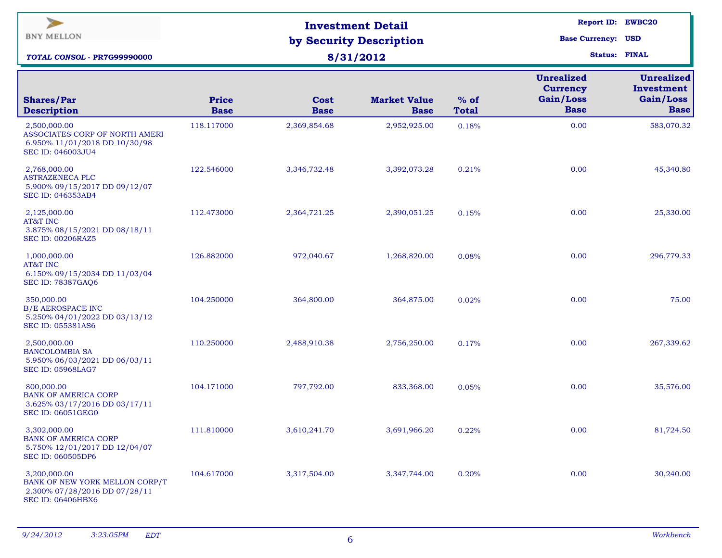| $\blacktriangleright$<br><b>BNY MELLON</b><br><b>TOTAL CONSOL - PR7G99990000</b>                            |                             | <b>Investment Detail</b><br>by Security Description<br>8/31/2012 |                                    | Report ID: EWBC20<br><b>Base Currency: USD</b><br><b>Status: FINAL</b> |                                                                  |                                                             |
|-------------------------------------------------------------------------------------------------------------|-----------------------------|------------------------------------------------------------------|------------------------------------|------------------------------------------------------------------------|------------------------------------------------------------------|-------------------------------------------------------------|
| <b>Shares/Par</b><br><b>Description</b>                                                                     | <b>Price</b><br><b>Base</b> | Cost<br><b>Base</b>                                              | <b>Market Value</b><br><b>Base</b> | $%$ of<br><b>Total</b>                                                 | <b>Unrealized</b><br><b>Currency</b><br>Gain/Loss<br><b>Base</b> | <b>Unrealized</b><br>Investment<br>Gain/Loss<br><b>Base</b> |
| 2,500,000.00<br>ASSOCIATES CORP OF NORTH AMERI<br>6.950% 11/01/2018 DD 10/30/98<br><b>SEC ID: 046003JU4</b> | 118.117000                  | 2,369,854.68                                                     | 2,952,925.00                       | 0.18%                                                                  | 0.00                                                             | 583,070.32                                                  |
| 2,768,000.00<br><b>ASTRAZENECA PLC</b><br>5.900% 09/15/2017 DD 09/12/07<br><b>SEC ID: 046353AB4</b>         | 122.546000                  | 3,346,732.48                                                     | 3,392,073.28                       | 0.21%                                                                  | 0.00                                                             | 45,340.80                                                   |
| 2,125,000.00<br>AT&T INC<br>3.875% 08/15/2021 DD 08/18/11<br><b>SEC ID: 00206RAZ5</b>                       | 112.473000                  | 2,364,721.25                                                     | 2,390,051.25                       | 0.15%                                                                  | 0.00                                                             | 25,330.00                                                   |
| 1,000,000.00<br>AT&T INC<br>6.150% 09/15/2034 DD 11/03/04<br><b>SEC ID: 78387GAQ6</b>                       | 126.882000                  | 972,040.67                                                       | 1,268,820.00                       | 0.08%                                                                  | 0.00                                                             | 296,779.33                                                  |
| 350,000.00<br><b>B/E AEROSPACE INC</b><br>5.250% 04/01/2022 DD 03/13/12<br><b>SEC ID: 055381AS6</b>         | 104.250000                  | 364,800.00                                                       | 364,875.00                         | 0.02%                                                                  | 0.00                                                             | 75.00                                                       |
| 2,500,000.00<br><b>BANCOLOMBIA SA</b><br>5.950% 06/03/2021 DD 06/03/11<br><b>SEC ID: 05968LAG7</b>          | 110.250000                  | 2,488,910.38                                                     | 2,756,250.00                       | 0.17%                                                                  | 0.00                                                             | 267,339.62                                                  |
| 800,000.00<br><b>BANK OF AMERICA CORP</b><br>3.625% 03/17/2016 DD 03/17/11<br><b>SEC ID: 06051GEG0</b>      | 104.171000                  | 797,792.00                                                       | 833,368.00                         | 0.05%                                                                  | 0.00                                                             | 35,576.00                                                   |
| 3,302,000.00<br><b>BANK OF AMERICA CORP</b><br>5.750% 12/01/2017 DD 12/04/07<br>SEC ID: 060505DP6           | 111.810000                  | 3,610,241.70                                                     | 3,691,966.20                       | 0.22%                                                                  | 0.00                                                             | 81,724.50                                                   |
| 3,200,000.00<br>BANK OF NEW YORK MELLON CORP/T<br>2.300% 07/28/2016 DD 07/28/11<br><b>SEC ID: 06406HBX6</b> | 104.617000                  | 3,317,504.00                                                     | 3,347,744.00                       | 0.20%                                                                  | 0.00                                                             | 30,240.00                                                   |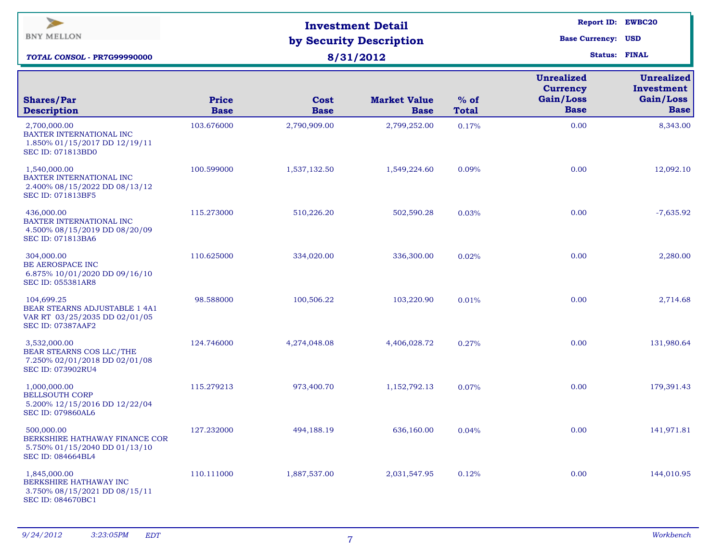| $\blacktriangleright$<br><b>BNY MELLON</b><br><b>TOTAL CONSOL - PR7G99990000</b>                                |                             | <b>Investment Detail</b><br>by Security Description<br>8/31/2012 | Report ID: EWBC20<br><b>Base Currency: USD</b><br><b>Status: FINAL</b> |                        |                                                                  |                                                             |
|-----------------------------------------------------------------------------------------------------------------|-----------------------------|------------------------------------------------------------------|------------------------------------------------------------------------|------------------------|------------------------------------------------------------------|-------------------------------------------------------------|
| <b>Shares/Par</b><br><b>Description</b>                                                                         | <b>Price</b><br><b>Base</b> | Cost<br><b>Base</b>                                              | <b>Market Value</b><br><b>Base</b>                                     | $%$ of<br><b>Total</b> | <b>Unrealized</b><br><b>Currency</b><br>Gain/Loss<br><b>Base</b> | <b>Unrealized</b><br>Investment<br>Gain/Loss<br><b>Base</b> |
| 2,700,000.00<br>BAXTER INTERNATIONAL INC<br>1.850% 01/15/2017 DD 12/19/11<br>SEC ID: 071813BD0                  | 103.676000                  | 2,790,909.00                                                     | 2,799,252.00                                                           | 0.17%                  | 0.00                                                             | 8,343.00                                                    |
| 1,540,000.00<br>BAXTER INTERNATIONAL INC<br>2.400% 08/15/2022 DD 08/13/12<br>SEC ID: 071813BF5                  | 100.599000                  | 1,537,132.50                                                     | 1,549,224.60                                                           | 0.09%                  | 0.00                                                             | 12,092.10                                                   |
| 436,000.00<br>BAXTER INTERNATIONAL INC<br>4.500% 08/15/2019 DD 08/20/09<br><b>SEC ID: 071813BA6</b>             | 115.273000                  | 510,226.20                                                       | 502,590.28                                                             | 0.03%                  | 0.00                                                             | $-7,635.92$                                                 |
| 304,000.00<br><b>BE AEROSPACE INC</b><br>6.875% 10/01/2020 DD 09/16/10<br><b>SEC ID: 055381AR8</b>              | 110.625000                  | 334,020.00                                                       | 336,300.00                                                             | 0.02%                  | 0.00                                                             | 2,280.00                                                    |
| 104,699.25<br><b>BEAR STEARNS ADJUSTABLE 1 4A1</b><br>VAR RT 03/25/2035 DD 02/01/05<br><b>SEC ID: 07387AAF2</b> | 98.588000                   | 100,506.22                                                       | 103,220.90                                                             | 0.01%                  | 0.00                                                             | 2,714.68                                                    |
| 3,532,000.00<br>BEAR STEARNS COS LLC/THE<br>7.250% 02/01/2018 DD 02/01/08<br>SEC ID: 073902RU4                  | 124.746000                  | 4,274,048.08                                                     | 4,406,028.72                                                           | 0.27%                  | 0.00                                                             | 131,980.64                                                  |
| 1,000,000.00<br><b>BELLSOUTH CORP</b><br>5.200% 12/15/2016 DD 12/22/04<br><b>SEC ID: 079860AL6</b>              | 115.279213                  | 973,400.70                                                       | 1,152,792.13                                                           | 0.07%                  | 0.00                                                             | 179,391.43                                                  |
| 500,000.00<br>BERKSHIRE HATHAWAY FINANCE COR<br>5.750% 01/15/2040 DD 01/13/10<br>SEC ID: 084664BL4              | 127.232000                  | 494,188.19                                                       | 636,160.00                                                             | 0.04%                  | 0.00                                                             | 141,971.81                                                  |
| 1,845,000.00<br>BERKSHIRE HATHAWAY INC<br>3.750% 08/15/2021 DD 08/15/11<br>SEC ID: 084670BC1                    | 110.111000                  | 1,887,537.00                                                     | 2,031,547.95                                                           | 0.12%                  | 0.00                                                             | 144,010.95                                                  |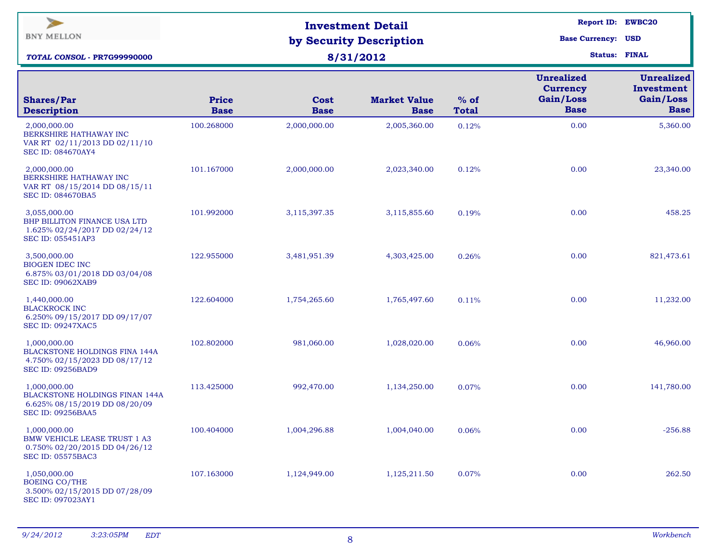| $\blacktriangleright$<br><b>BNY MELLON</b><br><b>TOTAL CONSOL - PR7G99990000</b>                                   |                             | <b>Investment Detail</b><br>by Security Description<br>8/31/2012 | Report ID: EWBC20<br><b>Base Currency: USD</b><br><b>Status: FINAL</b> |                        |                                                                  |                                                             |
|--------------------------------------------------------------------------------------------------------------------|-----------------------------|------------------------------------------------------------------|------------------------------------------------------------------------|------------------------|------------------------------------------------------------------|-------------------------------------------------------------|
| <b>Shares/Par</b><br><b>Description</b>                                                                            | <b>Price</b><br><b>Base</b> | Cost<br><b>Base</b>                                              | <b>Market Value</b><br><b>Base</b>                                     | $%$ of<br><b>Total</b> | <b>Unrealized</b><br><b>Currency</b><br>Gain/Loss<br><b>Base</b> | <b>Unrealized</b><br>Investment<br>Gain/Loss<br><b>Base</b> |
| 2,000,000.00<br>BERKSHIRE HATHAWAY INC<br>VAR RT 02/11/2013 DD 02/11/10<br><b>SEC ID: 084670AY4</b>                | 100.268000                  | 2,000,000.00                                                     | 2,005,360.00                                                           | 0.12%                  | 0.00                                                             | 5,360.00                                                    |
| 2,000,000.00<br>BERKSHIRE HATHAWAY INC<br>VAR RT 08/15/2014 DD 08/15/11<br><b>SEC ID: 084670BA5</b>                | 101.167000                  | 2,000,000.00                                                     | 2,023,340.00                                                           | 0.12%                  | 0.00                                                             | 23,340.00                                                   |
| 3,055,000.00<br>BHP BILLITON FINANCE USA LTD<br>1.625% 02/24/2017 DD 02/24/12<br><b>SEC ID: 055451AP3</b>          | 101.992000                  | 3,115,397.35                                                     | 3,115,855.60                                                           | 0.19%                  | 0.00                                                             | 458.25                                                      |
| 3,500,000.00<br><b>BIOGEN IDEC INC</b><br>6.875% 03/01/2018 DD 03/04/08<br><b>SEC ID: 09062XAB9</b>                | 122.955000                  | 3,481,951.39                                                     | 4,303,425.00                                                           | 0.26%                  | 0.00                                                             | 821,473.61                                                  |
| 1,440,000.00<br><b>BLACKROCK INC</b><br>6.250% 09/15/2017 DD 09/17/07<br><b>SEC ID: 09247XAC5</b>                  | 122.604000                  | 1,754,265.60                                                     | 1,765,497.60                                                           | 0.11%                  | 0.00                                                             | 11,232.00                                                   |
| 1,000,000.00<br><b>BLACKSTONE HOLDINGS FINA 144A</b><br>4.750% 02/15/2023 DD 08/17/12<br><b>SEC ID: 09256BAD9</b>  | 102.802000                  | 981,060.00                                                       | 1,028,020.00                                                           | 0.06%                  | 0.00                                                             | 46,960.00                                                   |
| 1,000,000.00<br><b>BLACKSTONE HOLDINGS FINAN 144A</b><br>6.625% 08/15/2019 DD 08/20/09<br><b>SEC ID: 09256BAA5</b> | 113.425000                  | 992,470.00                                                       | 1,134,250.00                                                           | 0.07%                  | 0.00                                                             | 141,780.00                                                  |
| 1,000,000.00<br><b>BMW VEHICLE LEASE TRUST 1 A3</b><br>0.750% 02/20/2015 DD 04/26/12<br><b>SEC ID: 05575BAC3</b>   | 100.404000                  | 1,004,296.88                                                     | 1,004,040.00                                                           | 0.06%                  | 0.00                                                             | $-256.88$                                                   |
| 1,050,000.00<br><b>BOEING CO/THE</b><br>3.500% 02/15/2015 DD 07/28/09<br>SEC ID: 097023AY1                         | 107.163000                  | 1,124,949.00                                                     | 1,125,211.50                                                           | 0.07%                  | 0.00                                                             | 262.50                                                      |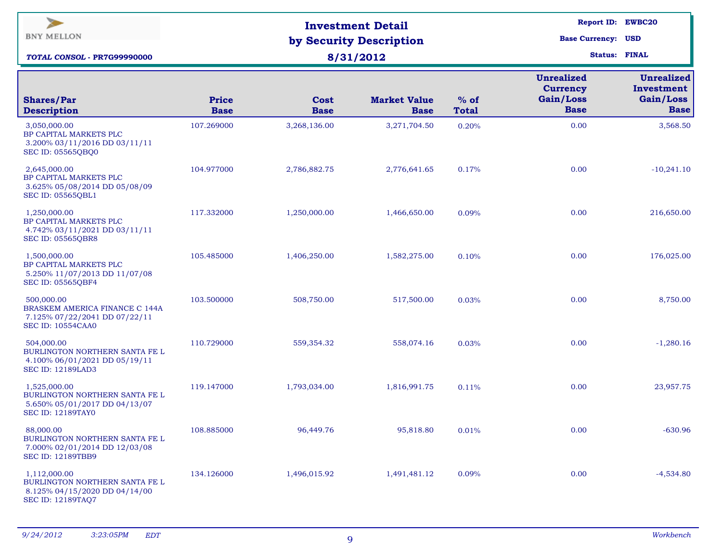| $\blacktriangleright$<br><b>BNY MELLON</b><br>TOTAL CONSOL - PR7G99990000                                   |                             | <b>Investment Detail</b><br>by Security Description<br>8/31/2012 | Report ID: EWBC20<br><b>Base Currency: USD</b><br><b>Status: FINAL</b> |                        |                                                                  |                                                             |
|-------------------------------------------------------------------------------------------------------------|-----------------------------|------------------------------------------------------------------|------------------------------------------------------------------------|------------------------|------------------------------------------------------------------|-------------------------------------------------------------|
| <b>Shares/Par</b><br><b>Description</b>                                                                     | <b>Price</b><br><b>Base</b> | Cost<br><b>Base</b>                                              | <b>Market Value</b><br><b>Base</b>                                     | $%$ of<br><b>Total</b> | <b>Unrealized</b><br><b>Currency</b><br>Gain/Loss<br><b>Base</b> | <b>Unrealized</b><br>Investment<br>Gain/Loss<br><b>Base</b> |
| 3,050,000.00<br>BP CAPITAL MARKETS PLC<br>3.200% 03/11/2016 DD 03/11/11<br><b>SEC ID: 05565QBQ0</b>         | 107.269000                  | 3,268,136.00                                                     | 3,271,704.50                                                           | 0.20%                  | 0.00                                                             | 3,568.50                                                    |
| 2,645,000.00<br>BP CAPITAL MARKETS PLC<br>3.625% 05/08/2014 DD 05/08/09<br><b>SEC ID: 05565QBL1</b>         | 104.977000                  | 2,786,882.75                                                     | 2,776,641.65                                                           | 0.17%                  | 0.00                                                             | $-10,241.10$                                                |
| 1,250,000.00<br>BP CAPITAL MARKETS PLC<br>4.742% 03/11/2021 DD 03/11/11<br><b>SEC ID: 05565QBR8</b>         | 117.332000                  | 1,250,000.00                                                     | 1,466,650.00                                                           | 0.09%                  | 0.00                                                             | 216,650.00                                                  |
| 1,500,000.00<br>BP CAPITAL MARKETS PLC<br>5.250% 11/07/2013 DD 11/07/08<br><b>SEC ID: 05565QBF4</b>         | 105.485000                  | 1,406,250.00                                                     | 1,582,275.00                                                           | 0.10%                  | 0.00                                                             | 176,025.00                                                  |
| 500,000.00<br>BRASKEM AMERICA FINANCE C 144A<br>7.125% 07/22/2041 DD 07/22/11<br><b>SEC ID: 10554CAA0</b>   | 103.500000                  | 508,750.00                                                       | 517,500.00                                                             | 0.03%                  | 0.00                                                             | 8,750.00                                                    |
| 504,000.00<br>BURLINGTON NORTHERN SANTA FE L<br>4.100% 06/01/2021 DD 05/19/11<br><b>SEC ID: 12189LAD3</b>   | 110.729000                  | 559,354.32                                                       | 558,074.16                                                             | 0.03%                  | 0.00                                                             | $-1,280.16$                                                 |
| 1,525,000.00<br>BURLINGTON NORTHERN SANTA FE L<br>5.650% 05/01/2017 DD 04/13/07<br><b>SEC ID: 12189TAY0</b> | 119.147000                  | 1,793,034.00                                                     | 1,816,991.75                                                           | 0.11%                  | 0.00                                                             | 23,957.75                                                   |
| 88,000.00<br>BURLINGTON NORTHERN SANTA FE L<br>7.000% 02/01/2014 DD 12/03/08<br><b>SEC ID: 12189TBB9</b>    | 108.885000                  | 96,449.76                                                        | 95,818.80                                                              | 0.01%                  | 0.00                                                             | $-630.96$                                                   |
| 1,112,000.00<br>BURLINGTON NORTHERN SANTA FE L<br>8.125% 04/15/2020 DD 04/14/00<br>SEC ID: 12189TAQ7        | 134.126000                  | 1,496,015.92                                                     | 1,491,481.12                                                           | 0.09%                  | 0.00                                                             | $-4,534.80$                                                 |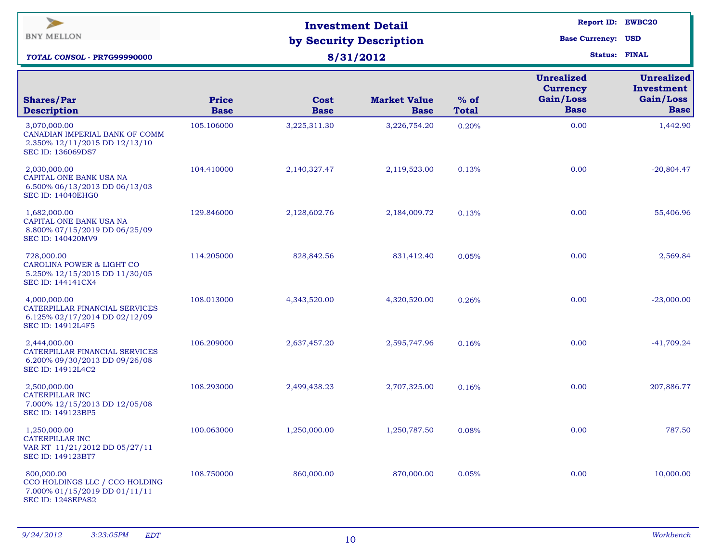| $\blacktriangleright$<br><b>BNY MELLON</b><br><b>TOTAL CONSOL - PR7G99990000</b>                         |                             | <b>Investment Detail</b><br>by Security Description<br>8/31/2012 | Report ID: EWBC20<br><b>Base Currency: USD</b><br><b>Status: FINAL</b> |                        |                                                                  |                                                             |
|----------------------------------------------------------------------------------------------------------|-----------------------------|------------------------------------------------------------------|------------------------------------------------------------------------|------------------------|------------------------------------------------------------------|-------------------------------------------------------------|
| <b>Shares/Par</b><br><b>Description</b>                                                                  | <b>Price</b><br><b>Base</b> | Cost<br><b>Base</b>                                              | <b>Market Value</b><br><b>Base</b>                                     | $%$ of<br><b>Total</b> | <b>Unrealized</b><br><b>Currency</b><br>Gain/Loss<br><b>Base</b> | <b>Unrealized</b><br>Investment<br>Gain/Loss<br><b>Base</b> |
| 3,070,000.00<br>CANADIAN IMPERIAL BANK OF COMM<br>2.350% 12/11/2015 DD 12/13/10<br>SEC ID: 136069DS7     | 105.106000                  | 3,225,311.30                                                     | 3,226,754.20                                                           | 0.20%                  | 0.00                                                             | 1,442.90                                                    |
| 2,030,000.00<br>CAPITAL ONE BANK USA NA<br>6.500% 06/13/2013 DD 06/13/03<br><b>SEC ID: 14040EHG0</b>     | 104.410000                  | 2,140,327.47                                                     | 2,119,523.00                                                           | 0.13%                  | 0.00                                                             | $-20,804.47$                                                |
| 1,682,000.00<br>CAPITAL ONE BANK USA NA<br>8.800% 07/15/2019 DD 06/25/09<br>SEC ID: 140420MV9            | 129.846000                  | 2,128,602.76                                                     | 2,184,009.72                                                           | 0.13%                  | 0.00                                                             | 55,406.96                                                   |
| 728,000.00<br><b>CAROLINA POWER &amp; LIGHT CO</b><br>5.250% 12/15/2015 DD 11/30/05<br>SEC ID: 144141CX4 | 114.205000                  | 828,842.56                                                       | 831,412.40                                                             | 0.05%                  | 0.00                                                             | 2,569.84                                                    |
| 4,000,000.00<br>CATERPILLAR FINANCIAL SERVICES<br>6.125% 02/17/2014 DD 02/12/09<br>SEC ID: 14912L4F5     | 108.013000                  | 4,343,520.00                                                     | 4,320,520.00                                                           | 0.26%                  | 0.00                                                             | $-23,000.00$                                                |
| 2,444,000.00<br>CATERPILLAR FINANCIAL SERVICES<br>6.200% 09/30/2013 DD 09/26/08<br>SEC ID: 14912L4C2     | 106.209000                  | 2,637,457.20                                                     | 2,595,747.96                                                           | 0.16%                  | 0.00                                                             | $-41,709.24$                                                |
| 2,500,000.00<br>CATERPILLAR INC<br>7.000% 12/15/2013 DD 12/05/08<br><b>SEC ID: 149123BP5</b>             | 108.293000                  | 2,499,438.23                                                     | 2,707,325.00                                                           | 0.16%                  | 0.00                                                             | 207,886.77                                                  |
| 1,250,000.00<br><b>CATERPILLAR INC</b><br>VAR RT 11/21/2012 DD 05/27/11<br>SEC ID: 149123BT7             | 100.063000                  | 1,250,000.00                                                     | 1,250,787.50                                                           | 0.08%                  | 0.00                                                             | 787.50                                                      |
| 800,000.00<br>CCO HOLDINGS LLC / CCO HOLDING<br>7.000% 01/15/2019 DD 01/11/11<br>SEC ID: 1248EPAS2       | 108.750000                  | 860,000.00                                                       | 870,000.00                                                             | 0.05%                  | 0.00                                                             | 10,000.00                                                   |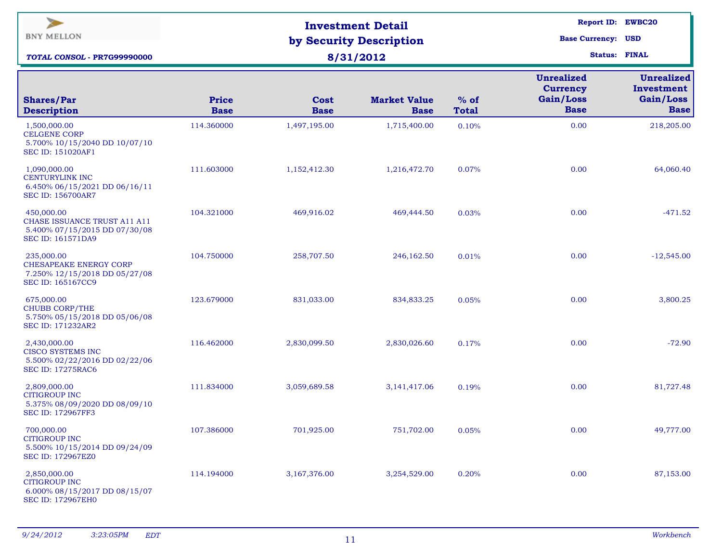| $\geq$<br><b>BNY MELLON</b><br><b>TOTAL CONSOL - PR7G99990000</b>                                       |                             | <b>Investment Detail</b><br>by Security Description<br>8/31/2012 | <b>Report ID: EWBC20</b><br><b>Base Currency: USD</b><br><b>Status: FINAL</b> |                        |                                                                  |                                                             |
|---------------------------------------------------------------------------------------------------------|-----------------------------|------------------------------------------------------------------|-------------------------------------------------------------------------------|------------------------|------------------------------------------------------------------|-------------------------------------------------------------|
| <b>Shares/Par</b><br><b>Description</b>                                                                 | <b>Price</b><br><b>Base</b> | Cost<br><b>Base</b>                                              | <b>Market Value</b><br><b>Base</b>                                            | $%$ of<br><b>Total</b> | <b>Unrealized</b><br><b>Currency</b><br>Gain/Loss<br><b>Base</b> | <b>Unrealized</b><br>Investment<br>Gain/Loss<br><b>Base</b> |
| 1,500,000.00<br><b>CELGENE CORP</b><br>5.700% 10/15/2040 DD 10/07/10<br><b>SEC ID: 151020AF1</b>        | 114.360000                  | 1,497,195.00                                                     | 1,715,400.00                                                                  | 0.10%                  | 0.00                                                             | 218,205.00                                                  |
| 1,090,000.00<br><b>CENTURYLINK INC</b><br>6.450% 06/15/2021 DD 06/16/11<br><b>SEC ID: 156700AR7</b>     | 111.603000                  | 1,152,412.30                                                     | 1,216,472.70                                                                  | 0.07%                  | 0.00                                                             | 64,060.40                                                   |
| 450,000.00<br>CHASE ISSUANCE TRUST A11 A11<br>5.400% 07/15/2015 DD 07/30/08<br><b>SEC ID: 161571DA9</b> | 104.321000                  | 469,916.02                                                       | 469,444.50                                                                    | 0.03%                  | 0.00                                                             | $-471.52$                                                   |
| 235,000.00<br>CHESAPEAKE ENERGY CORP<br>7.250% 12/15/2018 DD 05/27/08<br>SEC ID: 165167CC9              | 104.750000                  | 258,707.50                                                       | 246,162.50                                                                    | 0.01%                  | 0.00                                                             | $-12,545.00$                                                |
| 675,000.00<br><b>CHUBB CORP/THE</b><br>5.750% 05/15/2018 DD 05/06/08<br>SEC ID: 171232AR2               | 123.679000                  | 831,033.00                                                       | 834,833.25                                                                    | 0.05%                  | 0.00                                                             | 3,800.25                                                    |
| 2,430,000.00<br>CISCO SYSTEMS INC<br>5.500% 02/22/2016 DD 02/22/06<br><b>SEC ID: 17275RAC6</b>          | 116.462000                  | 2,830,099.50                                                     | 2,830,026.60                                                                  | 0.17%                  | 0.00                                                             | $-72.90$                                                    |
| 2,809,000.00<br><b>CITIGROUP INC</b><br>5.375% 08/09/2020 DD 08/09/10<br>SEC ID: 172967FF3              | 111.834000                  | 3,059,689.58                                                     | 3, 141, 417.06                                                                | 0.19%                  | 0.00                                                             | 81,727.48                                                   |
| 700,000.00<br><b>CITIGROUP INC</b><br>5.500% 10/15/2014 DD 09/24/09<br>SEC ID: 172967EZ0                | 107.386000                  | 701,925.00                                                       | 751,702.00                                                                    | 0.05%                  | 0.00                                                             | 49,777.00                                                   |
| 2,850,000.00<br><b>CITIGROUP INC</b><br>6.000% 08/15/2017 DD 08/15/07<br><b>SEC ID: 172967EH0</b>       | 114.194000                  | 3,167,376.00                                                     | 3,254,529.00                                                                  | 0.20%                  | 0.00                                                             | 87,153.00                                                   |
|                                                                                                         |                             |                                                                  |                                                                               |                        |                                                                  |                                                             |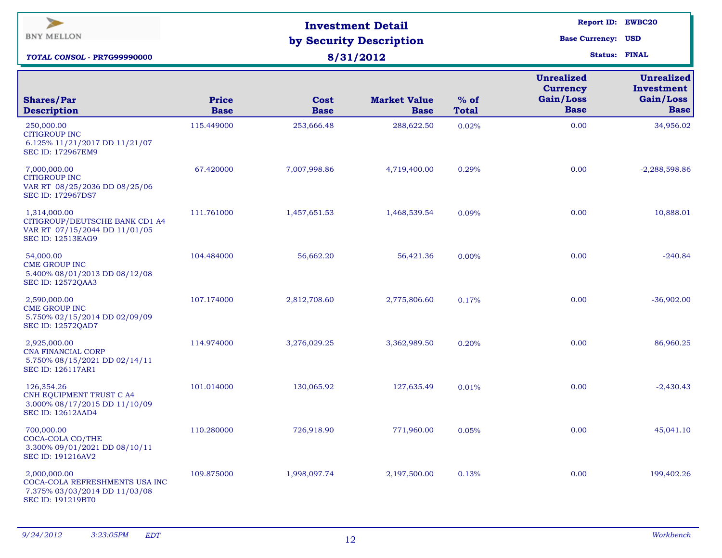| $\blacktriangleright$<br><b>BNY MELLON</b><br>TOTAL CONSOL - PR7G99990000                                   |                             | <b>Investment Detail</b><br>by Security Description<br>8/31/2012 |                                    | Report ID: EWBC20<br><b>Base Currency: USD</b><br><b>Status: FINAL</b> |                                                                  |                                                             |
|-------------------------------------------------------------------------------------------------------------|-----------------------------|------------------------------------------------------------------|------------------------------------|------------------------------------------------------------------------|------------------------------------------------------------------|-------------------------------------------------------------|
| <b>Shares/Par</b><br><b>Description</b>                                                                     | <b>Price</b><br><b>Base</b> | Cost<br><b>Base</b>                                              | <b>Market Value</b><br><b>Base</b> | $%$ of<br><b>Total</b>                                                 | <b>Unrealized</b><br><b>Currency</b><br>Gain/Loss<br><b>Base</b> | <b>Unrealized</b><br>Investment<br>Gain/Loss<br><b>Base</b> |
| 250,000.00<br><b>CITIGROUP INC</b><br>6.125% 11/21/2017 DD 11/21/07<br><b>SEC ID: 172967EM9</b>             | 115.449000                  | 253,666.48                                                       | 288,622.50                         | 0.02%                                                                  | 0.00                                                             | 34,956.02                                                   |
| 7,000,000.00<br><b>CITIGROUP INC</b><br>VAR RT 08/25/2036 DD 08/25/06<br><b>SEC ID: 172967DS7</b>           | 67.420000                   | 7,007,998.86                                                     | 4,719,400.00                       | 0.29%                                                                  | 0.00                                                             | $-2,288,598.86$                                             |
| 1,314,000.00<br>CITIGROUP/DEUTSCHE BANK CD1 A4<br>VAR RT 07/15/2044 DD 11/01/05<br><b>SEC ID: 12513EAG9</b> | 111.761000                  | 1,457,651.53                                                     | 1,468,539.54                       | 0.09%                                                                  | 0.00                                                             | 10,888.01                                                   |
| 54,000.00<br><b>CME GROUP INC</b><br>5.400% 08/01/2013 DD 08/12/08<br><b>SEC ID: 12572QAA3</b>              | 104.484000                  | 56,662.20                                                        | 56,421.36                          | 0.00%                                                                  | 0.00                                                             | $-240.84$                                                   |
| 2,590,000.00<br><b>CME GROUP INC</b><br>5.750% 02/15/2014 DD 02/09/09<br>SEC ID: 12572QAD7                  | 107.174000                  | 2,812,708.60                                                     | 2,775,806.60                       | 0.17%                                                                  | 0.00                                                             | $-36,902.00$                                                |
| 2,925,000.00<br>CNA FINANCIAL CORP<br>5.750% 08/15/2021 DD 02/14/11<br><b>SEC ID: 126117AR1</b>             | 114.974000                  | 3,276,029.25                                                     | 3,362,989.50                       | 0.20%                                                                  | 0.00                                                             | 86,960.25                                                   |
| 126,354.26<br><b>CNH EQUIPMENT TRUST C A4</b><br>3.000% 08/17/2015 DD 11/10/09<br><b>SEC ID: 12612AAD4</b>  | 101.014000                  | 130,065.92                                                       | 127,635.49                         | 0.01%                                                                  | 0.00                                                             | $-2,430.43$                                                 |
| 700,000.00<br>COCA-COLA CO/THE<br>3.300% 09/01/2021 DD 08/10/11<br>SEC ID: 191216AV2                        | 110.280000                  | 726,918.90                                                       | 771,960.00                         | 0.05%                                                                  | 0.00                                                             | 45,041.10                                                   |
| 2,000,000.00<br>COCA-COLA REFRESHMENTS USA INC<br>7.375% 03/03/2014 DD 11/03/08<br><b>SEC ID: 191219BT0</b> | 109.875000                  | 1,998,097.74                                                     | 2,197,500.00                       | 0.13%                                                                  | 0.00                                                             | 199,402.26                                                  |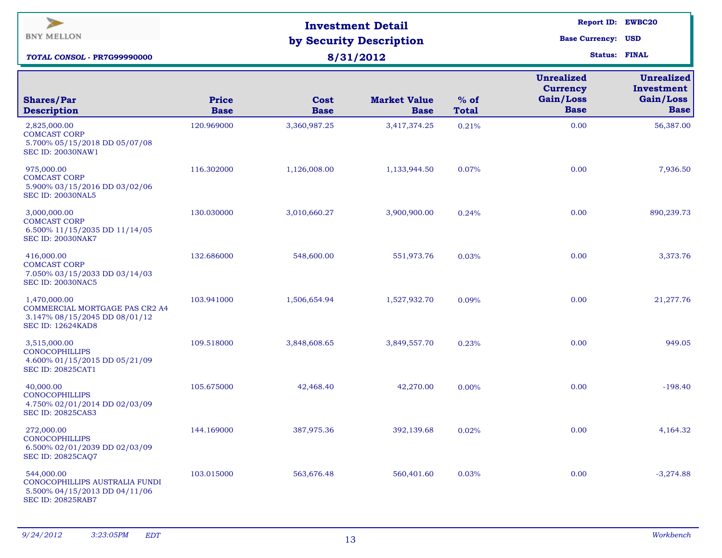| $\blacktriangleright$<br><b>BNY MELLON</b><br>TOTAL CONSOL - PR7G99990000                                   |                             | <b>Investment Detail</b><br>by Security Description<br>8/31/2012 | Report ID: EWBC20<br><b>Base Currency: USD</b><br><b>Status: FINAL</b> |                        |                                                                  |                                                             |
|-------------------------------------------------------------------------------------------------------------|-----------------------------|------------------------------------------------------------------|------------------------------------------------------------------------|------------------------|------------------------------------------------------------------|-------------------------------------------------------------|
| <b>Shares/Par</b><br><b>Description</b>                                                                     | <b>Price</b><br><b>Base</b> | <b>Cost</b><br><b>Base</b>                                       | <b>Market Value</b><br><b>Base</b>                                     | $%$ of<br><b>Total</b> | <b>Unrealized</b><br><b>Currency</b><br>Gain/Loss<br><b>Base</b> | <b>Unrealized</b><br>Investment<br>Gain/Loss<br><b>Base</b> |
| 2,825,000.00<br><b>COMCAST CORP</b><br>5.700% 05/15/2018 DD 05/07/08<br><b>SEC ID: 20030NAW1</b>            | 120.969000                  | 3,360,987.25                                                     | 3,417,374.25                                                           | 0.21%                  | 0.00                                                             | 56,387.00                                                   |
| 975,000.00<br><b>COMCAST CORP</b><br>5.900% 03/15/2016 DD 03/02/06<br><b>SEC ID: 20030NAL5</b>              | 116.302000                  | 1,126,008.00                                                     | 1,133,944.50                                                           | 0.07%                  | 0.00                                                             | 7,936.50                                                    |
| 3,000,000.00<br><b>COMCAST CORP</b><br>6.500% 11/15/2035 DD 11/14/05<br><b>SEC ID: 20030NAK7</b>            | 130.030000                  | 3,010,660.27                                                     | 3,900,900.00                                                           | 0.24%                  | 0.00                                                             | 890,239.73                                                  |
| 416,000.00<br><b>COMCAST CORP</b><br>7.050% 03/15/2033 DD 03/14/03<br><b>SEC ID: 20030NAC5</b>              | 132.686000                  | 548,600.00                                                       | 551,973.76                                                             | 0.03%                  | 0.00                                                             | 3,373.76                                                    |
| 1,470,000.00<br>COMMERCIAL MORTGAGE PAS CR2 A4<br>3.147% 08/15/2045 DD 08/01/12<br><b>SEC ID: 12624KAD8</b> | 103.941000                  | 1,506,654.94                                                     | 1,527,932.70                                                           | 0.09%                  | 0.00                                                             | 21,277.76                                                   |
| 3,515,000.00<br><b>CONOCOPHILLIPS</b><br>4.600% 01/15/2015 DD 05/21/09<br><b>SEC ID: 20825CAT1</b>          | 109.518000                  | 3,848,608.65                                                     | 3,849,557.70                                                           | 0.23%                  | 0.00                                                             | 949.05                                                      |
| 40,000.00<br><b>CONOCOPHILLIPS</b><br>4.750% 02/01/2014 DD 02/03/09<br><b>SEC ID: 20825CAS3</b>             | 105.675000                  | 42,468.40                                                        | 42,270.00                                                              | $0.00\%$               | 0.00                                                             | $-198.40$                                                   |
| 272,000.00<br><b>CONOCOPHILLIPS</b><br>6.500% 02/01/2039 DD 02/03/09<br>SEC ID: 20825CAQ7                   | 144.169000                  | 387,975.36                                                       | 392,139.68                                                             | 0.02%                  | 0.00                                                             | 4,164.32                                                    |
| 544,000.00<br>CONOCOPHILLIPS AUSTRALIA FUNDI<br>5.500% 04/15/2013 DD 04/11/06<br><b>SEC ID: 20825RAB7</b>   | 103.015000                  | 563,676.48                                                       | 560,401.60                                                             | 0.03%                  | 0.00                                                             | $-3,274.88$                                                 |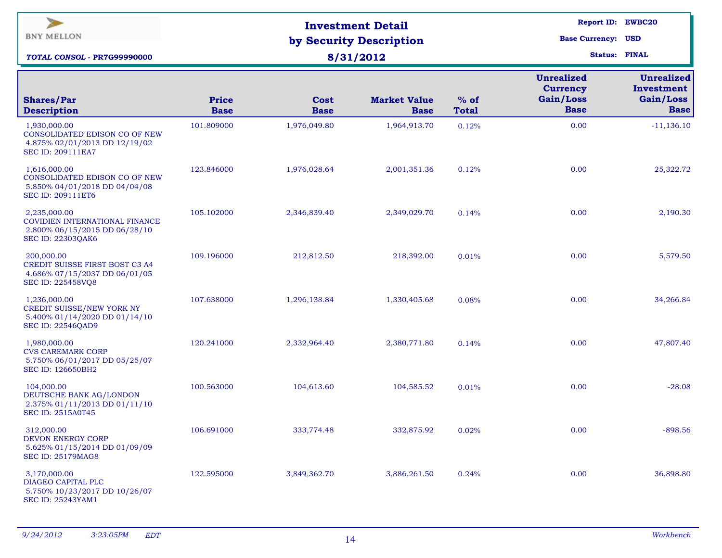| $\blacktriangleright$<br><b>BNY MELLON</b><br><b>TOTAL CONSOL - PR7G99990000</b>                            |                             | <b>Investment Detail</b><br>by Security Description<br>8/31/2012 | <b>Base Currency: USD</b>          | Report ID: EWBC20<br><b>Status: FINAL</b> |                                                                  |                                                             |
|-------------------------------------------------------------------------------------------------------------|-----------------------------|------------------------------------------------------------------|------------------------------------|-------------------------------------------|------------------------------------------------------------------|-------------------------------------------------------------|
| <b>Shares/Par</b><br><b>Description</b>                                                                     | <b>Price</b><br><b>Base</b> | <b>Cost</b><br><b>Base</b>                                       | <b>Market Value</b><br><b>Base</b> | $%$ of<br><b>Total</b>                    | <b>Unrealized</b><br><b>Currency</b><br>Gain/Loss<br><b>Base</b> | <b>Unrealized</b><br>Investment<br>Gain/Loss<br><b>Base</b> |
| 1,930,000.00<br>CONSOLIDATED EDISON CO OF NEW<br>4.875% 02/01/2013 DD 12/19/02<br><b>SEC ID: 209111EA7</b>  | 101.809000                  | 1,976,049.80                                                     | 1,964,913.70                       | 0.12%                                     | 0.00                                                             | $-11,136.10$                                                |
| 1,616,000.00<br>CONSOLIDATED EDISON CO OF NEW<br>5.850% 04/01/2018 DD 04/04/08<br>SEC ID: 209111ET6         | 123.846000                  | 1,976,028.64                                                     | 2,001,351.36                       | 0.12%                                     | 0.00                                                             | 25,322.72                                                   |
| 2,235,000.00<br>COVIDIEN INTERNATIONAL FINANCE<br>2.800% 06/15/2015 DD 06/28/10<br><b>SEC ID: 22303QAK6</b> | 105.102000                  | 2,346,839.40                                                     | 2,349,029.70                       | 0.14%                                     | 0.00                                                             | 2,190.30                                                    |
| 200,000.00<br>CREDIT SUISSE FIRST BOST C3 A4<br>4.686% 07/15/2037 DD 06/01/05<br>SEC ID: 225458VQ8          | 109.196000                  | 212,812.50                                                       | 218,392.00                         | 0.01%                                     | 0.00                                                             | 5,579.50                                                    |
| 1,236,000.00<br>CREDIT SUISSE/NEW YORK NY<br>5.400% 01/14/2020 DD 01/14/10<br><b>SEC ID: 22546QAD9</b>      | 107.638000                  | 1,296,138.84                                                     | 1,330,405.68                       | 0.08%                                     | 0.00                                                             | 34,266.84                                                   |
| 1,980,000.00<br><b>CVS CAREMARK CORP</b><br>5.750% 06/01/2017 DD 05/25/07<br>SEC ID: 126650BH2              | 120.241000                  | 2,332,964.40                                                     | 2,380,771.80                       | 0.14%                                     | 0.00                                                             | 47,807.40                                                   |
| 104,000.00<br>DEUTSCHE BANK AG/LONDON<br>2.375% 01/11/2013 DD 01/11/10<br><b>SEC ID: 2515A0T45</b>          | 100.563000                  | 104,613.60                                                       | 104,585.52                         | 0.01%                                     | 0.00                                                             | $-28.08$                                                    |
| 312,000.00<br>DEVON ENERGY CORP<br>5.625% 01/15/2014 DD 01/09/09<br><b>SEC ID: 25179MAG8</b>                | 106.691000                  | 333,774.48                                                       | 332,875.92                         | 0.02%                                     | 0.00                                                             | $-898.56$                                                   |
| 3,170,000.00<br>DIAGEO CAPITAL PLC<br>5.750% 10/23/2017 DD 10/26/07<br><b>SEC ID: 25243YAM1</b>             | 122.595000                  | 3,849,362.70                                                     | 3,886,261.50                       | 0.24%                                     | 0.00                                                             | 36,898.80                                                   |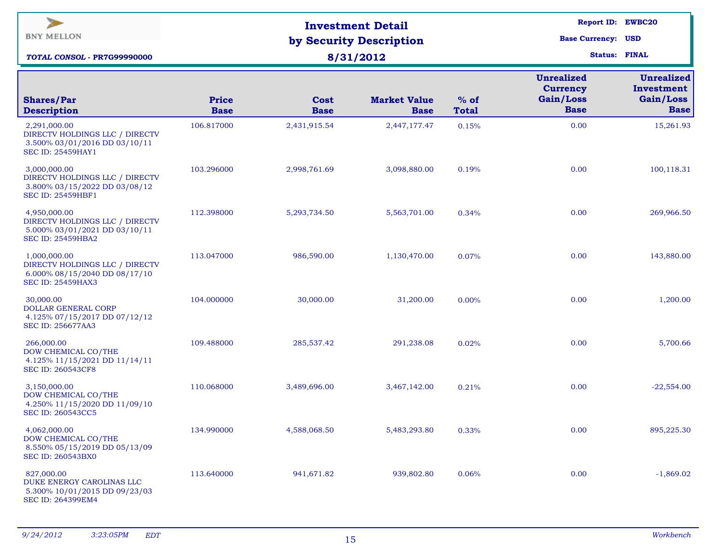| $\geq$<br><b>BNY MELLON</b><br><b>TOTAL CONSOL - PR7G99990000</b>                                           |                             | <b>Investment Detail</b><br>by Security Description<br>8/31/2012 | Report ID: EWBC20<br><b>Base Currency: USD</b><br><b>Status: FINAL</b> |                        |                                                                  |                                                             |
|-------------------------------------------------------------------------------------------------------------|-----------------------------|------------------------------------------------------------------|------------------------------------------------------------------------|------------------------|------------------------------------------------------------------|-------------------------------------------------------------|
| <b>Shares/Par</b><br><b>Description</b>                                                                     | <b>Price</b><br><b>Base</b> | Cost<br><b>Base</b>                                              | <b>Market Value</b><br><b>Base</b>                                     | $%$ of<br><b>Total</b> | <b>Unrealized</b><br><b>Currency</b><br>Gain/Loss<br><b>Base</b> | <b>Unrealized</b><br>Investment<br>Gain/Loss<br><b>Base</b> |
| 2,291,000.00<br>DIRECTV HOLDINGS LLC / DIRECTV<br>3.500% 03/01/2016 DD 03/10/11<br><b>SEC ID: 25459HAY1</b> | 106.817000                  | 2,431,915.54                                                     | 2,447,177.47                                                           | 0.15%                  | 0.00                                                             | 15,261.93                                                   |
| 3,000,000.00<br>DIRECTV HOLDINGS LLC / DIRECTV<br>3.800% 03/15/2022 DD 03/08/12<br><b>SEC ID: 25459HBF1</b> | 103.296000                  | 2,998,761.69                                                     | 3,098,880.00                                                           | 0.19%                  | 0.00                                                             | 100,118.31                                                  |
| 4,950,000.00<br>DIRECTV HOLDINGS LLC / DIRECTV<br>5.000% 03/01/2021 DD 03/10/11<br><b>SEC ID: 25459HBA2</b> | 112.398000                  | 5,293,734.50                                                     | 5,563,701.00                                                           | 0.34%                  | 0.00                                                             | 269,966.50                                                  |
| 1,000,000.00<br>DIRECTV HOLDINGS LLC / DIRECTV<br>6.000% 08/15/2040 DD 08/17/10<br><b>SEC ID: 25459HAX3</b> | 113.047000                  | 986,590.00                                                       | 1,130,470.00                                                           | 0.07%                  | 0.00                                                             | 143,880.00                                                  |
| 30,000.00<br>DOLLAR GENERAL CORP<br>4.125% 07/15/2017 DD 07/12/12<br><b>SEC ID: 256677AA3</b>               | 104.000000                  | 30,000.00                                                        | 31,200.00                                                              | 0.00%                  | 0.00                                                             | 1,200.00                                                    |
| 266,000.00<br>DOW CHEMICAL CO/THE<br>4.125% 11/15/2021 DD 11/14/11<br><b>SEC ID: 260543CF8</b>              | 109.488000                  | 285,537.42                                                       | 291,238.08                                                             | 0.02%                  | 0.00                                                             | 5,700.66                                                    |
| 3,150,000.00<br>DOW CHEMICAL CO/THE<br>4.250% 11/15/2020 DD 11/09/10<br>SEC ID: 260543CC5                   | 110.068000                  | 3,489,696.00                                                     | 3,467,142.00                                                           | 0.21%                  | 0.00                                                             | $-22,554.00$                                                |
| 4,062,000.00<br>DOW CHEMICAL CO/THE<br>8.550% 05/15/2019 DD 05/13/09<br><b>SEC ID: 260543BX0</b>            | 134.990000                  | 4,588,068.50                                                     | 5,483,293.80                                                           | 0.33%                  | 0.00                                                             | 895,225.30                                                  |
| 827,000.00<br>DUKE ENERGY CAROLINAS LLC<br>5.300% 10/01/2015 DD 09/23/03<br>SEC ID: 264399EM4               | 113.640000                  | 941,671.82                                                       | 939,802.80                                                             | 0.06%                  | 0.00                                                             | $-1,869.02$                                                 |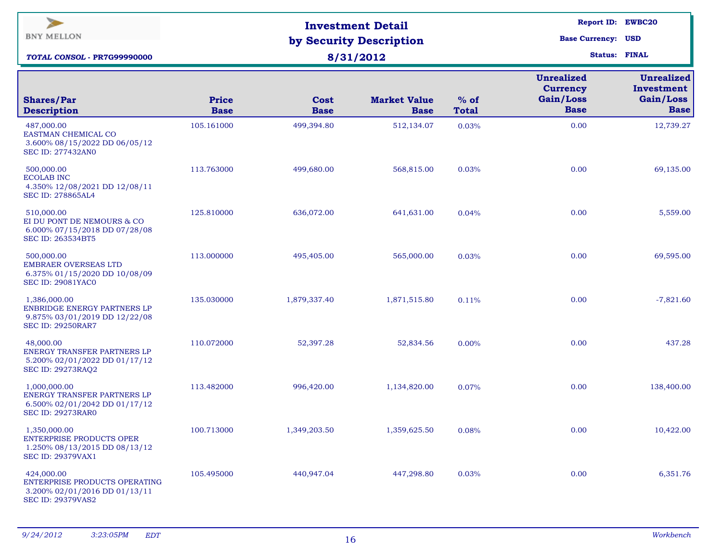| $\blacktriangleright$<br><b>BNY MELLON</b><br>TOTAL CONSOL - PR7G99990000                                |                             | <b>Investment Detail</b><br>by Security Description<br>8/31/2012 | <b>Report ID: EWBC20</b><br><b>Base Currency: USD</b><br><b>Status: FINAL</b> |                        |                                                                  |                                                             |
|----------------------------------------------------------------------------------------------------------|-----------------------------|------------------------------------------------------------------|-------------------------------------------------------------------------------|------------------------|------------------------------------------------------------------|-------------------------------------------------------------|
| <b>Shares/Par</b><br><b>Description</b>                                                                  | <b>Price</b><br><b>Base</b> | Cost<br><b>Base</b>                                              | <b>Market Value</b><br><b>Base</b>                                            | $%$ of<br><b>Total</b> | <b>Unrealized</b><br><b>Currency</b><br>Gain/Loss<br><b>Base</b> | <b>Unrealized</b><br>Investment<br>Gain/Loss<br><b>Base</b> |
| 487,000.00<br>EASTMAN CHEMICAL CO<br>3.600% 08/15/2022 DD 06/05/12<br><b>SEC ID: 277432AN0</b>           | 105.161000                  | 499,394.80                                                       | 512,134.07                                                                    | 0.03%                  | 0.00                                                             | 12,739.27                                                   |
| 500,000.00<br><b>ECOLAB INC</b><br>4.350% 12/08/2021 DD 12/08/11<br>SEC ID: 278865AL4                    | 113.763000                  | 499,680.00                                                       | 568,815.00                                                                    | 0.03%                  | 0.00                                                             | 69,135.00                                                   |
| 510,000.00<br>EI DU PONT DE NEMOURS & CO<br>6.000% 07/15/2018 DD 07/28/08<br><b>SEC ID: 263534BT5</b>    | 125.810000                  | 636,072.00                                                       | 641,631.00                                                                    | 0.04%                  | 0.00                                                             | 5,559.00                                                    |
| 500,000.00<br><b>EMBRAER OVERSEAS LTD</b><br>6.375% 01/15/2020 DD 10/08/09<br><b>SEC ID: 29081YAC0</b>   | 113.000000                  | 495,405.00                                                       | 565,000.00                                                                    | 0.03%                  | 0.00                                                             | 69,595.00                                                   |
| 1,386,000.00<br>ENBRIDGE ENERGY PARTNERS LP<br>9.875% 03/01/2019 DD 12/22/08<br><b>SEC ID: 29250RAR7</b> | 135.030000                  | 1,879,337.40                                                     | 1,871,515.80                                                                  | 0.11%                  | 0.00                                                             | $-7,821.60$                                                 |
| 48,000.00<br>ENERGY TRANSFER PARTNERS LP<br>5.200% 02/01/2022 DD 01/17/12<br><b>SEC ID: 29273RAQ2</b>    | 110.072000                  | 52,397.28                                                        | 52,834.56                                                                     | 0.00%                  | 0.00                                                             | 437.28                                                      |
| 1,000,000.00<br>ENERGY TRANSFER PARTNERS LP<br>6.500% 02/01/2042 DD 01/17/12<br><b>SEC ID: 29273RAR0</b> | 113.482000                  | 996,420.00                                                       | 1,134,820.00                                                                  | 0.07%                  | 0.00                                                             | 138,400.00                                                  |
| 1,350,000.00<br>ENTERPRISE PRODUCTS OPER<br>1.250% 08/13/2015 DD 08/13/12<br><b>SEC ID: 29379VAX1</b>    | 100.713000                  | 1,349,203.50                                                     | 1,359,625.50                                                                  | 0.08%                  | 0.00                                                             | 10,422.00                                                   |
| 424,000.00<br>ENTERPRISE PRODUCTS OPERATING<br>3.200% 02/01/2016 DD 01/13/11<br><b>SEC ID: 29379VAS2</b> | 105.495000                  | 440,947.04                                                       | 447,298.80                                                                    | 0.03%                  | 0.00                                                             | 6,351.76                                                    |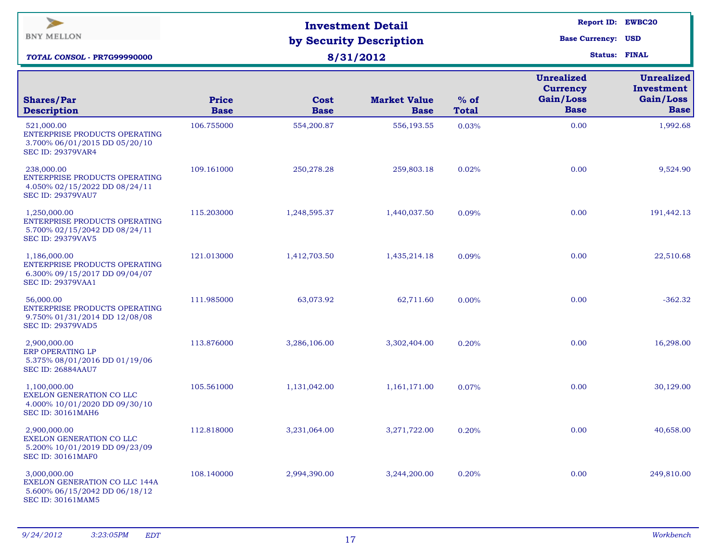| <b>Unrealized</b><br><b>Currency</b><br>Gain/Loss<br>$%$ of<br><b>Price</b><br><b>Market Value</b><br><b>Shares/Par</b><br><b>Cost</b><br><b>Base</b><br><b>Description</b><br><b>Base</b><br><b>Base</b><br><b>Total</b><br><b>Base</b><br>521,000.00<br>106.755000<br>0.00<br>554,200.87<br>556,193.55<br>0.03%<br>ENTERPRISE PRODUCTS OPERATING<br>3.700% 06/01/2015 DD 05/20/10<br><b>SEC ID: 29379VAR4</b><br>238,000.00<br>109.161000<br>0.00<br>250,278.28<br>259,803.18<br>0.02%<br>ENTERPRISE PRODUCTS OPERATING<br>4.050% 02/15/2022 DD 08/24/11<br><b>SEC ID: 29379VAU7</b><br>115.203000<br>0.00<br>1,250,000.00<br>1,248,595.37<br>1,440,037.50<br>0.09%<br>ENTERPRISE PRODUCTS OPERATING<br>5.700% 02/15/2042 DD 08/24/11 | $\blacktriangleright$<br><b>BNY MELLON</b><br><b>TOTAL CONSOL - PR7G99990000</b> | <b>Investment Detail</b><br>by Security Description<br>8/31/2012 | Report ID: EWBC20<br><b>Base Currency: USD</b><br><b>Status: FINAL</b> |  |                                                             |
|-----------------------------------------------------------------------------------------------------------------------------------------------------------------------------------------------------------------------------------------------------------------------------------------------------------------------------------------------------------------------------------------------------------------------------------------------------------------------------------------------------------------------------------------------------------------------------------------------------------------------------------------------------------------------------------------------------------------------------------------|----------------------------------------------------------------------------------|------------------------------------------------------------------|------------------------------------------------------------------------|--|-------------------------------------------------------------|
|                                                                                                                                                                                                                                                                                                                                                                                                                                                                                                                                                                                                                                                                                                                                         |                                                                                  |                                                                  |                                                                        |  | <b>Unrealized</b><br>Investment<br>Gain/Loss<br><b>Base</b> |
|                                                                                                                                                                                                                                                                                                                                                                                                                                                                                                                                                                                                                                                                                                                                         |                                                                                  |                                                                  |                                                                        |  | 1,992.68                                                    |
|                                                                                                                                                                                                                                                                                                                                                                                                                                                                                                                                                                                                                                                                                                                                         |                                                                                  |                                                                  |                                                                        |  | 9,524.90                                                    |
|                                                                                                                                                                                                                                                                                                                                                                                                                                                                                                                                                                                                                                                                                                                                         | <b>SEC ID: 29379VAV5</b>                                                         |                                                                  |                                                                        |  | 191,442.13                                                  |
| 0.00<br>1,186,000.00<br>121.013000<br>1,412,703.50<br>1,435,214.18<br>0.09%<br>ENTERPRISE PRODUCTS OPERATING<br>6.300% 09/15/2017 DD 09/04/07<br><b>SEC ID: 29379VAA1</b>                                                                                                                                                                                                                                                                                                                                                                                                                                                                                                                                                               |                                                                                  |                                                                  |                                                                        |  | 22,510.68                                                   |
| 0.00<br>56,000.00<br>111.985000<br>63,073.92<br>62,711.60<br>0.00%<br>ENTERPRISE PRODUCTS OPERATING<br>9.750% 01/31/2014 DD 12/08/08<br><b>SEC ID: 29379VAD5</b>                                                                                                                                                                                                                                                                                                                                                                                                                                                                                                                                                                        |                                                                                  |                                                                  |                                                                        |  | $-362.32$                                                   |
| 0.00<br>2,900,000.00<br>113.876000<br>3,286,106.00<br>3,302,404.00<br>0.20%<br>ERP OPERATING LP<br>5.375% 08/01/2016 DD 01/19/06<br><b>SEC ID: 26884AAU7</b>                                                                                                                                                                                                                                                                                                                                                                                                                                                                                                                                                                            |                                                                                  |                                                                  |                                                                        |  | 16,298.00                                                   |
| 0.00<br>105.561000<br>1,131,042.00<br>1,161,171.00<br>1,100,000.00<br>0.07%<br>EXELON GENERATION CO LLC<br>4.000% 10/01/2020 DD 09/30/10<br><b>SEC ID: 30161MAH6</b>                                                                                                                                                                                                                                                                                                                                                                                                                                                                                                                                                                    |                                                                                  |                                                                  |                                                                        |  | 30,129.00                                                   |
| 0.00<br>2,900,000.00<br>112.818000<br>3,231,064.00<br>3,271,722.00<br>0.20%<br>EXELON GENERATION CO LLC<br>5.200% 10/01/2019 DD 09/23/09<br><b>SEC ID: 30161MAF0</b>                                                                                                                                                                                                                                                                                                                                                                                                                                                                                                                                                                    |                                                                                  |                                                                  |                                                                        |  | 40,658.00                                                   |
| 0.00<br>3,000,000.00<br>108.140000<br>2,994,390.00<br>3,244,200.00<br>0.20%<br><b>EXELON GENERATION CO LLC 144A</b><br>5.600% 06/15/2042 DD 06/18/12<br><b>SEC ID: 30161MAM5</b>                                                                                                                                                                                                                                                                                                                                                                                                                                                                                                                                                        |                                                                                  |                                                                  |                                                                        |  | 249,810.00                                                  |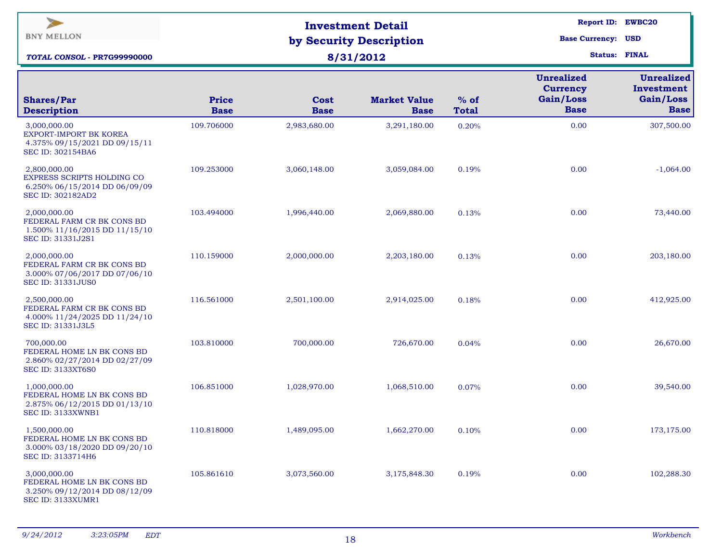| $\blacktriangleright$<br><b>BNY MELLON</b><br>TOTAL CONSOL - PR7G99990000                               |                             | <b>Investment Detail</b><br>by Security Description<br>8/31/2012 | Report ID: EWBC20<br><b>Base Currency: USD</b><br><b>Status: FINAL</b> |                        |                                                                  |                                                             |
|---------------------------------------------------------------------------------------------------------|-----------------------------|------------------------------------------------------------------|------------------------------------------------------------------------|------------------------|------------------------------------------------------------------|-------------------------------------------------------------|
| <b>Shares/Par</b><br><b>Description</b>                                                                 | <b>Price</b><br><b>Base</b> | Cost<br><b>Base</b>                                              | <b>Market Value</b><br><b>Base</b>                                     | $%$ of<br><b>Total</b> | <b>Unrealized</b><br><b>Currency</b><br>Gain/Loss<br><b>Base</b> | <b>Unrealized</b><br>Investment<br>Gain/Loss<br><b>Base</b> |
| 3,000,000.00<br>EXPORT-IMPORT BK KOREA<br>4.375% 09/15/2021 DD 09/15/11<br><b>SEC ID: 302154BA6</b>     | 109.706000                  | 2,983,680.00                                                     | 3,291,180.00                                                           | 0.20%                  | 0.00                                                             | 307,500.00                                                  |
| 2,800,000.00<br>EXPRESS SCRIPTS HOLDING CO<br>6.250% 06/15/2014 DD 06/09/09<br>SEC ID: 302182AD2        | 109.253000                  | 3,060,148.00                                                     | 3,059,084.00                                                           | 0.19%                  | 0.00                                                             | $-1,064.00$                                                 |
| 2,000,000.00<br>FEDERAL FARM CR BK CONS BD<br>1.500% 11/16/2015 DD 11/15/10<br>SEC ID: 31331J2S1        | 103.494000                  | 1,996,440.00                                                     | 2,069,880.00                                                           | 0.13%                  | 0.00                                                             | 73,440.00                                                   |
| 2,000,000.00<br>FEDERAL FARM CR BK CONS BD<br>3.000% 07/06/2017 DD 07/06/10<br><b>SEC ID: 31331JUS0</b> | 110.159000                  | 2,000,000.00                                                     | 2,203,180.00                                                           | 0.13%                  | 0.00                                                             | 203,180.00                                                  |
| 2,500,000.00<br>FEDERAL FARM CR BK CONS BD<br>4.000% 11/24/2025 DD 11/24/10<br>SEC ID: 31331J3L5        | 116.561000                  | 2,501,100.00                                                     | 2,914,025.00                                                           | 0.18%                  | 0.00                                                             | 412,925.00                                                  |
| 700,000.00<br>FEDERAL HOME LN BK CONS BD<br>2.860% 02/27/2014 DD 02/27/09<br><b>SEC ID: 3133XT6S0</b>   | 103.810000                  | 700,000.00                                                       | 726,670.00                                                             | 0.04%                  | 0.00                                                             | 26,670.00                                                   |
| 1,000,000.00<br>FEDERAL HOME LN BK CONS BD<br>2.875% 06/12/2015 DD 01/13/10<br>SEC ID: 3133XWNB1        | 106.851000                  | 1,028,970.00                                                     | 1,068,510.00                                                           | 0.07%                  | 0.00                                                             | 39,540.00                                                   |
| 1,500,000.00<br>FEDERAL HOME LN BK CONS BD<br>3.000% 03/18/2020 DD 09/20/10<br>SEC ID: 3133714H6        | 110.818000                  | 1,489,095.00                                                     | 1,662,270.00                                                           | 0.10%                  | 0.00                                                             | 173,175.00                                                  |
| 3,000,000.00<br>FEDERAL HOME LN BK CONS BD<br>3.250% 09/12/2014 DD 08/12/09<br>SEC ID: 3133XUMR1        | 105.861610                  | 3,073,560.00                                                     | 3,175,848.30                                                           | 0.19%                  | 0.00                                                             | 102,288.30                                                  |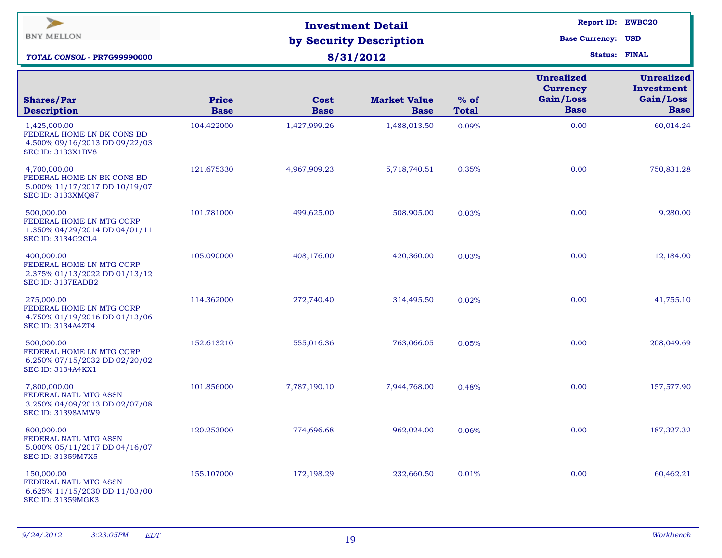| $\blacktriangleright$<br><b>BNY MELLON</b><br>TOTAL CONSOL - PR7G99990000                               |                             | <b>Investment Detail</b><br>by Security Description<br>8/31/2012 | Report ID: EWBC20<br><b>Base Currency: USD</b><br><b>Status: FINAL</b> |                        |                                                                  |                                                             |
|---------------------------------------------------------------------------------------------------------|-----------------------------|------------------------------------------------------------------|------------------------------------------------------------------------|------------------------|------------------------------------------------------------------|-------------------------------------------------------------|
| <b>Shares/Par</b><br><b>Description</b>                                                                 | <b>Price</b><br><b>Base</b> | Cost<br><b>Base</b>                                              | <b>Market Value</b><br><b>Base</b>                                     | $%$ of<br><b>Total</b> | <b>Unrealized</b><br><b>Currency</b><br>Gain/Loss<br><b>Base</b> | <b>Unrealized</b><br>Investment<br>Gain/Loss<br><b>Base</b> |
| 1,425,000.00<br>FEDERAL HOME LN BK CONS BD<br>4.500% 09/16/2013 DD 09/22/03<br><b>SEC ID: 3133X1BV8</b> | 104.422000                  | 1,427,999.26                                                     | 1,488,013.50                                                           | 0.09%                  | 0.00                                                             | 60,014.24                                                   |
| 4,700,000.00<br>FEDERAL HOME LN BK CONS BD<br>5.000% 11/17/2017 DD 10/19/07<br><b>SEC ID: 3133XMQ87</b> | 121.675330                  | 4,967,909.23                                                     | 5,718,740.51                                                           | 0.35%                  | 0.00                                                             | 750,831.28                                                  |
| 500,000.00<br>FEDERAL HOME LN MTG CORP<br>1.350% 04/29/2014 DD 04/01/11<br>SEC ID: 3134G2CL4            | 101.781000                  | 499,625.00                                                       | 508,905.00                                                             | 0.03%                  | 0.00                                                             | 9,280.00                                                    |
| 400,000.00<br>FEDERAL HOME LN MTG CORP<br>2.375% 01/13/2022 DD 01/13/12<br>SEC ID: 3137EADB2            | 105.090000                  | 408,176.00                                                       | 420,360.00                                                             | 0.03%                  | 0.00                                                             | 12,184.00                                                   |
| 275,000.00<br>FEDERAL HOME LN MTG CORP<br>4.750% 01/19/2016 DD 01/13/06<br><b>SEC ID: 3134A4ZT4</b>     | 114.362000                  | 272,740.40                                                       | 314,495.50                                                             | 0.02%                  | 0.00                                                             | 41,755.10                                                   |
| 500,000.00<br>FEDERAL HOME LN MTG CORP<br>6.250% 07/15/2032 DD 02/20/02<br><b>SEC ID: 3134A4KX1</b>     | 152.613210                  | 555,016.36                                                       | 763,066.05                                                             | 0.05%                  | 0.00                                                             | 208,049.69                                                  |
| 7,800,000.00<br>FEDERAL NATL MTG ASSN<br>3.250% 04/09/2013 DD 02/07/08<br><b>SEC ID: 31398AMW9</b>      | 101.856000                  | 7,787,190.10                                                     | 7,944,768.00                                                           | 0.48%                  | 0.00                                                             | 157,577.90                                                  |
| 800,000.00<br>FEDERAL NATL MTG ASSN<br>5.000% 05/11/2017 DD 04/16/07<br>SEC ID: 31359M7X5               | 120.253000                  | 774,696.68                                                       | 962,024.00                                                             | 0.06%                  | 0.00                                                             | 187, 327. 32                                                |
| 150,000.00<br>FEDERAL NATL MTG ASSN<br>6.625% 11/15/2030 DD 11/03/00<br><b>SEC ID: 31359MGK3</b>        | 155.107000                  | 172,198.29                                                       | 232,660.50                                                             | 0.01%                  | 0.00                                                             | 60,462.21                                                   |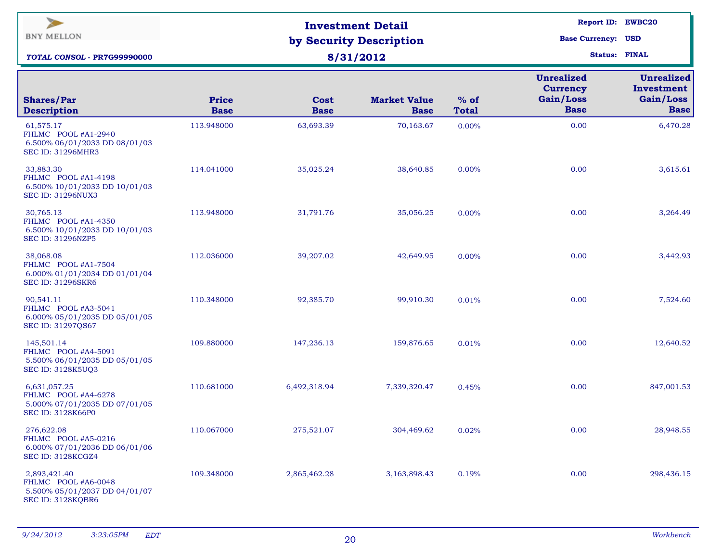| $\overline{\phantom{a}}$<br><b>BNY MELLON</b><br>TOTAL CONSOL - PR7G99990000                   |                             | <b>Investment Detail</b><br>by Security Description<br>8/31/2012 | <b>Report ID: EWBC20</b><br><b>Base Currency: USD</b><br><b>Status: FINAL</b> |                        |                                                                  |                                                             |
|------------------------------------------------------------------------------------------------|-----------------------------|------------------------------------------------------------------|-------------------------------------------------------------------------------|------------------------|------------------------------------------------------------------|-------------------------------------------------------------|
| <b>Shares/Par</b><br><b>Description</b>                                                        | <b>Price</b><br><b>Base</b> | Cost<br><b>Base</b>                                              | <b>Market Value</b><br><b>Base</b>                                            | $%$ of<br><b>Total</b> | <b>Unrealized</b><br><b>Currency</b><br>Gain/Loss<br><b>Base</b> | <b>Unrealized</b><br>Investment<br>Gain/Loss<br><b>Base</b> |
| 61,575.17<br>FHLMC POOL #A1-2940<br>6.500% 06/01/2033 DD 08/01/03<br><b>SEC ID: 31296MHR3</b>  | 113.948000                  | 63,693.39                                                        | 70,163.67                                                                     | 0.00%                  | 0.00                                                             | 6,470.28                                                    |
| 33,883.30<br>FHLMC POOL #A1-4198<br>6.500% 10/01/2033 DD 10/01/03<br><b>SEC ID: 31296NUX3</b>  | 114.041000                  | 35,025.24                                                        | 38,640.85                                                                     | $0.00\%$               | 0.00                                                             | 3,615.61                                                    |
| 30,765.13<br>FHLMC POOL #A1-4350<br>6.500% 10/01/2033 DD 10/01/03<br><b>SEC ID: 31296NZP5</b>  | 113.948000                  | 31,791.76                                                        | 35,056.25                                                                     | 0.00%                  | 0.00                                                             | 3,264.49                                                    |
| 38,068.08<br>FHLMC POOL #A1-7504<br>6.000% 01/01/2034 DD 01/01/04<br><b>SEC ID: 31296SKR6</b>  | 112.036000                  | 39,207.02                                                        | 42,649.95                                                                     | 0.00%                  | 0.00                                                             | 3,442.93                                                    |
| 90,541.11<br>FHLMC POOL #A3-5041<br>6.000% 05/01/2035 DD 05/01/05<br>SEC ID: 31297QS67         | 110.348000                  | 92,385.70                                                        | 99,910.30                                                                     | 0.01%                  | 0.00                                                             | 7,524.60                                                    |
| 145,501.14<br>FHLMC POOL #A4-5091<br>5.500% 06/01/2035 DD 05/01/05<br><b>SEC ID: 3128K5UQ3</b> | 109.880000                  | 147,236.13                                                       | 159,876.65                                                                    | 0.01%                  | 0.00                                                             | 12,640.52                                                   |
| 6,631,057.25<br>FHLMC POOL #A4-6278<br>5.000% 07/01/2035 DD 07/01/05<br>SEC ID: 3128K66P0      | 110.681000                  | 6,492,318.94                                                     | 7,339,320.47                                                                  | 0.45%                  | 0.00                                                             | 847,001.53                                                  |
| 276,622.08<br>FHLMC POOL #A5-0216<br>6.000% 07/01/2036 DD 06/01/06<br>SEC ID: 3128KCGZ4        | 110.067000                  | 275,521.07                                                       | 304,469.62                                                                    | 0.02%                  | 0.00                                                             | 28,948.55                                                   |
| 2,893,421.40<br>FHLMC POOL #A6-0048<br>5.500% 05/01/2037 DD 04/01/07<br>SEC ID: 3128KQBR6      | 109.348000                  | 2,865,462.28                                                     | 3,163,898.43                                                                  | 0.19%                  | 0.00                                                             | 298,436.15                                                  |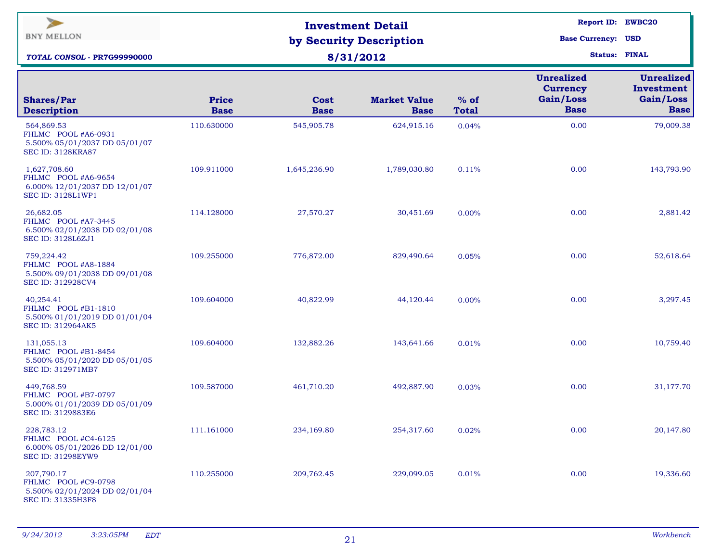| $\blacktriangleright$<br><b>BNY MELLON</b><br>TOTAL CONSOL - PR7G99990000                      |                             | <b>Investment Detail</b><br>by Security Description<br>8/31/2012 | <b>Report ID: EWBC20</b><br><b>Base Currency: USD</b><br><b>Status: FINAL</b> |                        |                                                                  |                                                             |
|------------------------------------------------------------------------------------------------|-----------------------------|------------------------------------------------------------------|-------------------------------------------------------------------------------|------------------------|------------------------------------------------------------------|-------------------------------------------------------------|
| <b>Shares/Par</b><br><b>Description</b>                                                        | <b>Price</b><br><b>Base</b> | Cost<br><b>Base</b>                                              | <b>Market Value</b><br><b>Base</b>                                            | $%$ of<br><b>Total</b> | <b>Unrealized</b><br><b>Currency</b><br>Gain/Loss<br><b>Base</b> | <b>Unrealized</b><br>Investment<br>Gain/Loss<br><b>Base</b> |
| 564,869.53<br>FHLMC POOL #A6-0931<br>5.500% 05/01/2037 DD 05/01/07<br><b>SEC ID: 3128KRA87</b> | 110.630000                  | 545,905.78                                                       | 624,915.16                                                                    | 0.04%                  | 0.00                                                             | 79,009.38                                                   |
| 1,627,708.60<br>FHLMC POOL #A6-9654<br>6.000% 12/01/2037 DD 12/01/07<br>SEC ID: 3128L1WP1      | 109.911000                  | 1,645,236.90                                                     | 1,789,030.80                                                                  | 0.11%                  | 0.00                                                             | 143,793.90                                                  |
| 26,682.05<br>FHLMC POOL #A7-3445<br>6.500% 02/01/2038 DD 02/01/08<br><b>SEC ID: 3128L6ZJ1</b>  | 114.128000                  | 27,570.27                                                        | 30,451.69                                                                     | 0.00%                  | 0.00                                                             | 2,881.42                                                    |
| 759,224.42<br>FHLMC POOL #A8-1884<br>5.500% 09/01/2038 DD 09/01/08<br>SEC ID: 312928CV4        | 109.255000                  | 776,872.00                                                       | 829,490.64                                                                    | 0.05%                  | 0.00                                                             | 52,618.64                                                   |
| 40,254.41<br>FHLMC POOL #B1-1810<br>5.500% 01/01/2019 DD 01/01/04<br>SEC ID: 312964AK5         | 109.604000                  | 40,822.99                                                        | 44,120.44                                                                     | 0.00%                  | 0.00                                                             | 3,297.45                                                    |
| 131,055.13<br>FHLMC POOL #B1-8454<br>5.500% 05/01/2020 DD 05/01/05<br>SEC ID: 312971MB7        | 109.604000                  | 132,882.26                                                       | 143,641.66                                                                    | 0.01%                  | 0.00                                                             | 10,759.40                                                   |
| 449,768.59<br>FHLMC POOL #B7-0797<br>5.000% 01/01/2039 DD 05/01/09<br>SEC ID: 3129883E6        | 109.587000                  | 461,710.20                                                       | 492,887.90                                                                    | 0.03%                  | 0.00                                                             | 31,177.70                                                   |
| 228,783.12<br>FHLMC POOL #C4-6125<br>6.000% 05/01/2026 DD 12/01/00<br><b>SEC ID: 31298EYW9</b> | 111.161000                  | 234,169.80                                                       | 254,317.60                                                                    | 0.02%                  | 0.00                                                             | 20,147.80                                                   |
| 207,790.17<br>FHLMC POOL #C9-0798<br>5.500% 02/01/2024 DD 02/01/04<br>SEC ID: 31335H3F8        | 110.255000                  | 209,762.45                                                       | 229,099.05                                                                    | 0.01%                  | 0.00                                                             | 19,336.60                                                   |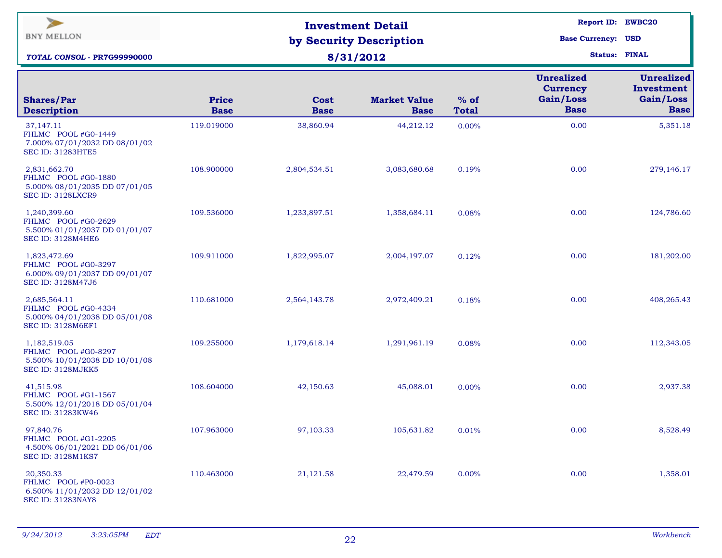| $\blacktriangleright$<br><b>BNY MELLON</b><br>TOTAL CONSOL - PR7G99990000                        |                             | <b>Investment Detail</b><br>by Security Description<br>8/31/2012 | <b>Report ID: EWBC20</b><br><b>Base Currency: USD</b><br><b>Status: FINAL</b> |                        |                                                                  |                                                             |
|--------------------------------------------------------------------------------------------------|-----------------------------|------------------------------------------------------------------|-------------------------------------------------------------------------------|------------------------|------------------------------------------------------------------|-------------------------------------------------------------|
| <b>Shares/Par</b><br><b>Description</b>                                                          | <b>Price</b><br><b>Base</b> | Cost<br><b>Base</b>                                              | <b>Market Value</b><br><b>Base</b>                                            | $%$ of<br><b>Total</b> | <b>Unrealized</b><br><b>Currency</b><br>Gain/Loss<br><b>Base</b> | <b>Unrealized</b><br>Investment<br>Gain/Loss<br><b>Base</b> |
| 37,147.11<br>FHLMC POOL #G0-1449<br>7.000% 07/01/2032 DD 08/01/02<br><b>SEC ID: 31283HTE5</b>    | 119.019000                  | 38,860.94                                                        | 44,212.12                                                                     | 0.00%                  | 0.00                                                             | 5,351.18                                                    |
| 2,831,662.70<br>FHLMC POOL #G0-1880<br>5.000% 08/01/2035 DD 07/01/05<br>SEC ID: 3128LXCR9        | 108.900000                  | 2,804,534.51                                                     | 3,083,680.68                                                                  | 0.19%                  | 0.00                                                             | 279,146.17                                                  |
| 1,240,399.60<br>FHLMC POOL #G0-2629<br>5.500% 01/01/2037 DD 01/01/07<br><b>SEC ID: 3128M4HE6</b> | 109.536000                  | 1,233,897.51                                                     | 1,358,684.11                                                                  | 0.08%                  | 0.00                                                             | 124,786.60                                                  |
| 1,823,472.69<br>FHLMC POOL #G0-3297<br>6.000% 09/01/2037 DD 09/01/07<br>SEC ID: 3128M47J6        | 109.911000                  | 1,822,995.07                                                     | 2,004,197.07                                                                  | 0.12%                  | 0.00                                                             | 181,202.00                                                  |
| 2,685,564.11<br>FHLMC POOL #G0-4334<br>5.000% 04/01/2038 DD 05/01/08<br><b>SEC ID: 3128M6EF1</b> | 110.681000                  | 2,564,143.78                                                     | 2,972,409.21                                                                  | 0.18%                  | 0.00                                                             | 408,265.43                                                  |
| 1,182,519.05<br>FHLMC POOL #G0-8297<br>5.500% 10/01/2038 DD 10/01/08<br>SEC ID: 3128MJKK5        | 109.255000                  | 1,179,618.14                                                     | 1,291,961.19                                                                  | 0.08%                  | 0.00                                                             | 112,343.05                                                  |
| 41,515.98<br>FHLMC POOL #G1-1567<br>5.500% 12/01/2018 DD 05/01/04<br>SEC ID: 31283KW46           | 108.604000                  | 42,150.63                                                        | 45,088.01                                                                     | 0.00%                  | 0.00                                                             | 2,937.38                                                    |
| 97,840.76<br>FHLMC POOL #G1-2205<br>4.500% 06/01/2021 DD 06/01/06<br><b>SEC ID: 3128M1KS7</b>    | 107.963000                  | 97,103.33                                                        | 105,631.82                                                                    | 0.01%                  | 0.00                                                             | 8,528.49                                                    |
| 20,350.33<br>FHLMC POOL #P0-0023<br>6.500% 11/01/2032 DD 12/01/02<br><b>SEC ID: 31283NAY8</b>    | 110.463000                  | 21,121.58                                                        | 22,479.59                                                                     | $0.00\%$               | 0.00                                                             | 1,358.01                                                    |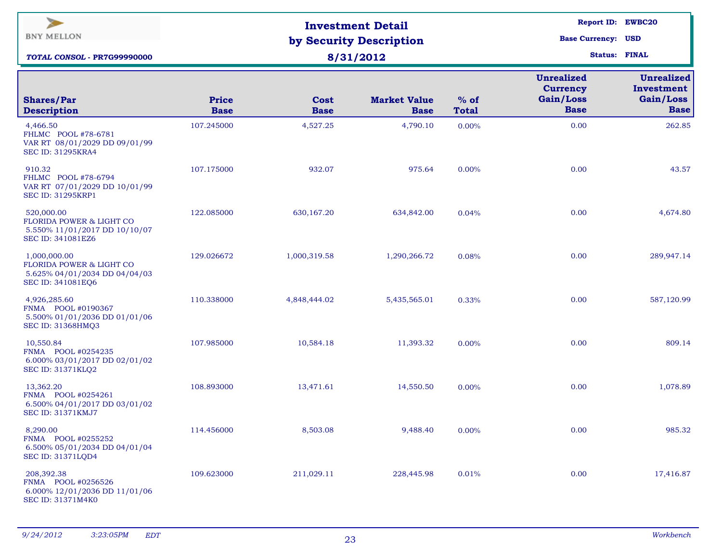| $\blacktriangleright$<br><b>BNY MELLON</b><br><b>TOTAL CONSOL - PR7G99990000</b>                          |                             | <b>Investment Detail</b><br>by Security Description<br>8/31/2012 | <b>Report ID: EWBC20</b><br><b>Base Currency: USD</b><br><b>Status: FINAL</b> |                        |                                                                  |                                                             |
|-----------------------------------------------------------------------------------------------------------|-----------------------------|------------------------------------------------------------------|-------------------------------------------------------------------------------|------------------------|------------------------------------------------------------------|-------------------------------------------------------------|
| <b>Shares/Par</b><br><b>Description</b>                                                                   | <b>Price</b><br><b>Base</b> | Cost<br><b>Base</b>                                              | <b>Market Value</b><br><b>Base</b>                                            | $%$ of<br><b>Total</b> | <b>Unrealized</b><br><b>Currency</b><br>Gain/Loss<br><b>Base</b> | <b>Unrealized</b><br>Investment<br>Gain/Loss<br><b>Base</b> |
| 4,466.50<br>FHLMC POOL #78-6781<br>VAR RT 08/01/2029 DD 09/01/99<br><b>SEC ID: 31295KRA4</b>              | 107.245000                  | 4,527.25                                                         | 4,790.10                                                                      | 0.00%                  | 0.00                                                             | 262.85                                                      |
| 910.32<br>FHLMC POOL #78-6794<br>VAR RT 07/01/2029 DD 10/01/99<br><b>SEC ID: 31295KRP1</b>                | 107.175000                  | 932.07                                                           | 975.64                                                                        | 0.00%                  | 0.00                                                             | 43.57                                                       |
| 520,000.00<br><b>FLORIDA POWER &amp; LIGHT CO</b><br>5.550% 11/01/2017 DD 10/10/07<br>SEC ID: 341081EZ6   | 122.085000                  | 630,167.20                                                       | 634,842.00                                                                    | 0.04%                  | 0.00                                                             | 4,674.80                                                    |
| 1,000,000.00<br><b>FLORIDA POWER &amp; LIGHT CO</b><br>5.625% 04/01/2034 DD 04/04/03<br>SEC ID: 341081EQ6 | 129.026672                  | 1,000,319.58                                                     | 1,290,266.72                                                                  | 0.08%                  | 0.00                                                             | 289,947.14                                                  |
| 4,926,285.60<br>FNMA POOL #0190367<br>5.500% 01/01/2036 DD 01/01/06<br>SEC ID: 31368HMQ3                  | 110.338000                  | 4,848,444.02                                                     | 5,435,565.01                                                                  | 0.33%                  | 0.00                                                             | 587,120.99                                                  |
| 10,550.84<br>FNMA POOL #0254235<br>6.000% 03/01/2017 DD 02/01/02<br>SEC ID: 31371KLQ2                     | 107.985000                  | 10,584.18                                                        | 11,393.32                                                                     | $0.00\%$               | 0.00                                                             | 809.14                                                      |
| 13,362.20<br>FNMA POOL #0254261<br>6.500% 04/01/2017 DD 03/01/02<br><b>SEC ID: 31371KMJ7</b>              | 108.893000                  | 13,471.61                                                        | 14,550.50                                                                     | $0.00\%$               | 0.00                                                             | 1,078.89                                                    |
| 8,290.00<br>FNMA POOL #0255252<br>6.500% 05/01/2034 DD 04/01/04<br>SEC ID: 31371LQD4                      | 114.456000                  | 8,503.08                                                         | 9,488.40                                                                      | 0.00%                  | 0.00                                                             | 985.32                                                      |
| 208,392.38<br>FNMA POOL #0256526<br>6.000% 12/01/2036 DD 11/01/06<br>SEC ID: 31371M4K0                    | 109.623000                  | 211,029.11                                                       | 228,445.98                                                                    | 0.01%                  | 0.00                                                             | 17,416.87                                                   |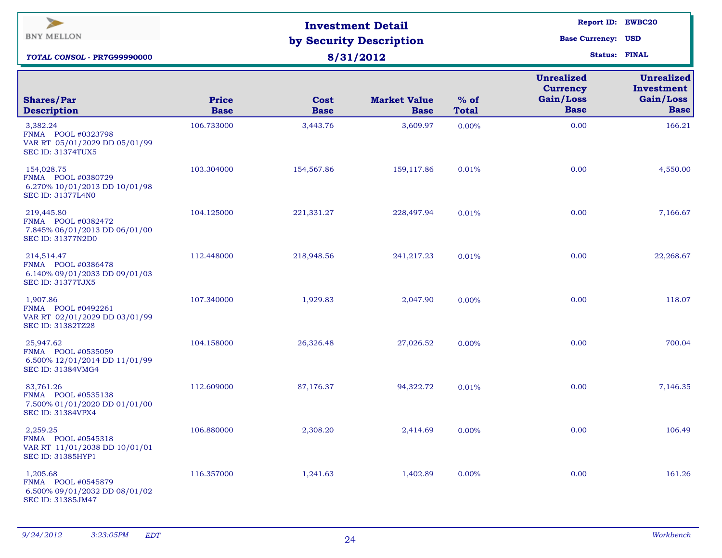| <b>Unrealized</b><br><b>Currency</b><br>Gain/Loss<br><b>Price</b><br><b>Market Value</b><br>$%$ of<br><b>Shares/Par</b><br>Cost<br><b>Base</b><br><b>Description</b><br><b>Base</b><br><b>Base</b><br><b>Base</b><br><b>Total</b><br>3,382.24<br>106.733000<br>3,609.97<br>0.00<br>3,443.76<br>0.00%<br>FNMA POOL #0323798<br>VAR RT 05/01/2029 DD 05/01/99<br><b>SEC ID: 31374TUX5</b><br>154,028.75<br>103.304000<br>0.00<br>154,567.86<br>159,117.86<br>0.01%<br>FNMA POOL #0380729<br>6.270% 10/01/2013 DD 10/01/98<br><b>SEC ID: 31377L4N0</b><br>104.125000<br>0.01% | $\blacktriangleright$<br><b>BNY MELLON</b><br>TOTAL CONSOL - PR7G99990000 | <b>Investment Detail</b><br>by Security Description<br>8/31/2012 | <b>Report ID: EWBC20</b><br><b>Base Currency: USD</b> | <b>Status: FINAL</b> |      |                                                             |
|----------------------------------------------------------------------------------------------------------------------------------------------------------------------------------------------------------------------------------------------------------------------------------------------------------------------------------------------------------------------------------------------------------------------------------------------------------------------------------------------------------------------------------------------------------------------------|---------------------------------------------------------------------------|------------------------------------------------------------------|-------------------------------------------------------|----------------------|------|-------------------------------------------------------------|
|                                                                                                                                                                                                                                                                                                                                                                                                                                                                                                                                                                            |                                                                           |                                                                  |                                                       |                      |      | <b>Unrealized</b><br>Investment<br>Gain/Loss<br><b>Base</b> |
|                                                                                                                                                                                                                                                                                                                                                                                                                                                                                                                                                                            |                                                                           |                                                                  |                                                       |                      |      | 166.21                                                      |
|                                                                                                                                                                                                                                                                                                                                                                                                                                                                                                                                                                            |                                                                           |                                                                  |                                                       |                      |      | 4,550.00                                                    |
| FNMA POOL #0382472<br>7.845% 06/01/2013 DD 06/01/00<br><b>SEC ID: 31377N2D0</b>                                                                                                                                                                                                                                                                                                                                                                                                                                                                                            | 219,445.80                                                                | 221,331.27                                                       | 228,497.94                                            |                      | 0.00 | 7,166.67                                                    |
| 214,514.47<br>112.448000<br>218,948.56<br>241,217.23<br>0.00<br>0.01%<br>FNMA POOL #0386478<br>6.140% 09/01/2033 DD 09/01/03<br><b>SEC ID: 31377TJX5</b>                                                                                                                                                                                                                                                                                                                                                                                                                   |                                                                           |                                                                  |                                                       |                      |      | 22,268.67                                                   |
| 0.00<br>1,907.86<br>107.340000<br>1,929.83<br>2,047.90<br>0.00%<br>FNMA POOL #0492261<br>VAR RT 02/01/2029 DD 03/01/99<br>SEC ID: 31382TZ28                                                                                                                                                                                                                                                                                                                                                                                                                                |                                                                           |                                                                  |                                                       |                      |      | 118.07                                                      |
| 25,947.62<br>0.00<br>104.158000<br>26,326.48<br>27,026.52<br>0.00%<br>FNMA POOL #0535059<br>6.500% 12/01/2014 DD 11/01/99<br>SEC ID: 31384VMG4                                                                                                                                                                                                                                                                                                                                                                                                                             |                                                                           |                                                                  |                                                       |                      |      | 700.04                                                      |
| 0.00<br>83,761.26<br>112.609000<br>87,176.37<br>94,322.72<br>0.01%<br>FNMA POOL #0535138<br>7.500% 01/01/2020 DD 01/01/00<br><b>SEC ID: 31384VPX4</b>                                                                                                                                                                                                                                                                                                                                                                                                                      |                                                                           |                                                                  |                                                       |                      |      | 7,146.35                                                    |
| 2,259.25<br>106.880000<br>2,308.20<br>2,414.69<br>0.00<br>0.00%<br>FNMA POOL #0545318<br>VAR RT 11/01/2038 DD 10/01/01<br>SEC ID: 31385HYP1                                                                                                                                                                                                                                                                                                                                                                                                                                |                                                                           |                                                                  |                                                       |                      |      | 106.49                                                      |
| 1,205.68<br>116.357000<br>0.00<br>1,241.63<br>1,402.89<br>0.00%<br>FNMA POOL #0545879<br>6.500% 09/01/2032 DD 08/01/02<br>SEC ID: 31385JM47                                                                                                                                                                                                                                                                                                                                                                                                                                |                                                                           |                                                                  |                                                       |                      |      | 161.26                                                      |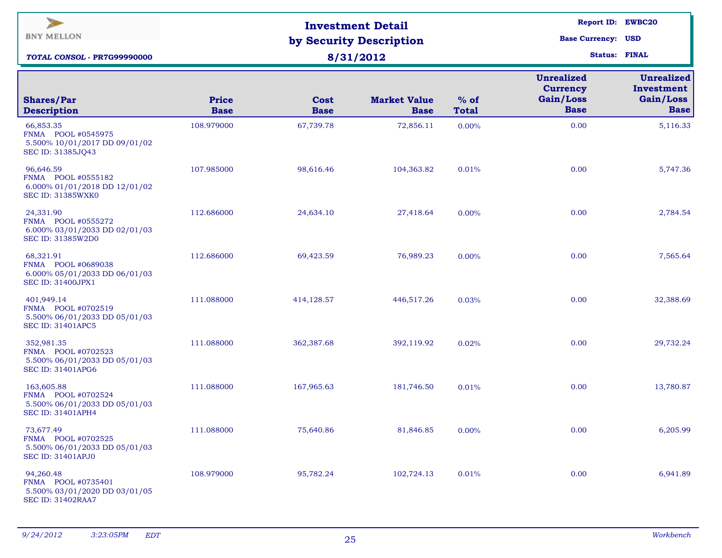| $\overline{\phantom{a}}$<br><b>BNY MELLON</b><br><b>TOTAL CONSOL - PR7G99990000</b>           |                             | <b>Investment Detail</b><br>by Security Description<br>8/31/2012 | <b>Report ID: EWBC20</b><br><b>Base Currency: USD</b><br><b>Status: FINAL</b> |                        |                                                                  |                                                             |
|-----------------------------------------------------------------------------------------------|-----------------------------|------------------------------------------------------------------|-------------------------------------------------------------------------------|------------------------|------------------------------------------------------------------|-------------------------------------------------------------|
| <b>Shares/Par</b><br><b>Description</b>                                                       | <b>Price</b><br><b>Base</b> | Cost<br><b>Base</b>                                              | <b>Market Value</b><br><b>Base</b>                                            | $%$ of<br><b>Total</b> | <b>Unrealized</b><br><b>Currency</b><br>Gain/Loss<br><b>Base</b> | <b>Unrealized</b><br>Investment<br>Gain/Loss<br><b>Base</b> |
| 66,853.35<br>FNMA POOL #0545975<br>5.500% 10/01/2017 DD 09/01/02<br>SEC ID: 31385JQ43         | 108.979000                  | 67,739.78                                                        | 72,856.11                                                                     | 0.00%                  | 0.00                                                             | 5,116.33                                                    |
| 96,646.59<br>FNMA POOL #0555182<br>6.000% 01/01/2018 DD 12/01/02<br><b>SEC ID: 31385WXK0</b>  | 107.985000                  | 98,616.46                                                        | 104,363.82                                                                    | 0.01%                  | 0.00                                                             | 5,747.36                                                    |
| 24,331.90<br>FNMA POOL #0555272<br>6.000% 03/01/2033 DD 02/01/03<br>SEC ID: 31385W2D0         | 112.686000                  | 24,634.10                                                        | 27,418.64                                                                     | 0.00%                  | 0.00                                                             | 2,784.54                                                    |
| 68,321.91<br>FNMA POOL #0689038<br>6.000% 05/01/2033 DD 06/01/03<br><b>SEC ID: 31400JPX1</b>  | 112.686000                  | 69,423.59                                                        | 76,989.23                                                                     | 0.00%                  | 0.00                                                             | 7,565.64                                                    |
| 401,949.14<br>FNMA POOL #0702519<br>5.500% 06/01/2033 DD 05/01/03<br><b>SEC ID: 31401APC5</b> | 111.088000                  | 414,128.57                                                       | 446,517.26                                                                    | 0.03%                  | 0.00                                                             | 32,388.69                                                   |
| 352,981.35<br>FNMA POOL #0702523<br>5.500% 06/01/2033 DD 05/01/03<br><b>SEC ID: 31401APG6</b> | 111.088000                  | 362,387.68                                                       | 392,119.92                                                                    | 0.02%                  | 0.00                                                             | 29,732.24                                                   |
| 163,605.88<br>FNMA POOL #0702524<br>5.500% 06/01/2033 DD 05/01/03<br><b>SEC ID: 31401APH4</b> | 111.088000                  | 167,965.63                                                       | 181,746.50                                                                    | 0.01%                  | 0.00                                                             | 13,780.87                                                   |
| 73,677.49<br>FNMA POOL #0702525<br>5.500% 06/01/2033 DD 05/01/03<br><b>SEC ID: 31401APJ0</b>  | 111.088000                  | 75,640.86                                                        | 81,846.85                                                                     | 0.00%                  | 0.00                                                             | 6,205.99                                                    |
| 94,260.48<br>FNMA POOL #0735401<br>5.500% 03/01/2020 DD 03/01/05<br><b>SEC ID: 31402RAA7</b>  | 108.979000                  | 95,782.24                                                        | 102,724.13                                                                    | 0.01%                  | 0.00                                                             | 6,941.89                                                    |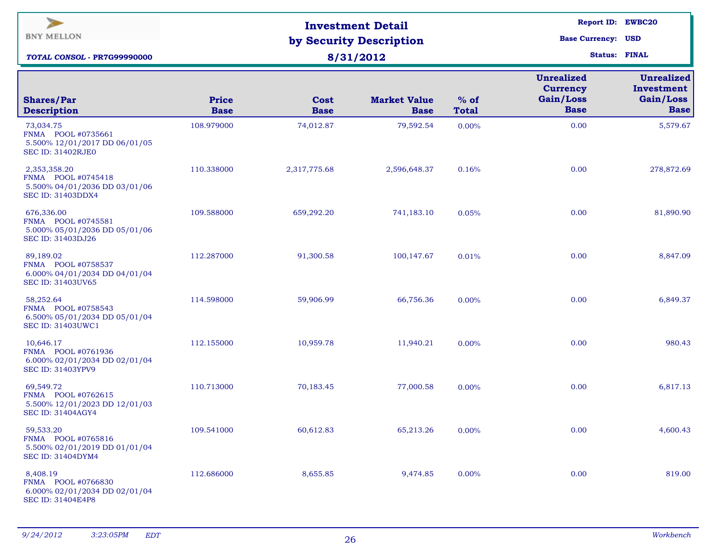| $\blacktriangleright$<br><b>BNY MELLON</b><br><b>TOTAL CONSOL - PR7G99990000</b>                |                             | <b>Investment Detail</b><br>by Security Description<br>8/31/2012 | <b>Report ID: EWBC20</b><br><b>Base Currency: USD</b><br><b>Status: FINAL</b> |                        |                                                                  |                                                             |
|-------------------------------------------------------------------------------------------------|-----------------------------|------------------------------------------------------------------|-------------------------------------------------------------------------------|------------------------|------------------------------------------------------------------|-------------------------------------------------------------|
| <b>Shares/Par</b><br><b>Description</b>                                                         | <b>Price</b><br><b>Base</b> | Cost<br><b>Base</b>                                              | <b>Market Value</b><br><b>Base</b>                                            | $%$ of<br><b>Total</b> | <b>Unrealized</b><br><b>Currency</b><br>Gain/Loss<br><b>Base</b> | <b>Unrealized</b><br>Investment<br>Gain/Loss<br><b>Base</b> |
| 73,034.75<br>FNMA POOL #0735661<br>5.500% 12/01/2017 DD 06/01/05<br><b>SEC ID: 31402RJE0</b>    | 108.979000                  | 74,012.87                                                        | 79,592.54                                                                     | 0.00%                  | 0.00                                                             | 5,579.67                                                    |
| 2,353,358.20<br>FNMA POOL #0745418<br>5.500% 04/01/2036 DD 03/01/06<br><b>SEC ID: 31403DDX4</b> | 110.338000                  | 2,317,775.68                                                     | 2,596,648.37                                                                  | 0.16%                  | 0.00                                                             | 278,872.69                                                  |
| 676,336.00<br>FNMA POOL #0745581<br>5.000% 05/01/2036 DD 05/01/06<br>SEC ID: 31403DJ26          | 109.588000                  | 659,292.20                                                       | 741,183.10                                                                    | 0.05%                  | 0.00                                                             | 81,890.90                                                   |
| 89,189.02<br>FNMA POOL #0758537<br>6.000% 04/01/2034 DD 04/01/04<br>SEC ID: 31403UV65           | 112.287000                  | 91,300.58                                                        | 100,147.67                                                                    | 0.01%                  | 0.00                                                             | 8,847.09                                                    |
| 58,252.64<br>FNMA POOL #0758543<br>6.500% 05/01/2034 DD 05/01/04<br><b>SEC ID: 31403UWC1</b>    | 114.598000                  | 59,906.99                                                        | 66,756.36                                                                     | 0.00%                  | 0.00                                                             | 6,849.37                                                    |
| 10,646.17<br>FNMA POOL #0761936<br>6.000% 02/01/2034 DD 02/01/04<br><b>SEC ID: 31403YPV9</b>    | 112.155000                  | 10,959.78                                                        | 11,940.21                                                                     | $0.00\%$               | 0.00                                                             | 980.43                                                      |
| 69,549.72<br>FNMA POOL #0762615<br>5.500% 12/01/2023 DD 12/01/03<br><b>SEC ID: 31404AGY4</b>    | 110.713000                  | 70,183.45                                                        | 77,000.58                                                                     | $0.00\%$               | 0.00                                                             | 6,817.13                                                    |
| 59,533.20<br>FNMA POOL #0765816<br>5.500% 02/01/2019 DD 01/01/04<br>SEC ID: 31404DYM4           | 109.541000                  | 60,612.83                                                        | 65,213.26                                                                     | 0.00%                  | 0.00                                                             | 4,600.43                                                    |
| 8,408.19<br>FNMA POOL #0766830<br>6.000% 02/01/2034 DD 02/01/04<br>SEC ID: 31404E4P8            | 112.686000                  | 8,655.85                                                         | 9,474.85                                                                      | 0.00%                  | 0.00                                                             | 819.00                                                      |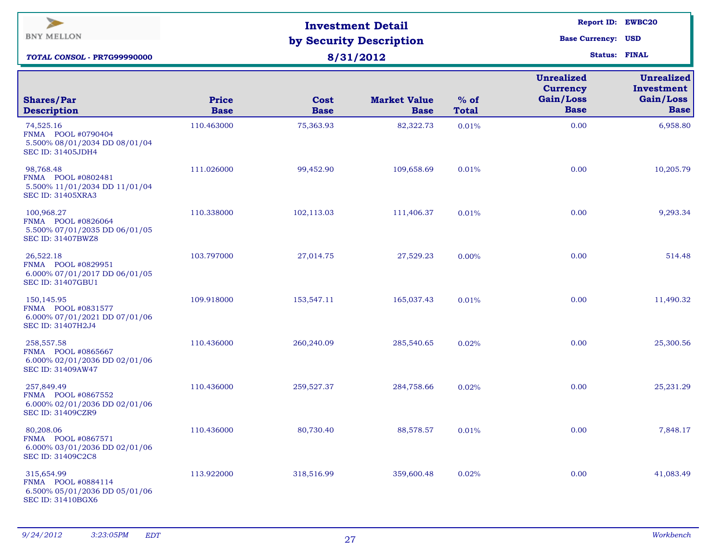| $\overline{\phantom{a}}$<br><b>BNY MELLON</b><br>TOTAL CONSOL - PR7G99990000                  |                             | <b>Investment Detail</b><br>by Security Description<br>8/31/2012 | <b>Report ID: EWBC20</b><br><b>Base Currency: USD</b><br><b>Status: FINAL</b> |                        |                                                                  |                                                             |
|-----------------------------------------------------------------------------------------------|-----------------------------|------------------------------------------------------------------|-------------------------------------------------------------------------------|------------------------|------------------------------------------------------------------|-------------------------------------------------------------|
| <b>Shares/Par</b><br><b>Description</b>                                                       | <b>Price</b><br><b>Base</b> | Cost<br><b>Base</b>                                              | <b>Market Value</b><br><b>Base</b>                                            | $%$ of<br><b>Total</b> | <b>Unrealized</b><br><b>Currency</b><br>Gain/Loss<br><b>Base</b> | <b>Unrealized</b><br>Investment<br>Gain/Loss<br><b>Base</b> |
| 74,525.16<br>FNMA POOL #0790404<br>5.500% 08/01/2034 DD 08/01/04<br><b>SEC ID: 31405JDH4</b>  | 110.463000                  | 75,363.93                                                        | 82,322.73                                                                     | 0.01%                  | 0.00                                                             | 6,958.80                                                    |
| 98,768.48<br>FNMA POOL #0802481<br>5.500% 11/01/2034 DD 11/01/04<br><b>SEC ID: 31405XRA3</b>  | 111.026000                  | 99,452.90                                                        | 109,658.69                                                                    | 0.01%                  | 0.00                                                             | 10,205.79                                                   |
| 100,968.27<br>FNMA POOL #0826064<br>5.500% 07/01/2035 DD 06/01/05<br><b>SEC ID: 31407BWZ8</b> | 110.338000                  | 102,113.03                                                       | 111,406.37                                                                    | 0.01%                  | 0.00                                                             | 9,293.34                                                    |
| 26,522.18<br>FNMA POOL #0829951<br>6.000% 07/01/2017 DD 06/01/05<br><b>SEC ID: 31407GBU1</b>  | 103.797000                  | 27,014.75                                                        | 27,529.23                                                                     | 0.00%                  | 0.00                                                             | 514.48                                                      |
| 150,145.95<br>FNMA POOL #0831577<br>6.000% 07/01/2021 DD 07/01/06<br>SEC ID: 31407H2J4        | 109.918000                  | 153,547.11                                                       | 165,037.43                                                                    | 0.01%                  | 0.00                                                             | 11,490.32                                                   |
| 258,557.58<br>FNMA POOL #0865667<br>6.000% 02/01/2036 DD 02/01/06<br>SEC ID: 31409AW47        | 110.436000                  | 260,240.09                                                       | 285,540.65                                                                    | 0.02%                  | 0.00                                                             | 25,300.56                                                   |
| 257,849.49<br>FNMA POOL #0867552<br>6.000% 02/01/2036 DD 02/01/06<br><b>SEC ID: 31409CZR9</b> | 110.436000                  | 259,527.37                                                       | 284,758.66                                                                    | 0.02%                  | 0.00                                                             | 25, 231. 29                                                 |
| 80,208.06<br>FNMA POOL #0867571<br>6.000% 03/01/2036 DD 02/01/06<br>SEC ID: 31409C2C8         | 110.436000                  | 80,730.40                                                        | 88,578.57                                                                     | 0.01%                  | 0.00                                                             | 7,848.17                                                    |
| 315,654.99<br>FNMA POOL #0884114<br>6.500% 05/01/2036 DD 05/01/06<br><b>SEC ID: 31410BGX6</b> | 113.922000                  | 318,516.99                                                       | 359,600.48                                                                    | 0.02%                  | 0.00                                                             | 41,083.49                                                   |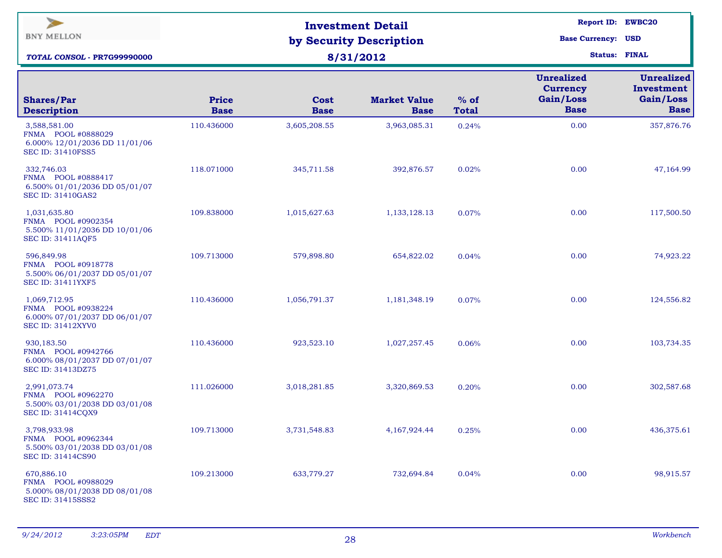| $\blacktriangleright$<br><b>BNY MELLON</b><br>TOTAL CONSOL - PR7G99990000                       |                             | <b>Investment Detail</b><br>by Security Description<br>8/31/2012 | <b>Report ID: EWBC20</b><br><b>Base Currency: USD</b><br><b>Status: FINAL</b> |                        |                                                                  |                                                             |
|-------------------------------------------------------------------------------------------------|-----------------------------|------------------------------------------------------------------|-------------------------------------------------------------------------------|------------------------|------------------------------------------------------------------|-------------------------------------------------------------|
| <b>Shares/Par</b><br><b>Description</b>                                                         | <b>Price</b><br><b>Base</b> | Cost<br><b>Base</b>                                              | <b>Market Value</b><br><b>Base</b>                                            | $%$ of<br><b>Total</b> | <b>Unrealized</b><br><b>Currency</b><br>Gain/Loss<br><b>Base</b> | <b>Unrealized</b><br>Investment<br>Gain/Loss<br><b>Base</b> |
| 3,588,581.00<br>FNMA POOL #0888029<br>6.000% 12/01/2036 DD 11/01/06<br><b>SEC ID: 31410FSS5</b> | 110.436000                  | 3,605,208.55                                                     | 3,963,085.31                                                                  | 0.24%                  | 0.00                                                             | 357,876.76                                                  |
| 332,746.03<br>FNMA POOL #0888417<br>6.500% 01/01/2036 DD 05/01/07<br>SEC ID: 31410GAS2          | 118.071000                  | 345,711.58                                                       | 392,876.57                                                                    | 0.02%                  | 0.00                                                             | 47,164.99                                                   |
| 1,031,635.80<br>FNMA POOL #0902354<br>5.500% 11/01/2036 DD 10/01/06<br>SEC ID: 31411AQF5        | 109.838000                  | 1,015,627.63                                                     | 1,133,128.13                                                                  | 0.07%                  | 0.00                                                             | 117,500.50                                                  |
| 596,849.98<br>FNMA POOL #0918778<br>5.500% 06/01/2037 DD 05/01/07<br><b>SEC ID: 31411YXF5</b>   | 109.713000                  | 579,898.80                                                       | 654,822.02                                                                    | 0.04%                  | 0.00                                                             | 74,923.22                                                   |
| 1,069,712.95<br>FNMA POOL #0938224<br>6.000% 07/01/2037 DD 06/01/07<br><b>SEC ID: 31412XYV0</b> | 110.436000                  | 1,056,791.37                                                     | 1,181,348.19                                                                  | 0.07%                  | 0.00                                                             | 124,556.82                                                  |
| 930,183.50<br>FNMA POOL #0942766<br>6.000% 08/01/2037 DD 07/01/07<br>SEC ID: 31413DZ75          | 110.436000                  | 923,523.10                                                       | 1,027,257.45                                                                  | 0.06%                  | 0.00                                                             | 103,734.35                                                  |
| 2,991,073.74<br>FNMA POOL #0962270<br>5.500% 03/01/2038 DD 03/01/08<br>SEC ID: 31414CQX9        | 111.026000                  | 3,018,281.85                                                     | 3,320,869.53                                                                  | 0.20%                  | 0.00                                                             | 302,587.68                                                  |
| 3,798,933.98<br>FNMA POOL #0962344<br>5.500% 03/01/2038 DD 03/01/08<br>SEC ID: 31414CS90        | 109.713000                  | 3,731,548.83                                                     | 4,167,924.44                                                                  | 0.25%                  | 0.00                                                             | 436,375.61                                                  |
| 670,886.10<br>FNMA POOL #0988029<br>5.000% 08/01/2038 DD 08/01/08<br>SEC ID: 31415SSS2          | 109.213000                  | 633,779.27                                                       | 732,694.84                                                                    | 0.04%                  | 0.00                                                             | 98,915.57                                                   |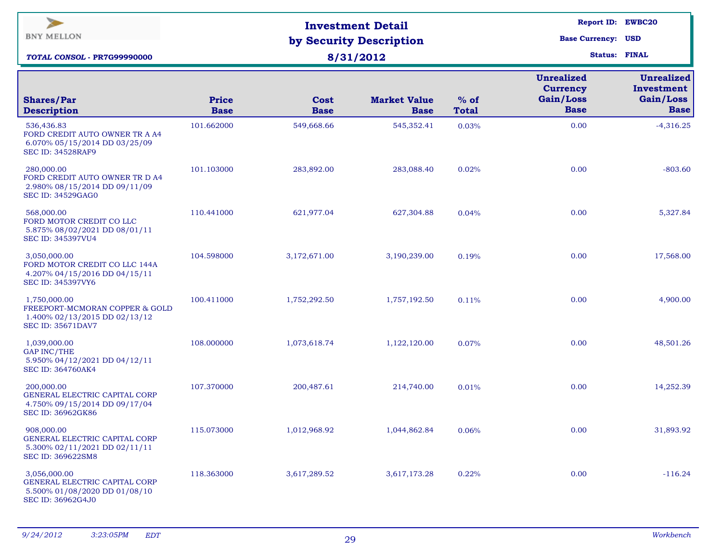| $\geq$<br><b>BNY MELLON</b><br><b>TOTAL CONSOL - PR7G99990000</b>                                           |                             | <b>Investment Detail</b><br>by Security Description<br>8/31/2012 | <b>Report ID: EWBC20</b><br><b>Base Currency: USD</b><br><b>Status: FINAL</b> |                        |                                                                  |                                                             |
|-------------------------------------------------------------------------------------------------------------|-----------------------------|------------------------------------------------------------------|-------------------------------------------------------------------------------|------------------------|------------------------------------------------------------------|-------------------------------------------------------------|
| <b>Shares/Par</b><br><b>Description</b>                                                                     | <b>Price</b><br><b>Base</b> | Cost<br><b>Base</b>                                              | <b>Market Value</b><br><b>Base</b>                                            | $%$ of<br><b>Total</b> | <b>Unrealized</b><br><b>Currency</b><br>Gain/Loss<br><b>Base</b> | <b>Unrealized</b><br>Investment<br>Gain/Loss<br><b>Base</b> |
| 536,436.83<br>FORD CREDIT AUTO OWNER TR A A4<br>6.070% 05/15/2014 DD 03/25/09<br><b>SEC ID: 34528RAF9</b>   | 101.662000                  | 549,668.66                                                       | 545,352.41                                                                    | 0.03%                  | 0.00                                                             | $-4,316.25$                                                 |
| 280,000.00<br>FORD CREDIT AUTO OWNER TR D A4<br>2.980% 08/15/2014 DD 09/11/09<br><b>SEC ID: 34529GAG0</b>   | 101.103000                  | 283,892.00                                                       | 283,088.40                                                                    | 0.02%                  | 0.00                                                             | $-803.60$                                                   |
| 568,000.00<br>FORD MOTOR CREDIT CO LLC<br>5.875% 08/02/2021 DD 08/01/11<br>SEC ID: 345397VU4                | 110.441000                  | 621,977.04                                                       | 627,304.88                                                                    | 0.04%                  | 0.00                                                             | 5,327.84                                                    |
| 3,050,000.00<br>FORD MOTOR CREDIT CO LLC 144A<br>4.207% 04/15/2016 DD 04/15/11<br>SEC ID: 345397VY6         | 104.598000                  | 3,172,671.00                                                     | 3,190,239.00                                                                  | 0.19%                  | 0.00                                                             | 17,568.00                                                   |
| 1,750,000.00<br>FREEPORT-MCMORAN COPPER & GOLD<br>1.400% 02/13/2015 DD 02/13/12<br><b>SEC ID: 35671DAV7</b> | 100.411000                  | 1,752,292.50                                                     | 1,757,192.50                                                                  | 0.11%                  | 0.00                                                             | 4,900.00                                                    |
| 1,039,000.00<br><b>GAP INC/THE</b><br>5.950% 04/12/2021 DD 04/12/11<br><b>SEC ID: 364760AK4</b>             | 108.000000                  | 1,073,618.74                                                     | 1,122,120.00                                                                  | 0.07%                  | 0.00                                                             | 48,501.26                                                   |
| 200,000.00<br>GENERAL ELECTRIC CAPITAL CORP<br>4.750% 09/15/2014 DD 09/17/04<br>SEC ID: 36962GK86           | 107.370000                  | 200,487.61                                                       | 214,740.00                                                                    | 0.01%                  | 0.00                                                             | 14,252.39                                                   |
| 908,000.00<br>GENERAL ELECTRIC CAPITAL CORP<br>5.300% 02/11/2021 DD 02/11/11<br>SEC ID: 369622SM8           | 115.073000                  | 1,012,968.92                                                     | 1,044,862.84                                                                  | 0.06%                  | 0.00                                                             | 31,893.92                                                   |
| 3,056,000.00<br>GENERAL ELECTRIC CAPITAL CORP<br>5.500% 01/08/2020 DD 01/08/10<br>SEC ID: 36962G4J0         | 118.363000                  | 3,617,289.52                                                     | 3,617,173.28                                                                  | 0.22%                  | 0.00                                                             | $-116.24$                                                   |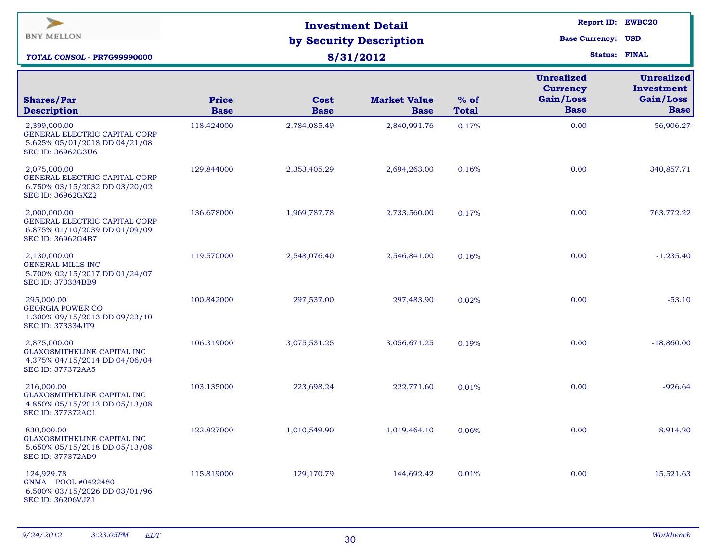| $\geq$<br><b>BNY MELLON</b><br><b>TOTAL CONSOL - PR7G99990000</b>                                          |                             | <b>Investment Detail</b><br>by Security Description<br>8/31/2012 | <b>Report ID: EWBC20</b><br><b>Base Currency: USD</b><br><b>Status: FINAL</b> |                        |                                                                  |                                                             |
|------------------------------------------------------------------------------------------------------------|-----------------------------|------------------------------------------------------------------|-------------------------------------------------------------------------------|------------------------|------------------------------------------------------------------|-------------------------------------------------------------|
| <b>Shares/Par</b><br><b>Description</b>                                                                    | <b>Price</b><br><b>Base</b> | Cost<br><b>Base</b>                                              | <b>Market Value</b><br><b>Base</b>                                            | $%$ of<br><b>Total</b> | <b>Unrealized</b><br><b>Currency</b><br>Gain/Loss<br><b>Base</b> | <b>Unrealized</b><br>Investment<br>Gain/Loss<br><b>Base</b> |
| 2,399,000.00<br>GENERAL ELECTRIC CAPITAL CORP<br>5.625% 05/01/2018 DD 04/21/08<br><b>SEC ID: 36962G3U6</b> | 118.424000                  | 2,784,085.49                                                     | 2,840,991.76                                                                  | 0.17%                  | 0.00                                                             | 56,906.27                                                   |
| 2,075,000.00<br>GENERAL ELECTRIC CAPITAL CORP<br>6.750% 03/15/2032 DD 03/20/02<br>SEC ID: 36962GXZ2        | 129.844000                  | 2,353,405.29                                                     | 2,694,263.00                                                                  | 0.16%                  | 0.00                                                             | 340,857.71                                                  |
| 2,000,000.00<br>GENERAL ELECTRIC CAPITAL CORP<br>6.875% 01/10/2039 DD 01/09/09<br>SEC ID: 36962G4B7        | 136.678000                  | 1,969,787.78                                                     | 2,733,560.00                                                                  | 0.17%                  | 0.00                                                             | 763,772.22                                                  |
| 2,130,000.00<br><b>GENERAL MILLS INC</b><br>5.700% 02/15/2017 DD 01/24/07<br>SEC ID: 370334BB9             | 119.570000                  | 2,548,076.40                                                     | 2,546,841.00                                                                  | 0.16%                  | 0.00                                                             | $-1,235.40$                                                 |
| 295,000.00<br><b>GEORGIA POWER CO</b><br>1.300% 09/15/2013 DD 09/23/10<br>SEC ID: 373334JT9                | 100.842000                  | 297,537.00                                                       | 297,483.90                                                                    | 0.02%                  | 0.00                                                             | $-53.10$                                                    |
| 2,875,000.00<br>GLAXOSMITHKLINE CAPITAL INC<br>4.375% 04/15/2014 DD 04/06/04<br><b>SEC ID: 377372AA5</b>   | 106.319000                  | 3,075,531.25                                                     | 3,056,671.25                                                                  | 0.19%                  | 0.00                                                             | $-18,860.00$                                                |
| 216,000.00<br>GLAXOSMITHKLINE CAPITAL INC<br>4.850% 05/15/2013 DD 05/13/08<br>SEC ID: 377372AC1            | 103.135000                  | 223,698.24                                                       | 222,771.60                                                                    | 0.01%                  | 0.00                                                             | $-926.64$                                                   |
| 830,000.00<br>GLAXOSMITHKLINE CAPITAL INC<br>5.650% 05/15/2018 DD 05/13/08<br><b>SEC ID: 377372AD9</b>     | 122.827000                  | 1,010,549.90                                                     | 1,019,464.10                                                                  | 0.06%                  | 0.00                                                             | 8,914.20                                                    |
| 124,929.78<br>GNMA POOL #0422480<br>6.500% 03/15/2026 DD 03/01/96<br>SEC ID: 36206VJZ1                     | 115.819000                  | 129,170.79                                                       | 144,692.42                                                                    | 0.01%                  | 0.00                                                             | 15,521.63                                                   |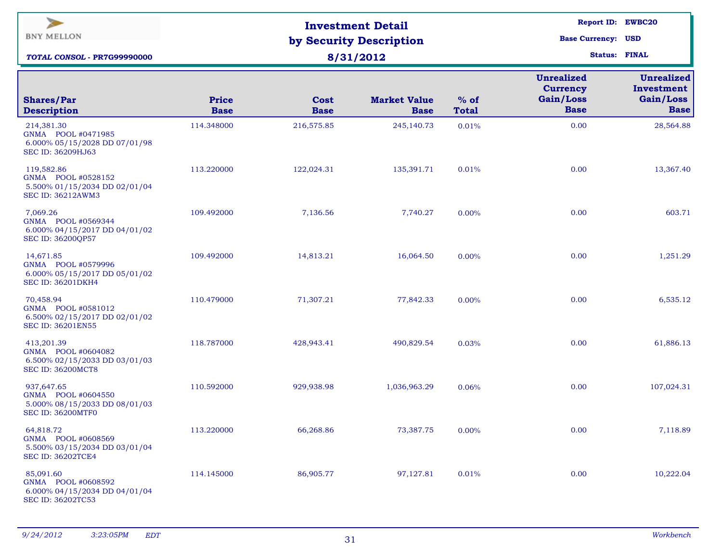| $\blacktriangleright$<br><b>BNY MELLON</b><br><b>TOTAL CONSOL - PR7G99990000</b>              |                             | <b>Investment Detail</b><br>by Security Description<br>8/31/2012 | <b>Report ID: EWBC20</b><br><b>Base Currency: USD</b><br><b>Status: FINAL</b> |                        |                                                                  |                                                             |
|-----------------------------------------------------------------------------------------------|-----------------------------|------------------------------------------------------------------|-------------------------------------------------------------------------------|------------------------|------------------------------------------------------------------|-------------------------------------------------------------|
| <b>Shares/Par</b><br><b>Description</b>                                                       | <b>Price</b><br><b>Base</b> | Cost<br><b>Base</b>                                              | <b>Market Value</b><br><b>Base</b>                                            | $%$ of<br><b>Total</b> | <b>Unrealized</b><br><b>Currency</b><br>Gain/Loss<br><b>Base</b> | <b>Unrealized</b><br>Investment<br>Gain/Loss<br><b>Base</b> |
| 214,381.30<br>GNMA POOL #0471985<br>6.000% 05/15/2028 DD 07/01/98<br><b>SEC ID: 36209HJ63</b> | 114.348000                  | 216,575.85                                                       | 245,140.73                                                                    | 0.01%                  | 0.00                                                             | 28,564.88                                                   |
| 119,582.86<br>GNMA POOL #0528152<br>5.500% 01/15/2034 DD 02/01/04<br>SEC ID: 36212AWM3        | 113.220000                  | 122,024.31                                                       | 135,391.71                                                                    | 0.01%                  | 0.00                                                             | 13,367.40                                                   |
| 7,069.26<br>GNMA POOL #0569344<br>6.000% 04/15/2017 DD 04/01/02<br>SEC ID: 36200QP57          | 109.492000                  | 7,136.56                                                         | 7,740.27                                                                      | 0.00%                  | 0.00                                                             | 603.71                                                      |
| 14,671.85<br>GNMA POOL #0579996<br>6.000% 05/15/2017 DD 05/01/02<br><b>SEC ID: 36201DKH4</b>  | 109.492000                  | 14,813.21                                                        | 16,064.50                                                                     | 0.00%                  | 0.00                                                             | 1,251.29                                                    |
| 70,458.94<br>GNMA POOL #0581012<br>6.500% 02/15/2017 DD 02/01/02<br><b>SEC ID: 36201EN55</b>  | 110.479000                  | 71,307.21                                                        | 77,842.33                                                                     | 0.00%                  | 0.00                                                             | 6,535.12                                                    |
| 413,201.39<br>GNMA POOL #0604082<br>6.500% 02/15/2033 DD 03/01/03<br><b>SEC ID: 36200MCT8</b> | 118.787000                  | 428,943.41                                                       | 490,829.54                                                                    | 0.03%                  | 0.00                                                             | 61,886.13                                                   |
| 937,647.65<br>GNMA POOL #0604550<br>5.000% 08/15/2033 DD 08/01/03<br>SEC ID: 36200MTF0        | 110.592000                  | 929,938.98                                                       | 1,036,963.29                                                                  | 0.06%                  | 0.00                                                             | 107,024.31                                                  |
| 64,818.72<br>GNMA POOL #0608569<br>5.500% 03/15/2034 DD 03/01/04<br><b>SEC ID: 36202TCE4</b>  | 113.220000                  | 66,268.86                                                        | 73,387.75                                                                     | 0.00%                  | 0.00                                                             | 7,118.89                                                    |
| 85,091.60<br>GNMA POOL #0608592<br>6.000% 04/15/2034 DD 04/01/04<br>SEC ID: 36202TC53         | 114.145000                  | 86,905.77                                                        | 97,127.81                                                                     | 0.01%                  | 0.00                                                             | 10,222.04                                                   |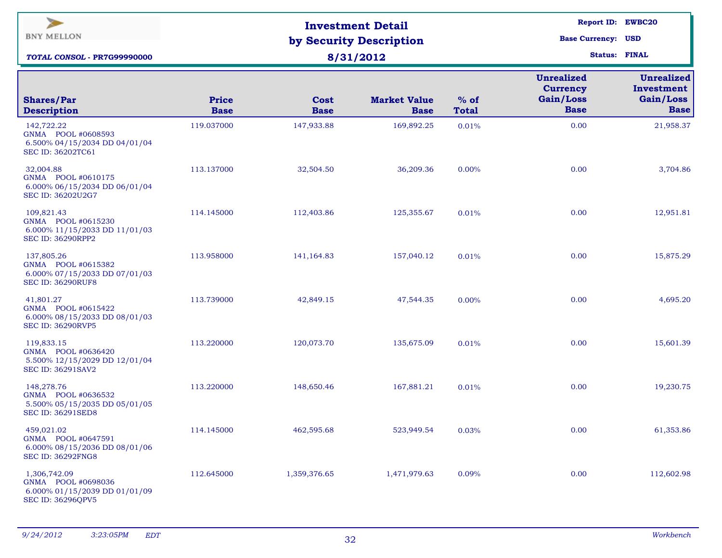| $\blacktriangleright$<br><b>BNY MELLON</b><br>TOTAL CONSOL - PR7G99990000                       |                      | <b>Investment Detail</b><br>by Security Description<br>8/31/2012 | <b>Report ID: EWBC20</b><br><b>Base Currency: USD</b><br><b>Status: FINAL</b> |                        |                                                                  |                                                      |
|-------------------------------------------------------------------------------------------------|----------------------|------------------------------------------------------------------|-------------------------------------------------------------------------------|------------------------|------------------------------------------------------------------|------------------------------------------------------|
| <b>Shares/Par</b><br><b>Description</b>                                                         | Price<br><b>Base</b> | <b>Cost</b><br><b>Base</b>                                       | <b>Market Value</b><br><b>Base</b>                                            | $%$ of<br><b>Total</b> | <b>Unrealized</b><br><b>Currency</b><br>Gain/Loss<br><b>Base</b> | Unrealized<br>Investment<br>Gain/Loss<br><b>Base</b> |
| 142,722.22<br>GNMA POOL #0608593<br>6.500% 04/15/2034 DD 04/01/04<br>SEC ID: 36202TC61          | 119.037000           | 147,933.88                                                       | 169,892.25                                                                    | 0.01%                  | 0.00                                                             | 21,958.37                                            |
| 32,004.88<br>6.000% 06/15/2034 DD 06/01/04<br>SEC ID: 36202U2G7                                 | 113.137000           | 32,504.50                                                        | 36,209.36                                                                     | 0.00%                  | 0.00                                                             | 3,704.86                                             |
| 109,821.43<br>GNMA POOL #0615230<br>6.000% 11/15/2033 DD 11/01/03<br><b>SEC ID: 36290RPP2</b>   | 114.145000           | 112,403.86                                                       | 125,355.67                                                                    | 0.01%                  | 0.00                                                             | 12,951.81                                            |
| 137,805.26<br>GNMA POOL #0615382<br>6.000% 07/15/2033 DD 07/01/03<br><b>SEC ID: 36290RUF8</b>   | 113.958000           | 141,164.83                                                       | 157,040.12                                                                    | 0.01%                  | 0.00                                                             | 15,875.29                                            |
| 41,801.27<br>GNMA POOL #0615422<br>6.000% 08/15/2033 DD 08/01/03<br><b>SEC ID: 36290RVP5</b>    | 113.739000           | 42,849.15                                                        | 47,544.35                                                                     | 0.00%                  | 0.00                                                             | 4,695.20                                             |
| 119,833.15<br>GNMA POOL #0636420<br>5.500% 12/15/2029 DD 12/01/04<br><b>SEC ID: 36291SAV2</b>   | 113.220000           | 120,073.70                                                       | 135,675.09                                                                    | 0.01%                  | 0.00                                                             | 15,601.39                                            |
| 148,278.76<br>GNMA POOL #0636532<br>5.500% 05/15/2035 DD 05/01/05<br><b>SEC ID: 36291SED8</b>   | 113.220000           | 148,650.46                                                       | 167,881.21                                                                    | 0.01%                  | 0.00                                                             | 19,230.75                                            |
| 459,021.02<br>GNMA POOL #0647591<br>6.000% 08/15/2036 DD 08/01/06<br><b>SEC ID: 36292FNG8</b>   | 114.145000           | 462,595.68                                                       | 523,949.54                                                                    | 0.03%                  | 0.00                                                             | 61,353.86                                            |
| 1,306,742.09<br>GNMA POOL #0698036<br>6.000% 01/15/2039 DD 01/01/09<br><b>SEC ID: 36296QPV5</b> | 112.645000           | 1,359,376.65                                                     | 1,471,979.63                                                                  | 0.09%                  | 0.00                                                             | 112,602.98                                           |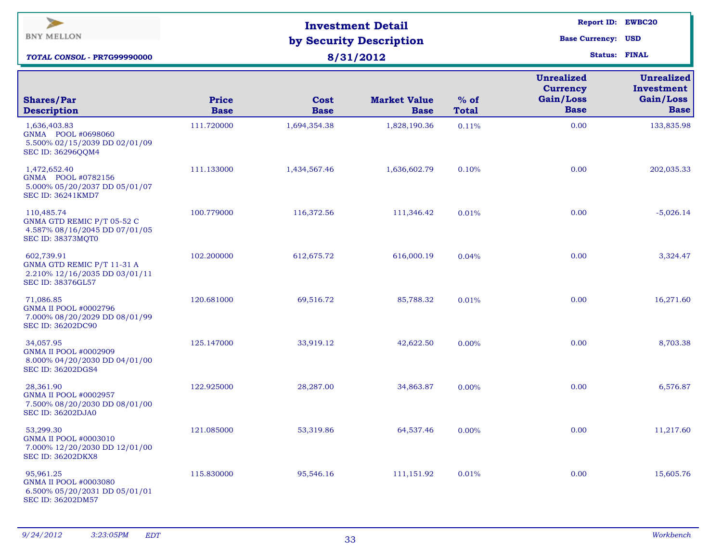| $\blacktriangleright$<br><b>BNY MELLON</b><br><b>TOTAL CONSOL - PR7G99990000</b>                       |                             | <b>Investment Detail</b><br>by Security Description<br>8/31/2012 | <b>Report ID: EWBC20</b><br><b>Base Currency: USD</b><br><b>Status: FINAL</b> |                        |                                                                  |                                                             |
|--------------------------------------------------------------------------------------------------------|-----------------------------|------------------------------------------------------------------|-------------------------------------------------------------------------------|------------------------|------------------------------------------------------------------|-------------------------------------------------------------|
| <b>Shares/Par</b><br><b>Description</b>                                                                | <b>Price</b><br><b>Base</b> | Cost<br><b>Base</b>                                              | <b>Market Value</b><br><b>Base</b>                                            | $%$ of<br><b>Total</b> | <b>Unrealized</b><br><b>Currency</b><br>Gain/Loss<br><b>Base</b> | <b>Unrealized</b><br>Investment<br>Gain/Loss<br><b>Base</b> |
| 1,636,403.83<br>GNMA POOL #0698060<br>5.500% 02/15/2039 DD 02/01/09<br>SEC ID: 36296QQM4               | 111.720000                  | 1,694,354.38                                                     | 1,828,190.36                                                                  | 0.11%                  | 0.00                                                             | 133,835.98                                                  |
| 1,472,652.40<br>GNMA POOL #0782156<br>5.000% 05/20/2037 DD 05/01/07<br><b>SEC ID: 36241KMD7</b>        | 111.133000                  | 1,434,567.46                                                     | 1,636,602.79                                                                  | 0.10%                  | 0.00                                                             | 202,035.33                                                  |
| 110,485.74<br>GNMA GTD REMIC P/T 05-52 C<br>4.587% 08/16/2045 DD 07/01/05<br><b>SEC ID: 38373MQT0</b>  | 100.779000                  | 116,372.56                                                       | 111,346.42                                                                    | 0.01%                  | 0.00                                                             | $-5,026.14$                                                 |
| 602,739.91<br>GNMA GTD REMIC P/T 11-31 A<br>2.210% 12/16/2035 DD 03/01/11<br>SEC ID: 38376GL57         | 102.200000                  | 612, 675.72                                                      | 616,000.19                                                                    | 0.04%                  | 0.00                                                             | 3,324.47                                                    |
| 71,086.85<br><b>GNMA II POOL #0002796</b><br>7.000% 08/20/2029 DD 08/01/99<br>SEC ID: 36202DC90        | 120.681000                  | 69,516.72                                                        | 85,788.32                                                                     | 0.01%                  | 0.00                                                             | 16,271.60                                                   |
| 34,057.95<br><b>GNMA II POOL #0002909</b><br>8.000% 04/20/2030 DD 04/01/00<br>SEC ID: 36202DGS4        | 125.147000                  | 33,919.12                                                        | 42,622.50                                                                     | $0.00\%$               | 0.00                                                             | 8,703.38                                                    |
| 28,361.90<br><b>GNMA II POOL #0002957</b><br>7.500% 08/20/2030 DD 08/01/00<br><b>SEC ID: 36202DJA0</b> | 122.925000                  | 28,287.00                                                        | 34,863.87                                                                     | $0.00\%$               | 0.00                                                             | 6,576.87                                                    |
| 53,299.30<br>GNMA II POOL #0003010<br>7.000% 12/20/2030 DD 12/01/00<br><b>SEC ID: 36202DKX8</b>        | 121.085000                  | 53,319.86                                                        | 64,537.46                                                                     | 0.00%                  | 0.00                                                             | 11,217.60                                                   |
| 95,961.25<br>GNMA II POOL #0003080<br>6.500% 05/20/2031 DD 05/01/01<br>SEC ID: 36202DM57               | 115.830000                  | 95,546.16                                                        | 111,151.92                                                                    | 0.01%                  | 0.00                                                             | 15,605.76                                                   |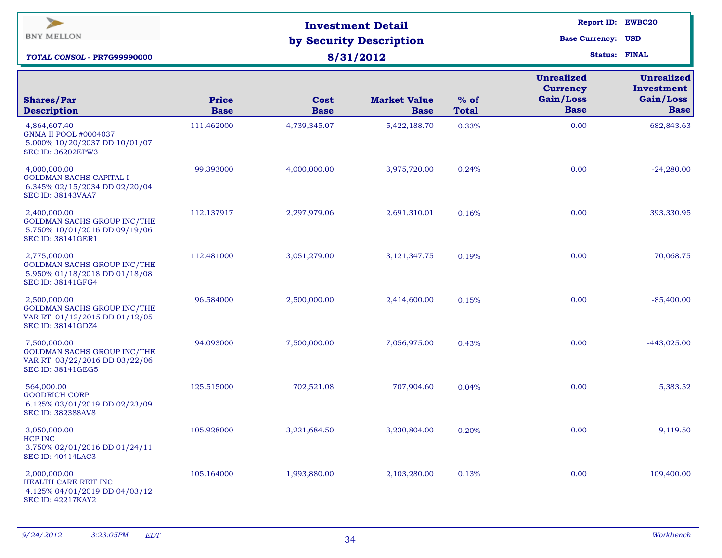| $\blacktriangleright$<br><b>BNY MELLON</b><br><b>TOTAL CONSOL - PR7G99990000</b>                                |                             | <b>Investment Detail</b><br>by Security Description<br>8/31/2012 | Report ID: EWBC20<br><b>Base Currency: USD</b><br><b>Status: FINAL</b> |                        |                                                                  |                                                             |
|-----------------------------------------------------------------------------------------------------------------|-----------------------------|------------------------------------------------------------------|------------------------------------------------------------------------|------------------------|------------------------------------------------------------------|-------------------------------------------------------------|
| <b>Shares/Par</b><br><b>Description</b>                                                                         | <b>Price</b><br><b>Base</b> | Cost<br><b>Base</b>                                              | <b>Market Value</b><br><b>Base</b>                                     | $%$ of<br><b>Total</b> | <b>Unrealized</b><br><b>Currency</b><br>Gain/Loss<br><b>Base</b> | <b>Unrealized</b><br>Investment<br>Gain/Loss<br><b>Base</b> |
| 4,864,607.40<br><b>GNMA II POOL #0004037</b><br>5.000% 10/20/2037 DD 10/01/07<br><b>SEC ID: 36202EPW3</b>       | 111.462000                  | 4,739,345.07                                                     | 5,422,188.70                                                           | 0.33%                  | 0.00                                                             | 682,843.63                                                  |
| 4,000,000.00<br><b>GOLDMAN SACHS CAPITAL I</b><br>6.345% 02/15/2034 DD 02/20/04<br><b>SEC ID: 38143VAA7</b>     | 99.393000                   | 4,000,000.00                                                     | 3,975,720.00                                                           | 0.24%                  | 0.00                                                             | $-24,280.00$                                                |
| 2,400,000.00<br><b>GOLDMAN SACHS GROUP INC/THE</b><br>5.750% 10/01/2016 DD 09/19/06<br><b>SEC ID: 38141GER1</b> | 112.137917                  | 2,297,979.06                                                     | 2,691,310.01                                                           | 0.16%                  | 0.00                                                             | 393,330.95                                                  |
| 2,775,000.00<br>GOLDMAN SACHS GROUP INC/THE<br>5.950% 01/18/2018 DD 01/18/08<br>SEC ID: 38141GFG4               | 112.481000                  | 3,051,279.00                                                     | 3,121,347.75                                                           | 0.19%                  | 0.00                                                             | 70,068.75                                                   |
| 2,500,000.00<br><b>GOLDMAN SACHS GROUP INC/THE</b><br>VAR RT 01/12/2015 DD 01/12/05<br>SEC ID: 38141GDZ4        | 96.584000                   | 2,500,000.00                                                     | 2,414,600.00                                                           | 0.15%                  | 0.00                                                             | $-85,400.00$                                                |
| 7,500,000.00<br>GOLDMAN SACHS GROUP INC/THE<br>VAR RT 03/22/2016 DD 03/22/06<br>SEC ID: 38141GEG5               | 94.093000                   | 7,500,000.00                                                     | 7,056,975.00                                                           | 0.43%                  | 0.00                                                             | $-443,025.00$                                               |
| 564,000.00<br><b>GOODRICH CORP</b><br>6.125% 03/01/2019 DD 02/23/09<br><b>SEC ID: 382388AV8</b>                 | 125.515000                  | 702,521.08                                                       | 707,904.60                                                             | 0.04%                  | 0.00                                                             | 5,383.52                                                    |
| 3,050,000.00<br><b>HCP INC</b><br>3.750% 02/01/2016 DD 01/24/11<br><b>SEC ID: 40414LAC3</b>                     | 105.928000                  | 3,221,684.50                                                     | 3,230,804.00                                                           | 0.20%                  | 0.00                                                             | 9,119.50                                                    |
| 2,000,000.00<br>HEALTH CARE REIT INC<br>4.125% 04/01/2019 DD 04/03/12<br><b>SEC ID: 42217KAY2</b>               | 105.164000                  | 1,993,880.00                                                     | 2,103,280.00                                                           | 0.13%                  | 0.00                                                             | 109,400.00                                                  |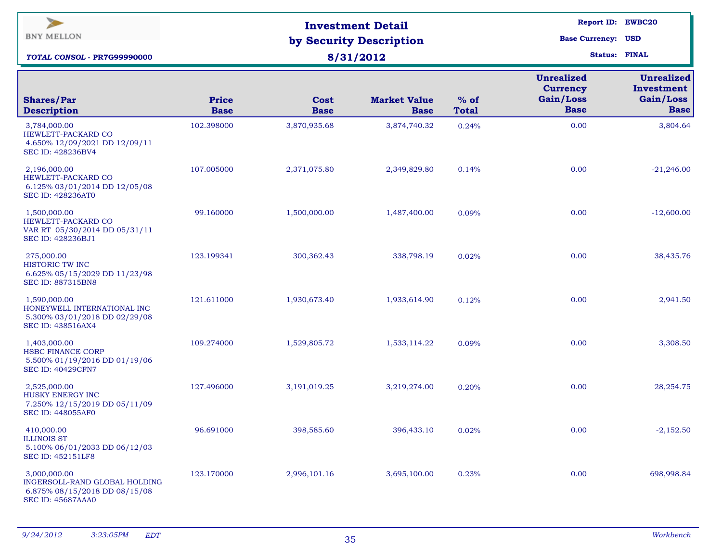| $\blacktriangleright$<br><b>BNY MELLON</b><br>TOTAL CONSOL - PR7G99990000                                  |                             | <b>Investment Detail</b><br>by Security Description<br>8/31/2012 | Report ID: EWBC20<br><b>Base Currency: USD</b><br><b>Status: FINAL</b> |                        |                                                                  |                                                             |
|------------------------------------------------------------------------------------------------------------|-----------------------------|------------------------------------------------------------------|------------------------------------------------------------------------|------------------------|------------------------------------------------------------------|-------------------------------------------------------------|
| <b>Shares/Par</b><br><b>Description</b>                                                                    | <b>Price</b><br><b>Base</b> | Cost<br><b>Base</b>                                              | <b>Market Value</b><br><b>Base</b>                                     | $%$ of<br><b>Total</b> | <b>Unrealized</b><br><b>Currency</b><br>Gain/Loss<br><b>Base</b> | <b>Unrealized</b><br>Investment<br>Gain/Loss<br><b>Base</b> |
| 3,784,000.00<br>HEWLETT-PACKARD CO<br>4.650% 12/09/2021 DD 12/09/11<br>SEC ID: 428236BV4                   | 102.398000                  | 3,870,935.68                                                     | 3,874,740.32                                                           | 0.24%                  | 0.00                                                             | 3,804.64                                                    |
| 2,196,000.00<br>HEWLETT-PACKARD CO<br>6.125% 03/01/2014 DD 12/05/08<br><b>SEC ID: 428236AT0</b>            | 107.005000                  | 2,371,075.80                                                     | 2,349,829.80                                                           | 0.14%                  | 0.00                                                             | $-21,246.00$                                                |
| 1,500,000.00<br>HEWLETT-PACKARD CO<br>VAR RT 05/30/2014 DD 05/31/11<br>SEC ID: 428236BJ1                   | 99.160000                   | 1,500,000.00                                                     | 1,487,400.00                                                           | 0.09%                  | 0.00                                                             | $-12,600.00$                                                |
| 275,000.00<br>HISTORIC TW INC<br>6.625% 05/15/2029 DD 11/23/98<br><b>SEC ID: 887315BN8</b>                 | 123.199341                  | 300,362.43                                                       | 338,798.19                                                             | 0.02%                  | 0.00                                                             | 38,435.76                                                   |
| 1,590,000.00<br>HONEYWELL INTERNATIONAL INC<br>5.300% 03/01/2018 DD 02/29/08<br><b>SEC ID: 438516AX4</b>   | 121.611000                  | 1,930,673.40                                                     | 1,933,614.90                                                           | 0.12%                  | 0.00                                                             | 2,941.50                                                    |
| 1,403,000.00<br><b>HSBC FINANCE CORP</b><br>5.500% 01/19/2016 DD 01/19/06<br><b>SEC ID: 40429CFN7</b>      | 109.274000                  | 1,529,805.72                                                     | 1,533,114.22                                                           | 0.09%                  | 0.00                                                             | 3,308.50                                                    |
| 2,525,000.00<br>HUSKY ENERGY INC<br>7.250% 12/15/2019 DD 05/11/09<br><b>SEC ID: 448055AF0</b>              | 127.496000                  | 3,191,019.25                                                     | 3,219,274.00                                                           | 0.20%                  | 0.00                                                             | 28, 254. 75                                                 |
| 410,000.00<br><b>ILLINOIS ST</b><br>5.100% 06/01/2033 DD 06/12/03<br><b>SEC ID: 452151LF8</b>              | 96.691000                   | 398,585.60                                                       | 396,433.10                                                             | 0.02%                  | 0.00                                                             | $-2,152.50$                                                 |
| 3,000,000.00<br>INGERSOLL-RAND GLOBAL HOLDING<br>6.875% 08/15/2018 DD 08/15/08<br><b>SEC ID: 45687AAA0</b> | 123.170000                  | 2,996,101.16                                                     | 3,695,100.00                                                           | 0.23%                  | 0.00                                                             | 698,998.84                                                  |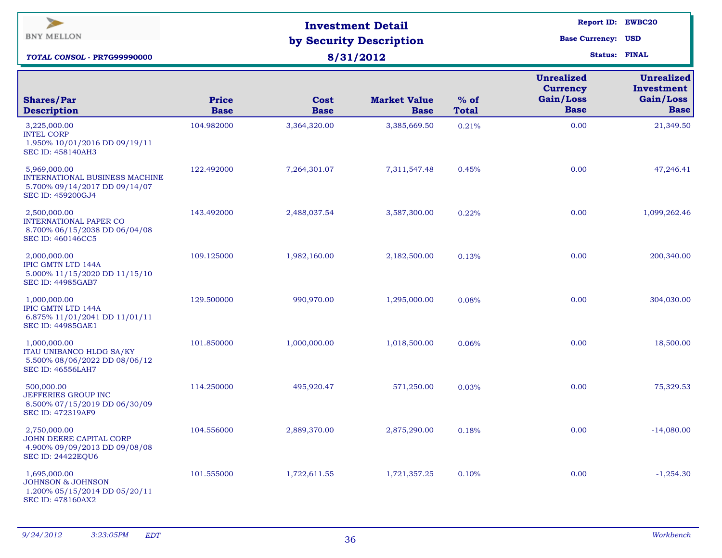| $\geq$<br><b>BNY MELLON</b><br>TOTAL CONSOL - PR7G99990000                                                   |                             | <b>Investment Detail</b><br>by Security Description<br>8/31/2012 | <b>Report ID: EWBC20</b><br><b>Base Currency: USD</b><br><b>Status: FINAL</b> |                        |                                                                  |                                                             |
|--------------------------------------------------------------------------------------------------------------|-----------------------------|------------------------------------------------------------------|-------------------------------------------------------------------------------|------------------------|------------------------------------------------------------------|-------------------------------------------------------------|
| <b>Shares/Par</b><br><b>Description</b>                                                                      | <b>Price</b><br><b>Base</b> | Cost<br><b>Base</b>                                              | <b>Market Value</b><br><b>Base</b>                                            | $%$ of<br><b>Total</b> | <b>Unrealized</b><br><b>Currency</b><br>Gain/Loss<br><b>Base</b> | <b>Unrealized</b><br>Investment<br>Gain/Loss<br><b>Base</b> |
| 3,225,000.00<br><b>INTEL CORP</b><br>1.950% 10/01/2016 DD 09/19/11<br><b>SEC ID: 458140AH3</b>               | 104.982000                  | 3,364,320.00                                                     | 3,385,669.50                                                                  | 0.21%                  | 0.00                                                             | 21,349.50                                                   |
| 5,969,000.00<br>INTERNATIONAL BUSINESS MACHINE<br>5.700% 09/14/2017 DD 09/14/07<br>SEC ID: 459200GJ4         | 122.492000                  | 7,264,301.07                                                     | 7,311,547.48                                                                  | 0.45%                  | 0.00                                                             | 47,246.41                                                   |
| 2,500,000.00<br><b>INTERNATIONAL PAPER CO</b><br>8.700% 06/15/2038 DD 06/04/08<br>SEC ID: 460146CC5          | 143.492000                  | 2,488,037.54                                                     | 3,587,300.00                                                                  | 0.22%                  | 0.00                                                             | 1,099,262.46                                                |
| 2,000,000.00<br><b>IPIC GMTN LTD 144A</b><br>5.000% 11/15/2020 DD 11/15/10<br><b>SEC ID: 44985GAB7</b>       | 109.125000                  | 1,982,160.00                                                     | 2,182,500.00                                                                  | 0.13%                  | 0.00                                                             | 200,340.00                                                  |
| 1,000,000.00<br><b>IPIC GMTN LTD 144A</b><br>6.875% 11/01/2041 DD 11/01/11<br><b>SEC ID: 44985GAE1</b>       | 129.500000                  | 990,970.00                                                       | 1,295,000.00                                                                  | 0.08%                  | 0.00                                                             | 304,030.00                                                  |
| 1,000,000.00<br><b>ITAU UNIBANCO HLDG SA/KY</b><br>5.500% 08/06/2022 DD 08/06/12<br><b>SEC ID: 46556LAH7</b> | 101.850000                  | 1,000,000.00                                                     | 1,018,500.00                                                                  | 0.06%                  | 0.00                                                             | 18,500.00                                                   |
| 500,000.00<br>JEFFERIES GROUP INC<br>8.500% 07/15/2019 DD 06/30/09<br>SEC ID: 472319AF9                      | 114.250000                  | 495,920.47                                                       | 571,250.00                                                                    | 0.03%                  | 0.00                                                             | 75,329.53                                                   |
| 2,750,000.00<br>JOHN DEERE CAPITAL CORP<br>4.900% 09/09/2013 DD 09/08/08<br><b>SEC ID: 24422EQU6</b>         | 104.556000                  | 2,889,370.00                                                     | 2,875,290.00                                                                  | 0.18%                  | 0.00                                                             | $-14,080.00$                                                |
| 1,695,000.00<br><b>JOHNSON &amp; JOHNSON</b><br>1.200% 05/15/2014 DD 05/20/11<br><b>SEC ID: 478160AX2</b>    | 101.555000                  | 1,722,611.55                                                     | 1,721,357.25                                                                  | 0.10%                  | 0.00                                                             | $-1,254.30$                                                 |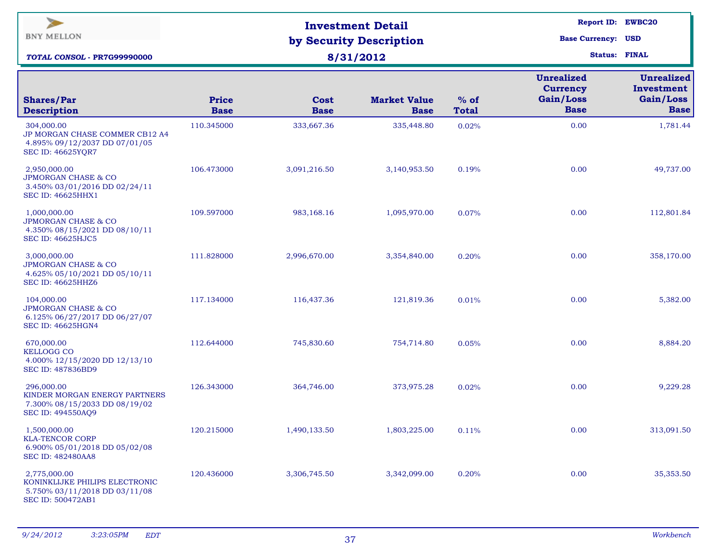| $\blacktriangleright$<br><b>BNY MELLON</b><br>TOTAL CONSOL - PR7G99990000                                   |                             | <b>Investment Detail</b><br>by Security Description<br>8/31/2012 | Report ID: EWBC20<br><b>Base Currency: USD</b><br><b>Status: FINAL</b> |                        |                                                                  |                                                             |
|-------------------------------------------------------------------------------------------------------------|-----------------------------|------------------------------------------------------------------|------------------------------------------------------------------------|------------------------|------------------------------------------------------------------|-------------------------------------------------------------|
| <b>Shares/Par</b><br><b>Description</b>                                                                     | <b>Price</b><br><b>Base</b> | <b>Cost</b><br><b>Base</b>                                       | <b>Market Value</b><br><b>Base</b>                                     | $%$ of<br><b>Total</b> | <b>Unrealized</b><br><b>Currency</b><br>Gain/Loss<br><b>Base</b> | <b>Unrealized</b><br>Investment<br>Gain/Loss<br><b>Base</b> |
| 304,000.00<br>JP MORGAN CHASE COMMER CB12 A4<br>4.895% 09/12/2037 DD 07/01/05<br><b>SEC ID: 46625YQR7</b>   | 110.345000                  | 333,667.36                                                       | 335,448.80                                                             | 0.02%                  | 0.00                                                             | 1,781.44                                                    |
| 2,950,000.00<br><b>JPMORGAN CHASE &amp; CO</b><br>3.450% 03/01/2016 DD 02/24/11<br><b>SEC ID: 46625HHX1</b> | 106.473000                  | 3,091,216.50                                                     | 3,140,953.50                                                           | 0.19%                  | 0.00                                                             | 49,737.00                                                   |
| 1,000,000.00<br><b>JPMORGAN CHASE &amp; CO</b><br>4.350% 08/15/2021 DD 08/10/11<br><b>SEC ID: 46625HJC5</b> | 109.597000                  | 983,168.16                                                       | 1,095,970.00                                                           | 0.07%                  | 0.00                                                             | 112,801.84                                                  |
| 3,000,000.00<br><b>JPMORGAN CHASE &amp; CO</b><br>4.625% 05/10/2021 DD 05/10/11<br><b>SEC ID: 46625HHZ6</b> | 111.828000                  | 2,996,670.00                                                     | 3,354,840.00                                                           | 0.20%                  | 0.00                                                             | 358,170.00                                                  |
| 104,000.00<br><b>JPMORGAN CHASE &amp; CO</b><br>6.125% 06/27/2017 DD 06/27/07<br><b>SEC ID: 46625HGN4</b>   | 117.134000                  | 116,437.36                                                       | 121,819.36                                                             | 0.01%                  | 0.00                                                             | 5,382.00                                                    |
| 670,000.00<br><b>KELLOGG CO</b><br>4.000% 12/15/2020 DD 12/13/10<br><b>SEC ID: 487836BD9</b>                | 112.644000                  | 745,830.60                                                       | 754,714.80                                                             | 0.05%                  | 0.00                                                             | 8,884.20                                                    |
| 296,000.00<br>KINDER MORGAN ENERGY PARTNERS<br>7.300% 08/15/2033 DD 08/19/02<br>SEC ID: 494550AQ9           | 126.343000                  | 364,746.00                                                       | 373,975.28                                                             | 0.02%                  | 0.00                                                             | 9,229.28                                                    |
| 1,500,000.00<br><b>KLA-TENCOR CORP</b><br>6.900% 05/01/2018 DD 05/02/08<br><b>SEC ID: 482480AA8</b>         | 120.215000                  | 1,490,133.50                                                     | 1,803,225.00                                                           | 0.11%                  | 0.00                                                             | 313,091.50                                                  |
| 2,775,000.00<br>KONINKLIJKE PHILIPS ELECTRONIC<br>5.750% 03/11/2018 DD 03/11/08<br>SEC ID: 500472AB1        | 120.436000                  | 3,306,745.50                                                     | 3,342,099.00                                                           | 0.20%                  | 0.00                                                             | 35,353.50                                                   |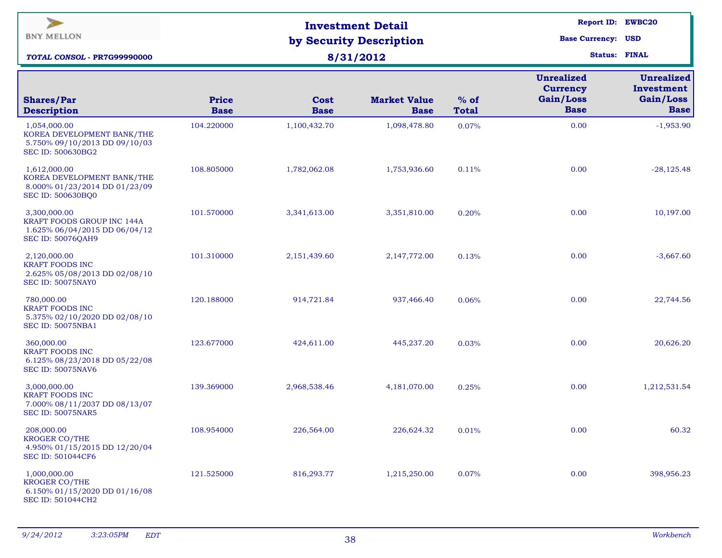| $\blacktriangleright$<br><b>BNY MELLON</b><br><b>TOTAL CONSOL - PR7G99990000</b>                        |                             | <b>Investment Detail</b><br>by Security Description<br>8/31/2012 | Report ID: EWBC20<br><b>Base Currency: USD</b><br><b>Status: FINAL</b> |                        |                                                                  |                                                             |
|---------------------------------------------------------------------------------------------------------|-----------------------------|------------------------------------------------------------------|------------------------------------------------------------------------|------------------------|------------------------------------------------------------------|-------------------------------------------------------------|
| <b>Shares/Par</b><br><b>Description</b>                                                                 | <b>Price</b><br><b>Base</b> | Cost<br><b>Base</b>                                              | <b>Market Value</b><br><b>Base</b>                                     | $%$ of<br><b>Total</b> | <b>Unrealized</b><br><b>Currency</b><br>Gain/Loss<br><b>Base</b> | <b>Unrealized</b><br>Investment<br>Gain/Loss<br><b>Base</b> |
| 1,054,000.00<br>KOREA DEVELOPMENT BANK/THE<br>5.750% 09/10/2013 DD 09/10/03<br>SEC ID: 500630BG2        | 104.220000                  | 1,100,432.70                                                     | 1,098,478.80                                                           | 0.07%                  | 0.00                                                             | $-1,953.90$                                                 |
| 1,612,000.00<br>KOREA DEVELOPMENT BANK/THE<br>8.000% 01/23/2014 DD 01/23/09<br><b>SEC ID: 500630BQ0</b> | 108.805000                  | 1,782,062.08                                                     | 1,753,936.60                                                           | 0.11%                  | 0.00                                                             | $-28,125.48$                                                |
| 3,300,000.00<br>KRAFT FOODS GROUP INC 144A<br>1.625% 06/04/2015 DD 06/04/12<br><b>SEC ID: 50076QAH9</b> | 101.570000                  | 3,341,613.00                                                     | 3,351,810.00                                                           | 0.20%                  | 0.00                                                             | 10,197.00                                                   |
| 2,120,000.00<br><b>KRAFT FOODS INC</b><br>2.625% 05/08/2013 DD 02/08/10<br>SEC ID: 50075NAY0            | 101.310000                  | 2,151,439.60                                                     | 2,147,772.00                                                           | 0.13%                  | 0.00                                                             | $-3,667.60$                                                 |
| 780,000.00<br><b>KRAFT FOODS INC</b><br>5.375% 02/10/2020 DD 02/08/10<br><b>SEC ID: 50075NBA1</b>       | 120.188000                  | 914,721.84                                                       | 937,466.40                                                             | 0.06%                  | 0.00                                                             | 22,744.56                                                   |
| 360,000.00<br><b>KRAFT FOODS INC</b><br>6.125% 08/23/2018 DD 05/22/08<br><b>SEC ID: 50075NAV6</b>       | 123.677000                  | 424,611.00                                                       | 445,237.20                                                             | 0.03%                  | 0.00                                                             | 20,626.20                                                   |
| 3,000,000.00<br><b>KRAFT FOODS INC</b><br>7.000% 08/11/2037 DD 08/13/07<br><b>SEC ID: 50075NAR5</b>     | 139.369000                  | 2,968,538.46                                                     | 4,181,070.00                                                           | 0.25%                  | 0.00                                                             | 1,212,531.54                                                |
| 208,000.00<br><b>KROGER CO/THE</b><br>4.950% 01/15/2015 DD 12/20/04<br>SEC ID: 501044CF6                | 108.954000                  | 226,564.00                                                       | 226,624.32                                                             | 0.01%                  | 0.00                                                             | 60.32                                                       |
| 1,000,000.00<br>KROGER CO/THE<br>6.150% 01/15/2020 DD 01/16/08<br>SEC ID: 501044CH2                     | 121.525000                  | 816,293.77                                                       | 1,215,250.00                                                           | 0.07%                  | 0.00                                                             | 398,956.23                                                  |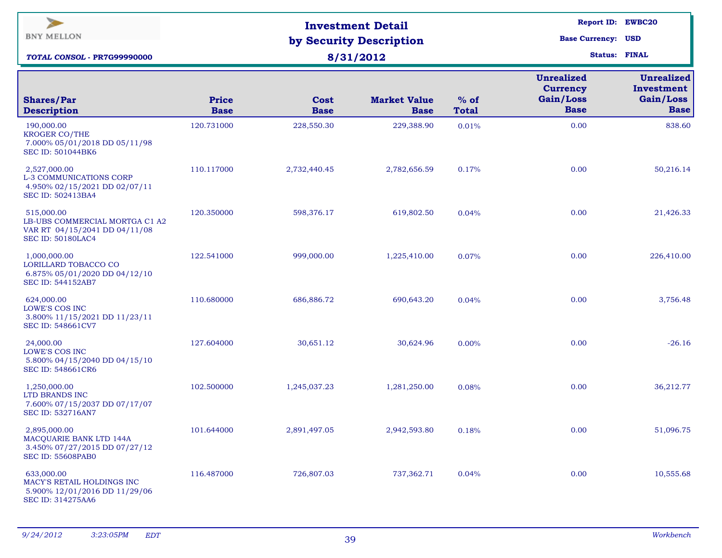| $\blacktriangleright$<br><b>BNY MELLON</b><br>TOTAL CONSOL - PR7G99990000                                 |                      | <b>Investment Detail</b><br>by Security Description<br>8/31/2012 | Report ID: EWBC20<br><b>Base Currency: USD</b><br><b>Status: FINAL</b> |                        |                                                                  |                                                             |
|-----------------------------------------------------------------------------------------------------------|----------------------|------------------------------------------------------------------|------------------------------------------------------------------------|------------------------|------------------------------------------------------------------|-------------------------------------------------------------|
| <b>Shares/Par</b><br><b>Description</b>                                                                   | Price<br><b>Base</b> | Cost<br><b>Base</b>                                              | <b>Market Value</b><br><b>Base</b>                                     | $%$ of<br><b>Total</b> | <b>Unrealized</b><br><b>Currency</b><br>Gain/Loss<br><b>Base</b> | <b>Unrealized</b><br>Investment<br>Gain/Loss<br><b>Base</b> |
| 190,000.00<br><b>KROGER CO/THE</b><br>7.000% 05/01/2018 DD 05/11/98<br>SEC ID: 501044BK6                  | 120.731000           | 228,550.30                                                       | 229,388.90                                                             | 0.01%                  | 0.00                                                             | 838.60                                                      |
| 2,527,000.00<br>L-3 COMMUNICATIONS CORP<br>4.950% 02/15/2021 DD 02/07/11<br><b>SEC ID: 502413BA4</b>      | 110.117000           | 2,732,440.45                                                     | 2,782,656.59                                                           | 0.17%                  | 0.00                                                             | 50,216.14                                                   |
| 515,000.00<br>LB-UBS COMMERCIAL MORTGA C1 A2<br>VAR RT 04/15/2041 DD 04/11/08<br><b>SEC ID: 50180LAC4</b> | 120.350000           | 598,376.17                                                       | 619,802.50                                                             | 0.04%                  | 0.00                                                             | 21,426.33                                                   |
| 1,000,000.00<br>LORILLARD TOBACCO CO<br>6.875% 05/01/2020 DD 04/12/10<br>SEC ID: 544152AB7                | 122.541000           | 999,000.00                                                       | 1,225,410.00                                                           | 0.07%                  | 0.00                                                             | 226,410.00                                                  |
| 624,000.00<br>LOWE'S COS INC<br>3.800% 11/15/2021 DD 11/23/11<br>SEC ID: 548661CV7                        | 110.680000           | 686,886.72                                                       | 690,643.20                                                             | 0.04%                  | 0.00                                                             | 3,756.48                                                    |
| 24,000.00<br>LOWE'S COS INC<br>5.800% 04/15/2040 DD 04/15/10<br>SEC ID: 548661CR6                         | 127.604000           | 30,651.12                                                        | 30,624.96                                                              | 0.00%                  | 0.00                                                             | $-26.16$                                                    |
| 1,250,000.00<br>LTD BRANDS INC<br>7.600% 07/15/2037 DD 07/17/07<br><b>SEC ID: 532716AN7</b>               | 102.500000           | 1,245,037.23                                                     | 1,281,250.00                                                           | 0.08%                  | 0.00                                                             | 36,212.77                                                   |
| 2,895,000.00<br>MACQUARIE BANK LTD 144A<br>3.450% 07/27/2015 DD 07/27/12<br><b>SEC ID: 55608PAB0</b>      | 101.644000           | 2,891,497.05                                                     | 2,942,593.80                                                           | 0.18%                  | 0.00                                                             | 51,096.75                                                   |
| 633,000.00<br>MACY'S RETAIL HOLDINGS INC<br>5.900% 12/01/2016 DD 11/29/06<br><b>SEC ID: 314275AA6</b>     | 116.487000           | 726,807.03                                                       | 737,362.71                                                             | 0.04%                  | 0.00                                                             | 10,555.68                                                   |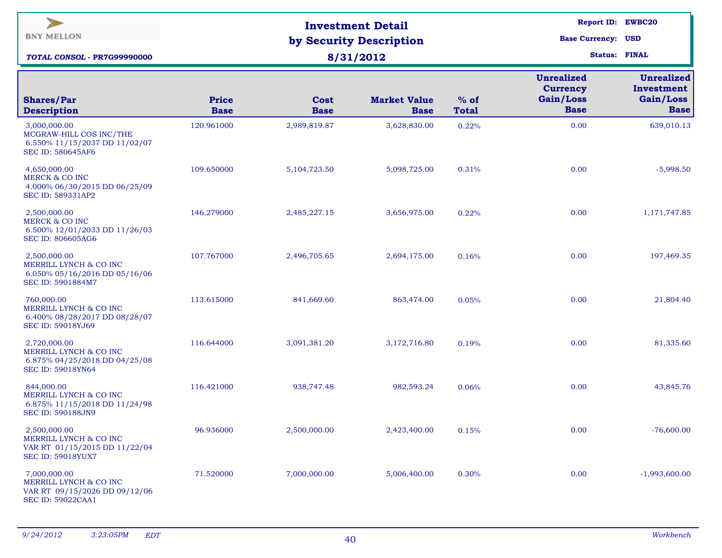| $\blacktriangleright$<br><b>BNY MELLON</b><br>TOTAL CONSOL - PR7G99990000                            |                      | <b>Investment Detail</b><br>by Security Description<br>8/31/2012 | Report ID: EWBC20<br><b>Base Currency: USD</b><br><b>Status: FINAL</b> |                        |                                                                  |                                                             |
|------------------------------------------------------------------------------------------------------|----------------------|------------------------------------------------------------------|------------------------------------------------------------------------|------------------------|------------------------------------------------------------------|-------------------------------------------------------------|
| <b>Shares/Par</b><br><b>Description</b>                                                              | Price<br><b>Base</b> | Cost<br><b>Base</b>                                              | <b>Market Value</b><br><b>Base</b>                                     | $%$ of<br><b>Total</b> | <b>Unrealized</b><br><b>Currency</b><br>Gain/Loss<br><b>Base</b> | <b>Unrealized</b><br>Investment<br>Gain/Loss<br><b>Base</b> |
| 3,000,000.00<br>MCGRAW-HILL COS INC/THE<br>6.550% 11/15/2037 DD 11/02/07<br><b>SEC ID: 580645AF6</b> | 120.961000           | 2,989,819.87                                                     | 3,628,830.00                                                           | 0.22%                  | 0.00                                                             | 639,010.13                                                  |
| 4,650,000.00<br><b>MERCK &amp; CO INC</b><br>4.000% 06/30/2015 DD 06/25/09<br>SEC ID: 589331AP2      | 109.650000           | 5,104,723.50                                                     | 5,098,725.00                                                           | 0.31%                  | 0.00                                                             | $-5,998.50$                                                 |
| 2,500,000.00<br><b>MERCK &amp; CO INC</b><br>6.500% 12/01/2033 DD 11/26/03<br>SEC ID: 806605AG6      | 146.279000           | 2,485,227.15                                                     | 3,656,975.00                                                           | 0.22%                  | 0.00                                                             | 1,171,747.85                                                |
| 2,500,000.00<br>MERRILL LYNCH & CO INC<br>6.050% 05/16/2016 DD 05/16/06<br>SEC ID: 5901884M7         | 107.767000           | 2,496,705.65                                                     | 2,694,175.00                                                           | 0.16%                  | 0.00                                                             | 197,469.35                                                  |
| 760,000.00<br>MERRILL LYNCH & CO INC<br>6.400% 08/28/2017 DD 08/28/07<br><b>SEC ID: 59018YJ69</b>    | 113.615000           | 841,669.60                                                       | 863,474.00                                                             | 0.05%                  | 0.00                                                             | 21,804.40                                                   |
| 2,720,000.00<br>MERRILL LYNCH & CO INC<br>6.875% 04/25/2018 DD 04/25/08<br><b>SEC ID: 59018YN64</b>  | 116.644000           | 3,091,381.20                                                     | 3,172,716.80                                                           | 0.19%                  | 0.00                                                             | 81,335.60                                                   |
| 844,000.00<br>MERRILL LYNCH & CO INC<br>6.875% 11/15/2018 DD 11/24/98<br><b>SEC ID: 590188JN9</b>    | 116.421000           | 938,747.48                                                       | 982,593.24                                                             | 0.06%                  | 0.00                                                             | 43,845.76                                                   |
| 2,500,000.00<br>MERRILL LYNCH & CO INC<br>VAR RT 01/15/2015 DD 11/22/04<br><b>SEC ID: 59018YUX7</b>  | 96.936000            | 2,500,000.00                                                     | 2,423,400.00                                                           | 0.15%                  | 0.00                                                             | $-76,600.00$                                                |
| 7,000,000.00<br>MERRILL LYNCH & CO INC<br>VAR RT 09/15/2026 DD 09/12/06<br><b>SEC ID: 59022CAA1</b>  | 71.520000            | 7,000,000.00                                                     | 5,006,400.00                                                           | 0.30%                  | 0.00                                                             | $-1,993,600.00$                                             |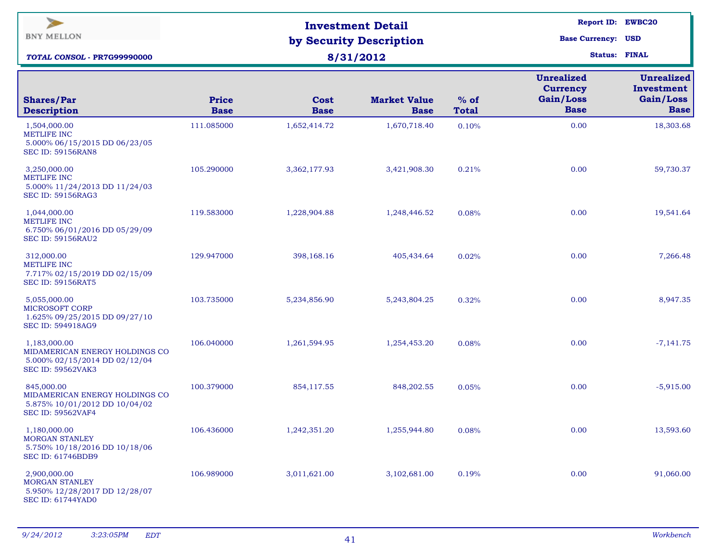| $\geq$<br><b>BNY MELLON</b><br><b>TOTAL CONSOL - PR7G99990000</b>                                           |                             | <b>Investment Detail</b><br>by Security Description<br>8/31/2012 | <b>Report ID: EWBC20</b><br><b>Base Currency: USD</b><br><b>Status: FINAL</b> |                        |                                                                  |                                                             |
|-------------------------------------------------------------------------------------------------------------|-----------------------------|------------------------------------------------------------------|-------------------------------------------------------------------------------|------------------------|------------------------------------------------------------------|-------------------------------------------------------------|
| <b>Shares/Par</b><br><b>Description</b>                                                                     | <b>Price</b><br><b>Base</b> | Cost<br><b>Base</b>                                              | <b>Market Value</b><br><b>Base</b>                                            | $%$ of<br><b>Total</b> | <b>Unrealized</b><br><b>Currency</b><br>Gain/Loss<br><b>Base</b> | <b>Unrealized</b><br>Investment<br>Gain/Loss<br><b>Base</b> |
| 1,504,000.00<br><b>METLIFE INC</b><br>5.000% 06/15/2015 DD 06/23/05<br><b>SEC ID: 59156RAN8</b>             | 111.085000                  | 1,652,414.72                                                     | 1,670,718.40                                                                  | 0.10%                  | 0.00                                                             | 18,303.68                                                   |
| 3,250,000.00<br><b>METLIFE INC</b><br>5.000% 11/24/2013 DD 11/24/03<br><b>SEC ID: 59156RAG3</b>             | 105.290000                  | 3,362,177.93                                                     | 3,421,908.30                                                                  | 0.21%                  | 0.00                                                             | 59,730.37                                                   |
| 1,044,000.00<br><b>METLIFE INC</b><br>6.750% 06/01/2016 DD 05/29/09<br><b>SEC ID: 59156RAU2</b>             | 119.583000                  | 1,228,904.88                                                     | 1,248,446.52                                                                  | 0.08%                  | 0.00                                                             | 19,541.64                                                   |
| 312,000.00<br><b>METLIFE INC</b><br>7.717% 02/15/2019 DD 02/15/09<br><b>SEC ID: 59156RAT5</b>               | 129.947000                  | 398,168.16                                                       | 405,434.64                                                                    | 0.02%                  | 0.00                                                             | 7,266.48                                                    |
| 5,055,000.00<br><b>MICROSOFT CORP</b><br>1.625% 09/25/2015 DD 09/27/10<br>SEC ID: 594918AG9                 | 103.735000                  | 5,234,856.90                                                     | 5,243,804.25                                                                  | 0.32%                  | 0.00                                                             | 8,947.35                                                    |
| 1,183,000.00<br>MIDAMERICAN ENERGY HOLDINGS CO<br>5.000% 02/15/2014 DD 02/12/04<br><b>SEC ID: 59562VAK3</b> | 106.040000                  | 1,261,594.95                                                     | 1,254,453.20                                                                  | 0.08%                  | 0.00                                                             | $-7,141.75$                                                 |
| 845,000.00<br>MIDAMERICAN ENERGY HOLDINGS CO<br>5.875% 10/01/2012 DD 10/04/02<br><b>SEC ID: 59562VAF4</b>   | 100.379000                  | 854,117.55                                                       | 848,202.55                                                                    | 0.05%                  | 0.00                                                             | $-5,915.00$                                                 |
| 1,180,000.00<br><b>MORGAN STANLEY</b><br>5.750% 10/18/2016 DD 10/18/06<br><b>SEC ID: 61746BDB9</b>          | 106.436000                  | 1,242,351.20                                                     | 1,255,944.80                                                                  | 0.08%                  | 0.00                                                             | 13,593.60                                                   |
| 2,900,000.00<br><b>MORGAN STANLEY</b><br>5.950% 12/28/2017 DD 12/28/07<br><b>SEC ID: 61744YAD0</b>          | 106.989000                  | 3,011,621.00                                                     | 3,102,681.00                                                                  | 0.19%                  | 0.00                                                             | 91,060.00                                                   |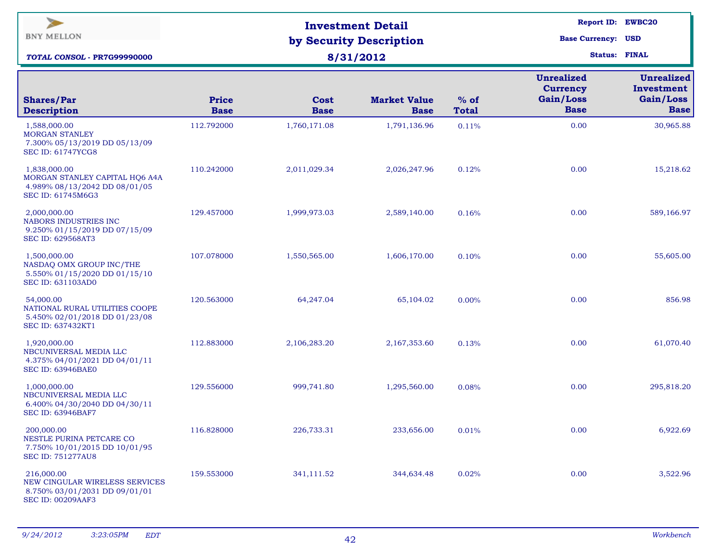| $\blacktriangleright$<br><b>BNY MELLON</b><br>TOTAL CONSOL - PR7G99990000                                 |                      | <b>Investment Detail</b><br>by Security Description<br>8/31/2012 | <b>Report ID: EWBC20</b><br><b>Base Currency: USD</b><br><b>Status: FINAL</b> |                        |                                                                  |                                                             |
|-----------------------------------------------------------------------------------------------------------|----------------------|------------------------------------------------------------------|-------------------------------------------------------------------------------|------------------------|------------------------------------------------------------------|-------------------------------------------------------------|
| <b>Shares/Par</b><br><b>Description</b>                                                                   | Price<br><b>Base</b> | Cost<br><b>Base</b>                                              | <b>Market Value</b><br><b>Base</b>                                            | $%$ of<br><b>Total</b> | <b>Unrealized</b><br><b>Currency</b><br>Gain/Loss<br><b>Base</b> | <b>Unrealized</b><br>Investment<br>Gain/Loss<br><b>Base</b> |
| 1,588,000.00<br><b>MORGAN STANLEY</b><br>7.300% 05/13/2019 DD 05/13/09<br><b>SEC ID: 61747YCG8</b>        | 112.792000           | 1,760,171.08                                                     | 1,791,136.96                                                                  | 0.11%                  | 0.00                                                             | 30,965.88                                                   |
| 1,838,000.00<br>MORGAN STANLEY CAPITAL HQ6 A4A<br>4.989% 08/13/2042 DD 08/01/05<br>SEC ID: 61745M6G3      | 110.242000           | 2,011,029.34                                                     | 2,026,247.96                                                                  | 0.12%                  | 0.00                                                             | 15,218.62                                                   |
| 2,000,000.00<br>NABORS INDUSTRIES INC<br>9.250% 01/15/2019 DD 07/15/09<br><b>SEC ID: 629568AT3</b>        | 129.457000           | 1,999,973.03                                                     | 2,589,140.00                                                                  | 0.16%                  | 0.00                                                             | 589,166.97                                                  |
| 1,500,000.00<br>NASDAQ OMX GROUP INC/THE<br>5.550% 01/15/2020 DD 01/15/10<br><b>SEC ID: 631103AD0</b>     | 107.078000           | 1,550,565.00                                                     | 1,606,170.00                                                                  | 0.10%                  | 0.00                                                             | 55,605.00                                                   |
| 54,000.00<br>NATIONAL RURAL UTILITIES COOPE<br>5.450% 02/01/2018 DD 01/23/08<br>SEC ID: 637432KT1         | 120.563000           | 64,247.04                                                        | 65,104.02                                                                     | 0.00%                  | 0.00                                                             | 856.98                                                      |
| 1,920,000.00<br>NBCUNIVERSAL MEDIA LLC<br>4.375% 04/01/2021 DD 04/01/11<br><b>SEC ID: 63946BAE0</b>       | 112.883000           | 2,106,283.20                                                     | 2,167,353.60                                                                  | 0.13%                  | 0.00                                                             | 61,070.40                                                   |
| 1,000,000.00<br>NBCUNIVERSAL MEDIA LLC<br>6.400% 04/30/2040 DD 04/30/11<br><b>SEC ID: 63946BAF7</b>       | 129.556000           | 999,741.80                                                       | 1,295,560.00                                                                  | 0.08%                  | 0.00                                                             | 295,818.20                                                  |
| 200,000.00<br>NESTLE PURINA PETCARE CO<br>7.750% 10/01/2015 DD 10/01/95<br><b>SEC ID: 751277AU8</b>       | 116.828000           | 226,733.31                                                       | 233,656.00                                                                    | 0.01%                  | 0.00                                                             | 6,922.69                                                    |
| 216,000.00<br>NEW CINGULAR WIRELESS SERVICES<br>8.750% 03/01/2031 DD 09/01/01<br><b>SEC ID: 00209AAF3</b> | 159.553000           | 341,111.52                                                       | 344,634.48                                                                    | 0.02%                  | 0.00                                                             | 3,522.96                                                    |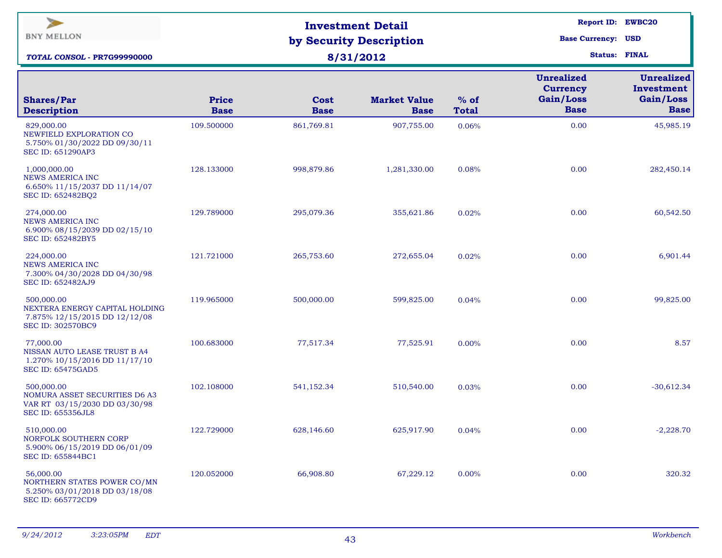| $\blacktriangleright$<br><b>BNY MELLON</b><br>TOTAL CONSOL - PR7G99990000                                |                      | <b>Investment Detail</b><br>by Security Description<br>8/31/2012 | <b>Report ID: EWBC20</b><br><b>Base Currency: USD</b><br><b>Status: FINAL</b> |                        |                                                                  |                                                             |
|----------------------------------------------------------------------------------------------------------|----------------------|------------------------------------------------------------------|-------------------------------------------------------------------------------|------------------------|------------------------------------------------------------------|-------------------------------------------------------------|
| <b>Shares/Par</b><br><b>Description</b>                                                                  | Price<br><b>Base</b> | Cost<br><b>Base</b>                                              | <b>Market Value</b><br><b>Base</b>                                            | $%$ of<br><b>Total</b> | <b>Unrealized</b><br><b>Currency</b><br>Gain/Loss<br><b>Base</b> | <b>Unrealized</b><br>Investment<br>Gain/Loss<br><b>Base</b> |
| 829,000.00<br>NEWFIELD EXPLORATION CO<br>5.750% 01/30/2022 DD 09/30/11<br><b>SEC ID: 651290AP3</b>       | 109.500000           | 861,769.81                                                       | 907,755.00                                                                    | 0.06%                  | 0.00                                                             | 45,985.19                                                   |
| 1,000,000.00<br><b>NEWS AMERICA INC</b><br>6.650% 11/15/2037 DD 11/14/07<br>SEC ID: 652482BQ2            | 128.133000           | 998,879.86                                                       | 1,281,330.00                                                                  | 0.08%                  | 0.00                                                             | 282,450.14                                                  |
| 274,000.00<br><b>NEWS AMERICA INC</b><br>6.900% 08/15/2039 DD 02/15/10<br>SEC ID: 652482BY5              | 129.789000           | 295,079.36                                                       | 355,621.86                                                                    | 0.02%                  | 0.00                                                             | 60,542.50                                                   |
| 224,000.00<br><b>NEWS AMERICA INC</b><br>7.300% 04/30/2028 DD 04/30/98<br>SEC ID: 652482AJ9              | 121.721000           | 265,753.60                                                       | 272,655.04                                                                    | 0.02%                  | 0.00                                                             | 6,901.44                                                    |
| 500,000.00<br>NEXTERA ENERGY CAPITAL HOLDING<br>7.875% 12/15/2015 DD 12/12/08<br>SEC ID: 302570BC9       | 119.965000           | 500,000.00                                                       | 599,825.00                                                                    | 0.04%                  | 0.00                                                             | 99,825.00                                                   |
| 77,000.00<br>NISSAN AUTO LEASE TRUST B A4<br>1.270% 10/15/2016 DD 11/17/10<br><b>SEC ID: 65475GAD5</b>   | 100.683000           | 77,517.34                                                        | 77,525.91                                                                     | 0.00%                  | 0.00                                                             | 8.57                                                        |
| 500,000.00<br>NOMURA ASSET SECURITIES D6 A3<br>VAR RT 03/15/2030 DD 03/30/98<br><b>SEC ID: 655356JL8</b> | 102.108000           | 541,152.34                                                       | 510,540.00                                                                    | 0.03%                  | 0.00                                                             | $-30,612.34$                                                |
| 510,000.00<br>NORFOLK SOUTHERN CORP<br>5.900% 06/15/2019 DD 06/01/09<br>SEC ID: 655844BC1                | 122.729000           | 628,146.60                                                       | 625,917.90                                                                    | 0.04%                  | 0.00                                                             | $-2,228.70$                                                 |
| 56,000.00<br>NORTHERN STATES POWER CO/MN<br>5.250% 03/01/2018 DD 03/18/08<br>SEC ID: 665772CD9           | 120.052000           | 66,908.80                                                        | 67,229.12                                                                     | $0.00\%$               | 0.00                                                             | 320.32                                                      |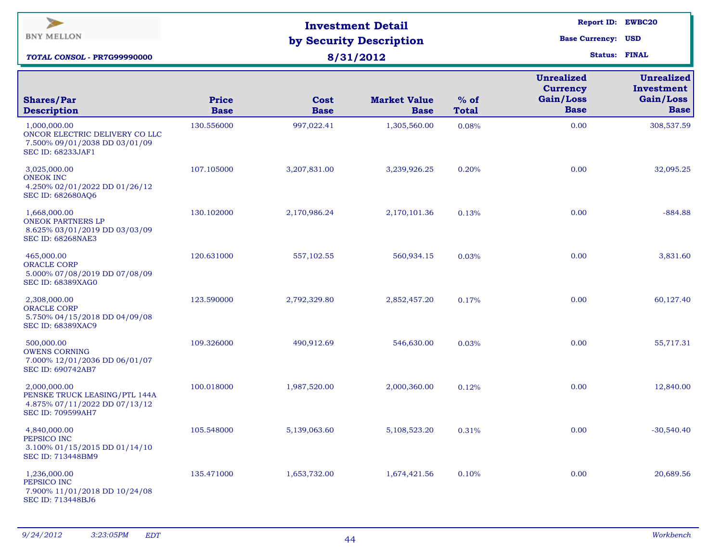| $\blacktriangleright$<br><b>BNY MELLON</b><br>TOTAL CONSOL - PR7G99990000                                   |                             | <b>Investment Detail</b><br>by Security Description<br>8/31/2012 | Report ID: EWBC20<br><b>Base Currency: USD</b><br><b>Status: FINAL</b> |                        |                                                                  |                                                             |
|-------------------------------------------------------------------------------------------------------------|-----------------------------|------------------------------------------------------------------|------------------------------------------------------------------------|------------------------|------------------------------------------------------------------|-------------------------------------------------------------|
| <b>Shares/Par</b><br><b>Description</b>                                                                     | <b>Price</b><br><b>Base</b> | Cost<br><b>Base</b>                                              | <b>Market Value</b><br><b>Base</b>                                     | $%$ of<br><b>Total</b> | <b>Unrealized</b><br><b>Currency</b><br>Gain/Loss<br><b>Base</b> | <b>Unrealized</b><br>Investment<br>Gain/Loss<br><b>Base</b> |
| 1,000,000.00<br>ONCOR ELECTRIC DELIVERY CO LLC<br>7.500% 09/01/2038 DD 03/01/09<br><b>SEC ID: 68233JAF1</b> | 130.556000                  | 997,022.41                                                       | 1,305,560.00                                                           | 0.08%                  | 0.00                                                             | 308,537.59                                                  |
| 3,025,000.00<br><b>ONEOK INC</b><br>4.250% 02/01/2022 DD 01/26/12<br>SEC ID: 682680AQ6                      | 107.105000                  | 3,207,831.00                                                     | 3,239,926.25                                                           | 0.20%                  | 0.00                                                             | 32,095.25                                                   |
| 1,668,000.00<br><b>ONEOK PARTNERS LP</b><br>8.625% 03/01/2019 DD 03/03/09<br><b>SEC ID: 68268NAE3</b>       | 130.102000                  | 2,170,986.24                                                     | 2,170,101.36                                                           | 0.13%                  | 0.00                                                             | $-884.88$                                                   |
| 465,000.00<br><b>ORACLE CORP</b><br>5.000% 07/08/2019 DD 07/08/09<br><b>SEC ID: 68389XAG0</b>               | 120.631000                  | 557,102.55                                                       | 560,934.15                                                             | 0.03%                  | 0.00                                                             | 3,831.60                                                    |
| 2,308,000.00<br><b>ORACLE CORP</b><br>5.750% 04/15/2018 DD 04/09/08<br><b>SEC ID: 68389XAC9</b>             | 123.590000                  | 2,792,329.80                                                     | 2,852,457.20                                                           | 0.17%                  | 0.00                                                             | 60,127.40                                                   |
| 500,000.00<br><b>OWENS CORNING</b><br>7.000% 12/01/2036 DD 06/01/07<br><b>SEC ID: 690742AB7</b>             | 109.326000                  | 490,912.69                                                       | 546,630.00                                                             | 0.03%                  | 0.00                                                             | 55,717.31                                                   |
| 2,000,000.00<br>PENSKE TRUCK LEASING/PTL 144A<br>4.875% 07/11/2022 DD 07/13/12<br><b>SEC ID: 709599AH7</b>  | 100.018000                  | 1,987,520.00                                                     | 2,000,360.00                                                           | 0.12%                  | 0.00                                                             | 12,840.00                                                   |
| 4,840,000.00<br>PEPSICO INC<br>3.100% 01/15/2015 DD 01/14/10<br>SEC ID: 713448BM9                           | 105.548000                  | 5,139,063.60                                                     | 5,108,523.20                                                           | 0.31%                  | 0.00                                                             | $-30,540.40$                                                |
| 1,236,000.00<br>PEPSICO INC<br>7.900% 11/01/2018 DD 10/24/08<br>SEC ID: 713448BJ6                           | 135.471000                  | 1,653,732.00                                                     | 1,674,421.56                                                           | 0.10%                  | 0.00                                                             | 20,689.56                                                   |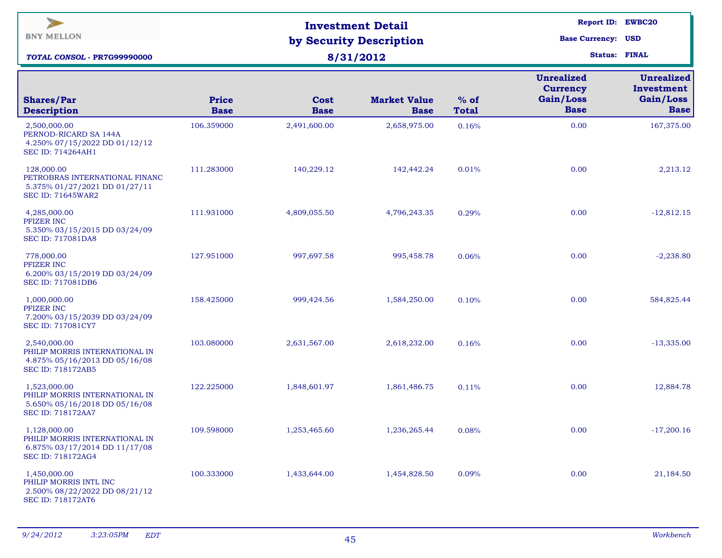| $\geq$<br><b>BNY MELLON</b><br>TOTAL CONSOL - PR7G99990000                                                  |                             | <b>Investment Detail</b><br>by Security Description<br>8/31/2012 | <b>Report ID: EWBC20</b><br><b>Base Currency: USD</b><br><b>Status: FINAL</b> |                        |                                                                  |                                                             |
|-------------------------------------------------------------------------------------------------------------|-----------------------------|------------------------------------------------------------------|-------------------------------------------------------------------------------|------------------------|------------------------------------------------------------------|-------------------------------------------------------------|
| <b>Shares/Par</b><br><b>Description</b>                                                                     | <b>Price</b><br><b>Base</b> | Cost<br><b>Base</b>                                              | <b>Market Value</b><br><b>Base</b>                                            | $%$ of<br><b>Total</b> | <b>Unrealized</b><br><b>Currency</b><br>Gain/Loss<br><b>Base</b> | <b>Unrealized</b><br>Investment<br>Gain/Loss<br><b>Base</b> |
| 2,500,000.00<br>PERNOD-RICARD SA 144A<br>4.250% 07/15/2022 DD 01/12/12<br><b>SEC ID: 714264AH1</b>          | 106.359000                  | 2,491,600.00                                                     | 2,658,975.00                                                                  | 0.16%                  | 0.00                                                             | 167,375.00                                                  |
| 128,000.00<br>PETROBRAS INTERNATIONAL FINANC<br>5.375% 01/27/2021 DD 01/27/11<br><b>SEC ID: 71645WAR2</b>   | 111.283000                  | 140,229.12                                                       | 142,442.24                                                                    | 0.01%                  | 0.00                                                             | 2,213.12                                                    |
| 4,285,000.00<br>PFIZER INC<br>5.350% 03/15/2015 DD 03/24/09<br><b>SEC ID: 717081DA8</b>                     | 111.931000                  | 4,809,055.50                                                     | 4,796,243.35                                                                  | 0.29%                  | 0.00                                                             | $-12,812.15$                                                |
| 778,000.00<br>PFIZER INC<br>6.200% 03/15/2019 DD 03/24/09<br>SEC ID: 717081DB6                              | 127.951000                  | 997,697.58                                                       | 995,458.78                                                                    | 0.06%                  | 0.00                                                             | $-2,238.80$                                                 |
| 1,000,000.00<br>PFIZER INC<br>7.200% 03/15/2039 DD 03/24/09<br>SEC ID: 717081CY7                            | 158.425000                  | 999,424.56                                                       | 1,584,250.00                                                                  | 0.10%                  | 0.00                                                             | 584,825.44                                                  |
| 2,540,000.00<br>PHILIP MORRIS INTERNATIONAL IN<br>4.875% 05/16/2013 DD 05/16/08<br><b>SEC ID: 718172AB5</b> | 103.080000                  | 2,631,567.00                                                     | 2,618,232.00                                                                  | 0.16%                  | 0.00                                                             | $-13,335.00$                                                |
| 1,523,000.00<br>PHILIP MORRIS INTERNATIONAL IN<br>5.650% 05/16/2018 DD 05/16/08<br><b>SEC ID: 718172AA7</b> | 122.225000                  | 1,848,601.97                                                     | 1,861,486.75                                                                  | 0.11%                  | 0.00                                                             | 12,884.78                                                   |
| 1,128,000.00<br>PHILIP MORRIS INTERNATIONAL IN<br>6.875% 03/17/2014 DD 11/17/08<br>SEC ID: 718172AG4        | 109.598000                  | 1,253,465.60                                                     | 1,236,265.44                                                                  | 0.08%                  | 0.00                                                             | $-17,200.16$                                                |
| 1,450,000.00<br>PHILIP MORRIS INTL INC<br>2.500% 08/22/2022 DD 08/21/12<br>SEC ID: 718172AT6                | 100.333000                  | 1,433,644.00                                                     | 1,454,828.50                                                                  | 0.09%                  | 0.00                                                             | 21,184.50                                                   |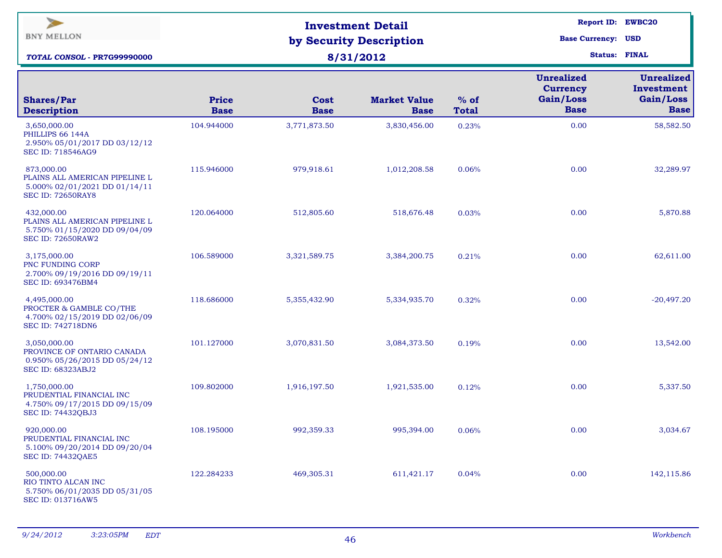| $\geq$<br><b>BNY MELLON</b><br><b>TOTAL CONSOL - PR7G99990000</b>                                         |                             | <b>Investment Detail</b><br>by Security Description<br>8/31/2012 | <b>Report ID: EWBC20</b><br><b>Base Currency: USD</b><br><b>Status: FINAL</b> |                        |                                                                  |                                                             |
|-----------------------------------------------------------------------------------------------------------|-----------------------------|------------------------------------------------------------------|-------------------------------------------------------------------------------|------------------------|------------------------------------------------------------------|-------------------------------------------------------------|
| <b>Shares/Par</b><br><b>Description</b>                                                                   | <b>Price</b><br><b>Base</b> | Cost<br><b>Base</b>                                              | <b>Market Value</b><br><b>Base</b>                                            | $%$ of<br><b>Total</b> | <b>Unrealized</b><br><b>Currency</b><br>Gain/Loss<br><b>Base</b> | <b>Unrealized</b><br>Investment<br>Gain/Loss<br><b>Base</b> |
| 3,650,000.00<br>PHILLIPS 66 144A<br>2.950% 05/01/2017 DD 03/12/12<br><b>SEC ID: 718546AG9</b>             | 104.944000                  | 3,771,873.50                                                     | 3,830,456.00                                                                  | 0.23%                  | 0.00                                                             | 58,582.50                                                   |
| 873,000.00<br>PLAINS ALL AMERICAN PIPELINE L<br>5.000% 02/01/2021 DD 01/14/11<br><b>SEC ID: 72650RAY8</b> | 115.946000                  | 979,918.61                                                       | 1,012,208.58                                                                  | 0.06%                  | 0.00                                                             | 32,289.97                                                   |
| 432,000.00<br>PLAINS ALL AMERICAN PIPELINE L<br>5.750% 01/15/2020 DD 09/04/09<br><b>SEC ID: 72650RAW2</b> | 120.064000                  | 512,805.60                                                       | 518,676.48                                                                    | 0.03%                  | 0.00                                                             | 5,870.88                                                    |
| 3,175,000.00<br>PNC FUNDING CORP<br>2.700% 09/19/2016 DD 09/19/11<br>SEC ID: 693476BM4                    | 106.589000                  | 3,321,589.75                                                     | 3,384,200.75                                                                  | 0.21%                  | 0.00                                                             | 62,611.00                                                   |
| 4,495,000.00<br>PROCTER & GAMBLE CO/THE<br>4.700% 02/15/2019 DD 02/06/09<br><b>SEC ID: 742718DN6</b>      | 118.686000                  | 5,355,432.90                                                     | 5,334,935.70                                                                  | 0.32%                  | 0.00                                                             | $-20,497.20$                                                |
| 3,050,000.00<br>PROVINCE OF ONTARIO CANADA<br>0.950% 05/26/2015 DD 05/24/12<br><b>SEC ID: 68323ABJ2</b>   | 101.127000                  | 3,070,831.50                                                     | 3,084,373.50                                                                  | 0.19%                  | 0.00                                                             | 13,542.00                                                   |
| 1,750,000.00<br>PRUDENTIAL FINANCIAL INC<br>4.750% 09/17/2015 DD 09/15/09<br><b>SEC ID: 74432QBJ3</b>     | 109.802000                  | 1,916,197.50                                                     | 1,921,535.00                                                                  | 0.12%                  | 0.00                                                             | 5,337.50                                                    |
| 920,000.00<br>PRUDENTIAL FINANCIAL INC<br>5.100% 09/20/2014 DD 09/20/04<br><b>SEC ID: 74432QAE5</b>       | 108.195000                  | 992,359.33                                                       | 995,394.00                                                                    | 0.06%                  | 0.00                                                             | 3,034.67                                                    |
| 500,000.00<br>RIO TINTO ALCAN INC<br>5.750% 06/01/2035 DD 05/31/05<br>SEC ID: 013716AW5                   | 122.284233                  | 469,305.31                                                       | 611,421.17                                                                    | 0.04%                  | 0.00                                                             | 142,115.86                                                  |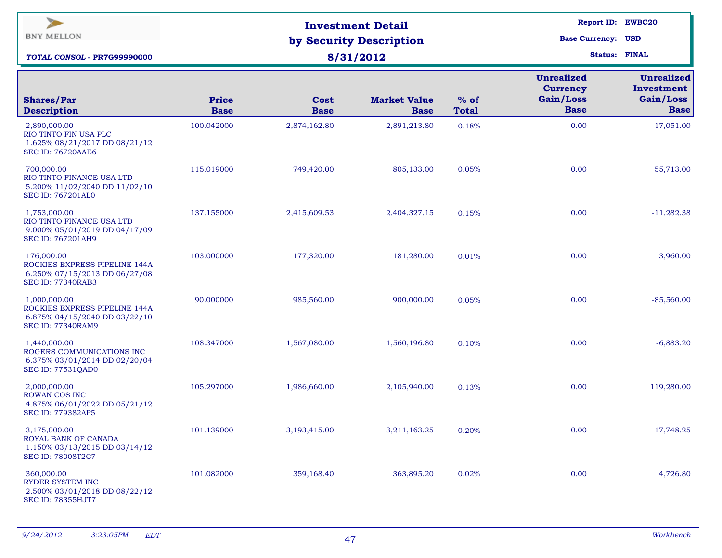| ⋗<br><b>BNY MELLON</b><br>TOTAL CONSOL - PR7G99990000                                                      |                             | <b>Investment Detail</b><br>by Security Description<br>8/31/2012 | <b>Report ID: EWBC20</b><br><b>Base Currency: USD</b><br><b>Status: FINAL</b> |                        |                                                                  |                                                             |
|------------------------------------------------------------------------------------------------------------|-----------------------------|------------------------------------------------------------------|-------------------------------------------------------------------------------|------------------------|------------------------------------------------------------------|-------------------------------------------------------------|
| <b>Shares/Par</b><br><b>Description</b>                                                                    | <b>Price</b><br><b>Base</b> | Cost<br><b>Base</b>                                              | <b>Market Value</b><br><b>Base</b>                                            | $%$ of<br><b>Total</b> | <b>Unrealized</b><br><b>Currency</b><br>Gain/Loss<br><b>Base</b> | <b>Unrealized</b><br>Investment<br>Gain/Loss<br><b>Base</b> |
| 2,890,000.00<br>RIO TINTO FIN USA PLC<br>1.625% 08/21/2017 DD 08/21/12<br><b>SEC ID: 76720AAE6</b>         | 100.042000                  | 2,874,162.80                                                     | 2,891,213.80                                                                  | 0.18%                  | 0.00                                                             | 17,051.00                                                   |
| 700,000.00<br>RIO TINTO FINANCE USA LTD<br>5.200% 11/02/2040 DD 11/02/10<br><b>SEC ID: 767201AL0</b>       | 115.019000                  | 749,420.00                                                       | 805,133.00                                                                    | 0.05%                  | 0.00                                                             | 55,713.00                                                   |
| 1,753,000.00<br>RIO TINTO FINANCE USA LTD<br>9.000% 05/01/2019 DD 04/17/09<br><b>SEC ID: 767201AH9</b>     | 137.155000                  | 2,415,609.53                                                     | 2,404,327.15                                                                  | 0.15%                  | 0.00                                                             | $-11,282.38$                                                |
| 176,000.00<br>ROCKIES EXPRESS PIPELINE 144A<br>6.250% 07/15/2013 DD 06/27/08<br><b>SEC ID: 77340RAB3</b>   | 103.000000                  | 177,320.00                                                       | 181,280.00                                                                    | 0.01%                  | 0.00                                                             | 3,960.00                                                    |
| 1,000,000.00<br>ROCKIES EXPRESS PIPELINE 144A<br>6.875% 04/15/2040 DD 03/22/10<br><b>SEC ID: 77340RAM9</b> | 90.000000                   | 985,560.00                                                       | 900,000.00                                                                    | 0.05%                  | 0.00                                                             | $-85,560.00$                                                |
| 1,440,000.00<br>ROGERS COMMUNICATIONS INC<br>6.375% 03/01/2014 DD 02/20/04<br><b>SEC ID: 77531QAD0</b>     | 108.347000                  | 1,567,080.00                                                     | 1,560,196.80                                                                  | 0.10%                  | 0.00                                                             | $-6,883.20$                                                 |
| 2,000,000.00<br><b>ROWAN COS INC</b><br>4.875% 06/01/2022 DD 05/21/12<br>SEC ID: 779382AP5                 | 105.297000                  | 1,986,660.00                                                     | 2,105,940.00                                                                  | 0.13%                  | 0.00                                                             | 119,280.00                                                  |
| 3,175,000.00<br>ROYAL BANK OF CANADA<br>1.150% 03/13/2015 DD 03/14/12<br>SEC ID: 78008T2C7                 | 101.139000                  | 3,193,415.00                                                     | 3,211,163.25                                                                  | 0.20%                  | 0.00                                                             | 17,748.25                                                   |
| 360,000.00<br><b>RYDER SYSTEM INC</b><br>2.500% 03/01/2018 DD 08/22/12<br><b>SEC ID: 78355HJT7</b>         | 101.082000                  | 359,168.40                                                       | 363,895.20                                                                    | 0.02%                  | 0.00                                                             | 4,726.80                                                    |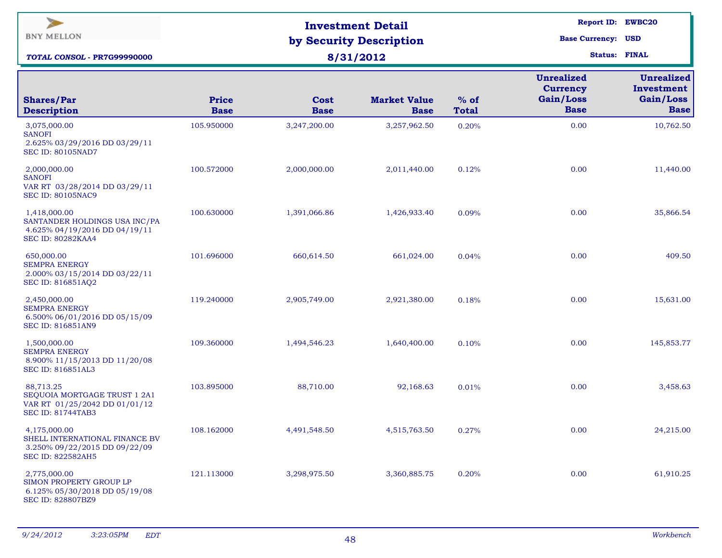| $\overline{\phantom{a}}$<br><b>BNY MELLON</b><br><b>TOTAL CONSOL - PR7G99990000</b>                         |                             | <b>Investment Detail</b><br>by Security Description<br>8/31/2012 | Report ID: EWBC20<br><b>Base Currency: USD</b><br><b>Status: FINAL</b> |                        |                                                                  |                                                             |
|-------------------------------------------------------------------------------------------------------------|-----------------------------|------------------------------------------------------------------|------------------------------------------------------------------------|------------------------|------------------------------------------------------------------|-------------------------------------------------------------|
| <b>Shares/Par</b><br><b>Description</b>                                                                     | <b>Price</b><br><b>Base</b> | Cost<br><b>Base</b>                                              | <b>Market Value</b><br><b>Base</b>                                     | $%$ of<br><b>Total</b> | <b>Unrealized</b><br><b>Currency</b><br>Gain/Loss<br><b>Base</b> | <b>Unrealized</b><br>Investment<br>Gain/Loss<br><b>Base</b> |
| 3,075,000.00<br><b>SANOFI</b><br>2.625% 03/29/2016 DD 03/29/11<br><b>SEC ID: 80105NAD7</b>                  | 105.950000                  | 3,247,200.00                                                     | 3,257,962.50                                                           | 0.20%                  | 0.00                                                             | 10,762.50                                                   |
| 2,000,000.00<br><b>SANOFI</b><br>VAR RT 03/28/2014 DD 03/29/11<br><b>SEC ID: 80105NAC9</b>                  | 100.572000                  | 2,000,000.00                                                     | 2,011,440.00                                                           | 0.12%                  | 0.00                                                             | 11,440.00                                                   |
| 1,418,000.00<br>SANTANDER HOLDINGS USA INC/PA<br>4.625% 04/19/2016 DD 04/19/11<br><b>SEC ID: 80282KAA4</b>  | 100.630000                  | 1,391,066.86                                                     | 1,426,933.40                                                           | 0.09%                  | 0.00                                                             | 35,866.54                                                   |
| 650,000.00<br><b>SEMPRA ENERGY</b><br>2.000% 03/15/2014 DD 03/22/11<br>SEC ID: 816851AQ2                    | 101.696000                  | 660,614.50                                                       | 661,024.00                                                             | 0.04%                  | 0.00                                                             | 409.50                                                      |
| 2,450,000.00<br><b>SEMPRA ENERGY</b><br>6.500% 06/01/2016 DD 05/15/09<br><b>SEC ID: 816851AN9</b>           | 119.240000                  | 2,905,749.00                                                     | 2,921,380.00                                                           | 0.18%                  | 0.00                                                             | 15,631.00                                                   |
| 1,500,000.00<br><b>SEMPRA ENERGY</b><br>8.900% 11/15/2013 DD 11/20/08<br><b>SEC ID: 816851AL3</b>           | 109.360000                  | 1,494,546.23                                                     | 1,640,400.00                                                           | 0.10%                  | 0.00                                                             | 145,853.77                                                  |
| 88,713.25<br>SEQUOIA MORTGAGE TRUST 1 2A1<br>VAR RT 01/25/2042 DD 01/01/12<br><b>SEC ID: 81744TAB3</b>      | 103.895000                  | 88,710.00                                                        | 92,168.63                                                              | 0.01%                  | 0.00                                                             | 3,458.63                                                    |
| 4,175,000.00<br>SHELL INTERNATIONAL FINANCE BV<br>3.250% 09/22/2015 DD 09/22/09<br><b>SEC ID: 822582AH5</b> | 108.162000                  | 4,491,548.50                                                     | 4,515,763.50                                                           | 0.27%                  | 0.00                                                             | 24,215.00                                                   |
| 2,775,000.00<br>SIMON PROPERTY GROUP LP<br>6.125% 05/30/2018 DD 05/19/08<br>SEC ID: 828807BZ9               | 121.113000                  | 3,298,975.50                                                     | 3,360,885.75                                                           | 0.20%                  | 0.00                                                             | 61,910.25                                                   |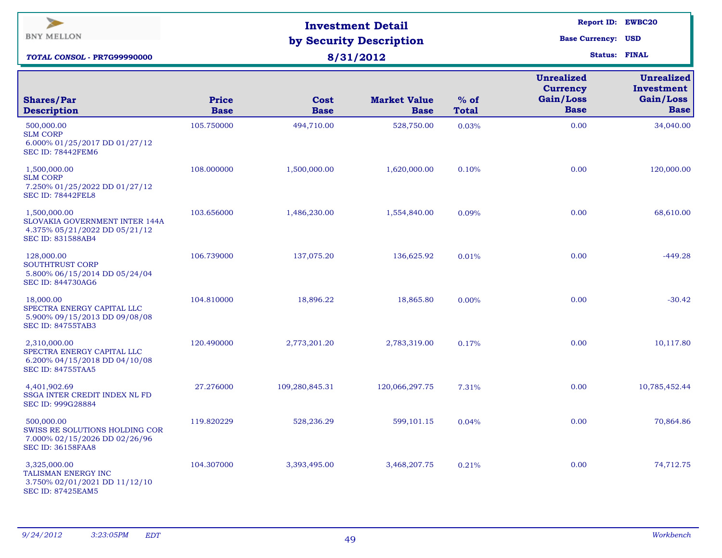| $\blacktriangleright$<br><b>BNY MELLON</b><br>TOTAL CONSOL - PR7G99990000                                          |                             | <b>Investment Detail</b><br>by Security Description<br>8/31/2012 | Report ID: EWBC20<br><b>Base Currency: USD</b><br><b>Status: FINAL</b> |                        |                                                                  |                                                             |
|--------------------------------------------------------------------------------------------------------------------|-----------------------------|------------------------------------------------------------------|------------------------------------------------------------------------|------------------------|------------------------------------------------------------------|-------------------------------------------------------------|
| <b>Shares/Par</b><br><b>Description</b>                                                                            | <b>Price</b><br><b>Base</b> | Cost<br><b>Base</b>                                              | <b>Market Value</b><br><b>Base</b>                                     | $%$ of<br><b>Total</b> | <b>Unrealized</b><br><b>Currency</b><br>Gain/Loss<br><b>Base</b> | <b>Unrealized</b><br>Investment<br>Gain/Loss<br><b>Base</b> |
| 500,000.00<br><b>SLM CORP</b><br>6.000% 01/25/2017 DD 01/27/12<br><b>SEC ID: 78442FEM6</b>                         | 105.750000                  | 494,710.00                                                       | 528,750.00                                                             | 0.03%                  | 0.00                                                             | 34,040.00                                                   |
| 1,500,000.00<br><b>SLM CORP</b><br>7.250% 01/25/2022 DD 01/27/12<br>SEC ID: 78442FEL8                              | 108.000000                  | 1,500,000.00                                                     | 1,620,000.00                                                           | 0.10%                  | 0.00                                                             | 120,000.00                                                  |
| 1,500,000.00<br><b>SLOVAKIA GOVERNMENT INTER 144A</b><br>4.375% 05/21/2022 DD 05/21/12<br><b>SEC ID: 831588AB4</b> | 103.656000                  | 1,486,230.00                                                     | 1,554,840.00                                                           | 0.09%                  | 0.00                                                             | 68,610.00                                                   |
| 128,000.00<br>SOUTHTRUST CORP<br>5.800% 06/15/2014 DD 05/24/04<br><b>SEC ID: 844730AG6</b>                         | 106.739000                  | 137,075.20                                                       | 136,625.92                                                             | 0.01%                  | 0.00                                                             | $-449.28$                                                   |
| 18,000.00<br>SPECTRA ENERGY CAPITAL LLC<br>5.900% 09/15/2013 DD 09/08/08<br><b>SEC ID: 84755TAB3</b>               | 104.810000                  | 18,896.22                                                        | 18,865.80                                                              | 0.00%                  | 0.00                                                             | $-30.42$                                                    |
| 2,310,000.00<br>SPECTRA ENERGY CAPITAL LLC<br>6.200% 04/15/2018 DD 04/10/08<br><b>SEC ID: 84755TAA5</b>            | 120.490000                  | 2,773,201.20                                                     | 2,783,319.00                                                           | 0.17%                  | 0.00                                                             | 10,117.80                                                   |
| 4,401,902.69<br>SSGA INTER CREDIT INDEX NL FD<br>SEC ID: 999G28884                                                 | 27.276000                   | 109,280,845.31                                                   | 120,066,297.75                                                         | 7.31%                  | 0.00                                                             | 10,785,452.44                                               |
| 500,000.00<br>SWISS RE SOLUTIONS HOLDING COR<br>7.000% 02/15/2026 DD 02/26/96<br><b>SEC ID: 36158FAA8</b>          | 119.820229                  | 528,236.29                                                       | 599,101.15                                                             | 0.04%                  | 0.00                                                             | 70,864.86                                                   |
| 3,325,000.00<br>TALISMAN ENERGY INC<br>3.750% 02/01/2021 DD 11/12/10<br><b>SEC ID: 87425EAM5</b>                   | 104.307000                  | 3,393,495.00                                                     | 3,468,207.75                                                           | 0.21%                  | 0.00                                                             | 74,712.75                                                   |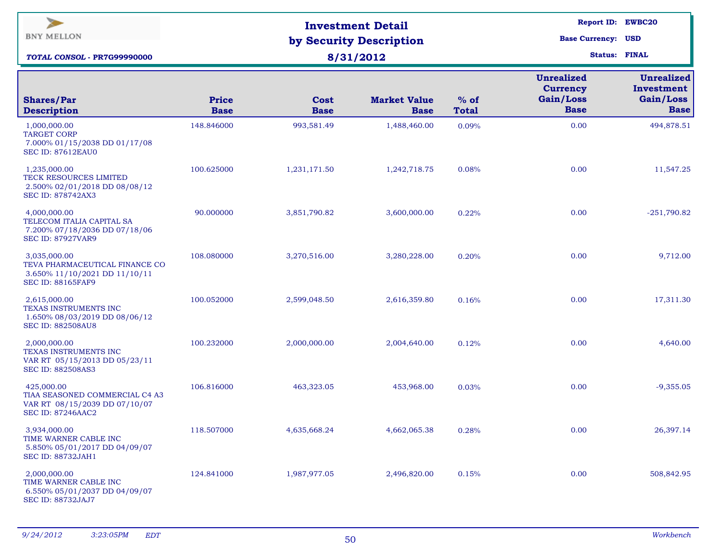| $\blacktriangleright$<br><b>BNY MELLON</b><br>TOTAL CONSOL - PR7G99990000                                   |                             | <b>Investment Detail</b><br>by Security Description<br>8/31/2012 | <b>Report ID: EWBC20</b><br><b>Base Currency: USD</b><br><b>Status: FINAL</b> |                        |                                                                  |                                                             |
|-------------------------------------------------------------------------------------------------------------|-----------------------------|------------------------------------------------------------------|-------------------------------------------------------------------------------|------------------------|------------------------------------------------------------------|-------------------------------------------------------------|
| <b>Shares/Par</b><br><b>Description</b>                                                                     | <b>Price</b><br><b>Base</b> | Cost<br><b>Base</b>                                              | <b>Market Value</b><br><b>Base</b>                                            | $%$ of<br><b>Total</b> | <b>Unrealized</b><br><b>Currency</b><br>Gain/Loss<br><b>Base</b> | <b>Unrealized</b><br>Investment<br>Gain/Loss<br><b>Base</b> |
| 1,000,000.00<br><b>TARGET CORP</b><br>7.000% 01/15/2038 DD 01/17/08<br><b>SEC ID: 87612EAU0</b>             | 148.846000                  | 993,581.49                                                       | 1,488,460.00                                                                  | 0.09%                  | 0.00                                                             | 494,878.51                                                  |
| 1,235,000.00<br>TECK RESOURCES LIMITED<br>2.500% 02/01/2018 DD 08/08/12<br><b>SEC ID: 878742AX3</b>         | 100.625000                  | 1,231,171.50                                                     | 1,242,718.75                                                                  | 0.08%                  | 0.00                                                             | 11,547.25                                                   |
| 4,000,000.00<br>TELECOM ITALIA CAPITAL SA<br>7.200% 07/18/2036 DD 07/18/06<br><b>SEC ID: 87927VAR9</b>      | 90.000000                   | 3,851,790.82                                                     | 3,600,000.00                                                                  | 0.22%                  | 0.00                                                             | $-251,790.82$                                               |
| 3,035,000.00<br>TEVA PHARMACEUTICAL FINANCE CO<br>3.650% 11/10/2021 DD 11/10/11<br><b>SEC ID: 88165FAF9</b> | 108.080000                  | 3,270,516.00                                                     | 3,280,228.00                                                                  | 0.20%                  | 0.00                                                             | 9,712.00                                                    |
| 2,615,000.00<br>TEXAS INSTRUMENTS INC<br>1.650% 08/03/2019 DD 08/06/12<br><b>SEC ID: 882508AU8</b>          | 100.052000                  | 2,599,048.50                                                     | 2,616,359.80                                                                  | 0.16%                  | 0.00                                                             | 17,311.30                                                   |
| 2,000,000.00<br>TEXAS INSTRUMENTS INC<br>VAR RT 05/15/2013 DD 05/23/11<br><b>SEC ID: 882508AS3</b>          | 100.232000                  | 2,000,000.00                                                     | 2,004,640.00                                                                  | 0.12%                  | 0.00                                                             | 4,640.00                                                    |
| 425,000.00<br>TIAA SEASONED COMMERCIAL C4 A3<br>VAR RT 08/15/2039 DD 07/10/07<br><b>SEC ID: 87246AAC2</b>   | 106.816000                  | 463,323.05                                                       | 453,968.00                                                                    | 0.03%                  | 0.00                                                             | $-9,355.05$                                                 |
| 3,934,000.00<br>TIME WARNER CABLE INC<br>5.850% 05/01/2017 DD 04/09/07<br><b>SEC ID: 88732JAH1</b>          | 118.507000                  | 4,635,668.24                                                     | 4,662,065.38                                                                  | 0.28%                  | 0.00                                                             | 26,397.14                                                   |
| 2,000,000.00<br>TIME WARNER CABLE INC<br>6.550% 05/01/2037 DD 04/09/07<br><b>SEC ID: 88732JAJ7</b>          | 124.841000                  | 1,987,977.05                                                     | 2,496,820.00                                                                  | 0.15%                  | 0.00                                                             | 508,842.95                                                  |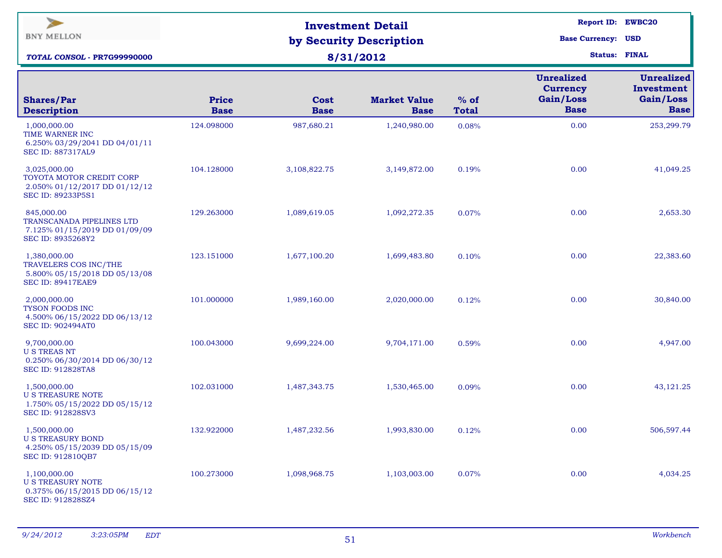| $\blacktriangleright$<br><b>BNY MELLON</b><br>TOTAL CONSOL - PR7G99990000                            |                             | <b>Investment Detail</b><br>by Security Description<br>8/31/2012 | Report ID: EWBC20<br><b>Base Currency: USD</b><br><b>Status: FINAL</b> |                        |                                                                  |                                                             |
|------------------------------------------------------------------------------------------------------|-----------------------------|------------------------------------------------------------------|------------------------------------------------------------------------|------------------------|------------------------------------------------------------------|-------------------------------------------------------------|
| <b>Shares/Par</b><br><b>Description</b>                                                              | <b>Price</b><br><b>Base</b> | Cost<br><b>Base</b>                                              | <b>Market Value</b><br><b>Base</b>                                     | $%$ of<br><b>Total</b> | <b>Unrealized</b><br><b>Currency</b><br>Gain/Loss<br><b>Base</b> | <b>Unrealized</b><br>Investment<br>Gain/Loss<br><b>Base</b> |
| 1,000,000.00<br>TIME WARNER INC<br>6.250% 03/29/2041 DD 04/01/11<br><b>SEC ID: 887317AL9</b>         | 124.098000                  | 987,680.21                                                       | 1,240,980.00                                                           | 0.08%                  | 0.00                                                             | 253,299.79                                                  |
| 3,025,000.00<br>TOYOTA MOTOR CREDIT CORP<br>2.050% 01/12/2017 DD 01/12/12<br>SEC ID: 89233P5S1       | 104.128000                  | 3,108,822.75                                                     | 3,149,872.00                                                           | 0.19%                  | 0.00                                                             | 41,049.25                                                   |
| 845,000.00<br><b>TRANSCANADA PIPELINES LTD</b><br>7.125% 01/15/2019 DD 01/09/09<br>SEC ID: 8935268Y2 | 129.263000                  | 1,089,619.05                                                     | 1,092,272.35                                                           | 0.07%                  | 0.00                                                             | 2,653.30                                                    |
| 1,380,000.00<br>TRAVELERS COS INC/THE<br>5.800% 05/15/2018 DD 05/13/08<br><b>SEC ID: 89417EAE9</b>   | 123.151000                  | 1,677,100.20                                                     | 1,699,483.80                                                           | 0.10%                  | 0.00                                                             | 22,383.60                                                   |
| 2,000,000.00<br>TYSON FOODS INC<br>4.500% 06/15/2022 DD 06/13/12<br><b>SEC ID: 902494AT0</b>         | 101.000000                  | 1,989,160.00                                                     | 2,020,000.00                                                           | 0.12%                  | 0.00                                                             | 30,840.00                                                   |
| 9,700,000.00<br><b>U S TREAS NT</b><br>0.250% 06/30/2014 DD 06/30/12<br><b>SEC ID: 912828TA8</b>     | 100.043000                  | 9,699,224.00                                                     | 9,704,171.00                                                           | 0.59%                  | 0.00                                                             | 4,947.00                                                    |
| 1,500,000.00<br>U S TREASURE NOTE<br>1.750% 05/15/2022 DD 05/15/12<br><b>SEC ID: 912828SV3</b>       | 102.031000                  | 1,487,343.75                                                     | 1,530,465.00                                                           | 0.09%                  | 0.00                                                             | 43,121.25                                                   |
| 1,500,000.00<br><b>U S TREASURY BOND</b><br>4.250% 05/15/2039 DD 05/15/09<br>SEC ID: 912810OB7       | 132.922000                  | 1,487,232.56                                                     | 1,993,830.00                                                           | 0.12%                  | 0.00                                                             | 506,597.44                                                  |
| 1,100,000.00<br><b>U S TREASURY NOTE</b><br>0.375% 06/15/2015 DD 06/15/12<br>SEC ID: 912828SZ4       | 100.273000                  | 1,098,968.75                                                     | 1,103,003.00                                                           | 0.07%                  | 0.00                                                             | 4,034.25                                                    |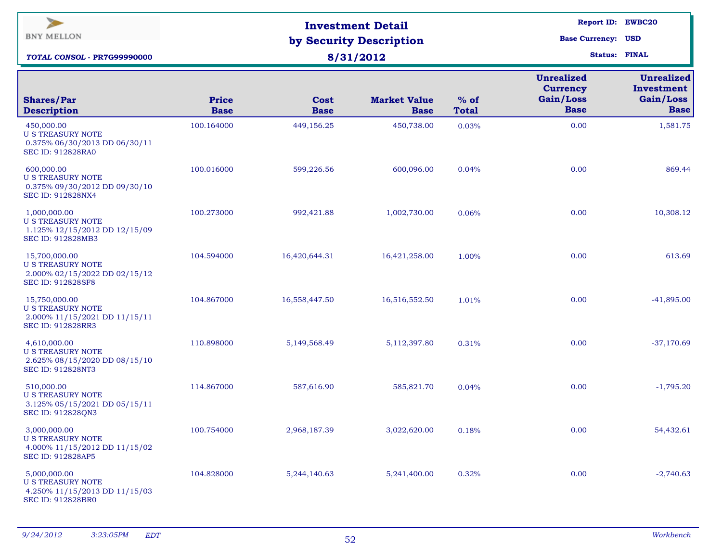| $\overline{\phantom{a}}$<br><b>BNY MELLON</b><br><b>TOTAL CONSOL - PR7G99990000</b>                   |                             | <b>Investment Detail</b><br>by Security Description<br>8/31/2012 | <b>Report ID: EWBC20</b><br><b>Base Currency: USD</b><br><b>Status: FINAL</b> |                        |                                                                  |                                                             |
|-------------------------------------------------------------------------------------------------------|-----------------------------|------------------------------------------------------------------|-------------------------------------------------------------------------------|------------------------|------------------------------------------------------------------|-------------------------------------------------------------|
| <b>Shares/Par</b><br><b>Description</b>                                                               | <b>Price</b><br><b>Base</b> | Cost<br><b>Base</b>                                              | <b>Market Value</b><br><b>Base</b>                                            | $%$ of<br><b>Total</b> | <b>Unrealized</b><br><b>Currency</b><br>Gain/Loss<br><b>Base</b> | <b>Unrealized</b><br>Investment<br>Gain/Loss<br><b>Base</b> |
| 450,000.00<br><b>U S TREASURY NOTE</b><br>0.375% 06/30/2013 DD 06/30/11<br><b>SEC ID: 912828RA0</b>   | 100.164000                  | 449,156.25                                                       | 450,738.00                                                                    | 0.03%                  | 0.00                                                             | 1,581.75                                                    |
| 600,000.00<br><b>U S TREASURY NOTE</b><br>0.375% 09/30/2012 DD 09/30/10<br>SEC ID: 912828NX4          | 100.016000                  | 599,226.56                                                       | 600,096.00                                                                    | 0.04%                  | 0.00                                                             | 869.44                                                      |
| 1,000,000.00<br><b>U S TREASURY NOTE</b><br>1.125% 12/15/2012 DD 12/15/09<br>SEC ID: 912828MB3        | 100.273000                  | 992,421.88                                                       | 1,002,730.00                                                                  | 0.06%                  | 0.00                                                             | 10,308.12                                                   |
| 15,700,000.00<br><b>U S TREASURY NOTE</b><br>2.000% 02/15/2022 DD 02/15/12<br>SEC ID: 912828SF8       | 104.594000                  | 16,420,644.31                                                    | 16,421,258.00                                                                 | 1.00%                  | 0.00                                                             | 613.69                                                      |
| 15,750,000.00<br><b>U S TREASURY NOTE</b><br>2.000% 11/15/2021 DD 11/15/11<br>SEC ID: 912828RR3       | 104.867000                  | 16,558,447.50                                                    | 16,516,552.50                                                                 | 1.01%                  | 0.00                                                             | $-41,895.00$                                                |
| 4,610,000.00<br><b>U S TREASURY NOTE</b><br>2.625% 08/15/2020 DD 08/15/10<br><b>SEC ID: 912828NT3</b> | 110.898000                  | 5,149,568.49                                                     | 5,112,397.80                                                                  | 0.31%                  | 0.00                                                             | $-37,170.69$                                                |
| 510,000.00<br><b>U S TREASURY NOTE</b><br>3.125% 05/15/2021 DD 05/15/11<br>SEC ID: 912828QN3          | 114.867000                  | 587,616.90                                                       | 585,821.70                                                                    | 0.04%                  | 0.00                                                             | $-1,795.20$                                                 |
| 3,000,000.00<br><b>U S TREASURY NOTE</b><br>4.000% 11/15/2012 DD 11/15/02<br>SEC ID: 912828AP5        | 100.754000                  | 2,968,187.39                                                     | 3,022,620.00                                                                  | 0.18%                  | 0.00                                                             | 54,432.61                                                   |
| 5,000,000.00<br><b>U S TREASURY NOTE</b><br>4.250% 11/15/2013 DD 11/15/03<br>SEC ID: 912828BR0        | 104.828000                  | 5,244,140.63                                                     | 5,241,400.00                                                                  | 0.32%                  | 0.00                                                             | $-2,740.63$                                                 |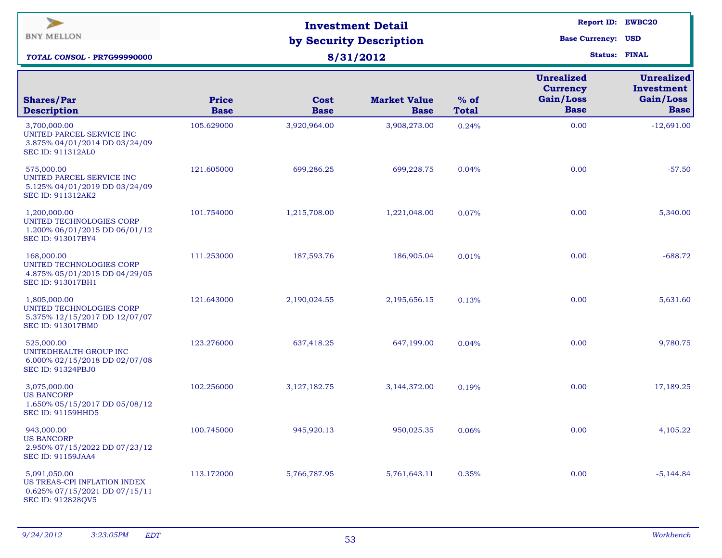| $\overline{\phantom{a}}$<br><b>BNY MELLON</b><br>TOTAL CONSOL - PR7G99990000                         |                             | <b>Investment Detail</b><br>by Security Description<br>8/31/2012 | Report ID: EWBC20<br><b>Base Currency: USD</b><br><b>Status: FINAL</b> |                        |                                                                  |                                                             |
|------------------------------------------------------------------------------------------------------|-----------------------------|------------------------------------------------------------------|------------------------------------------------------------------------|------------------------|------------------------------------------------------------------|-------------------------------------------------------------|
| <b>Shares/Par</b><br><b>Description</b>                                                              | <b>Price</b><br><b>Base</b> | Cost<br><b>Base</b>                                              | <b>Market Value</b><br><b>Base</b>                                     | $%$ of<br><b>Total</b> | <b>Unrealized</b><br><b>Currency</b><br>Gain/Loss<br><b>Base</b> | <b>Unrealized</b><br>Investment<br>Gain/Loss<br><b>Base</b> |
| 3,700,000.00<br>UNITED PARCEL SERVICE INC<br>3.875% 04/01/2014 DD 03/24/09<br>SEC ID: 911312AL0      | 105.629000                  | 3,920,964.00                                                     | 3,908,273.00                                                           | 0.24%                  | 0.00                                                             | $-12,691.00$                                                |
| 575,000.00<br>UNITED PARCEL SERVICE INC<br>5.125% 04/01/2019 DD 03/24/09<br><b>SEC ID: 911312AK2</b> | 121.605000                  | 699,286.25                                                       | 699,228.75                                                             | 0.04%                  | 0.00                                                             | $-57.50$                                                    |
| 1,200,000.00<br>UNITED TECHNOLOGIES CORP<br>1.200% 06/01/2015 DD 06/01/12<br>SEC ID: 913017BY4       | 101.754000                  | 1,215,708.00                                                     | 1,221,048.00                                                           | 0.07%                  | 0.00                                                             | 5,340.00                                                    |
| 168,000.00<br>UNITED TECHNOLOGIES CORP<br>4.875% 05/01/2015 DD 04/29/05<br>SEC ID: 913017BH1         | 111.253000                  | 187,593.76                                                       | 186,905.04                                                             | 0.01%                  | 0.00                                                             | $-688.72$                                                   |
| 1,805,000.00<br>UNITED TECHNOLOGIES CORP<br>5.375% 12/15/2017 DD 12/07/07<br>SEC ID: 913017BM0       | 121.643000                  | 2,190,024.55                                                     | 2,195,656.15                                                           | 0.13%                  | 0.00                                                             | 5,631.60                                                    |
| 525,000.00<br>UNITEDHEALTH GROUP INC<br>6.000% 02/15/2018 DD 02/07/08<br><b>SEC ID: 91324PBJ0</b>    | 123.276000                  | 637,418.25                                                       | 647,199.00                                                             | 0.04%                  | 0.00                                                             | 9,780.75                                                    |
| 3,075,000.00<br><b>US BANCORP</b><br>1.650% 05/15/2017 DD 05/08/12<br><b>SEC ID: 91159HHD5</b>       | 102.256000                  | 3,127,182.75                                                     | 3,144,372.00                                                           | 0.19%                  | 0.00                                                             | 17,189.25                                                   |
| 943,000.00<br><b>US BANCORP</b><br>2.950% 07/15/2022 DD 07/23/12<br><b>SEC ID: 91159JAA4</b>         | 100.745000                  | 945,920.13                                                       | 950,025.35                                                             | 0.06%                  | 0.00                                                             | 4,105.22                                                    |
| 5,091,050.00<br>US TREAS-CPI INFLATION INDEX<br>0.625% 07/15/2021 DD 07/15/11<br>SEC ID: 912828QV5   | 113.172000                  | 5,766,787.95                                                     | 5,761,643.11                                                           | 0.35%                  | 0.00                                                             | $-5,144.84$                                                 |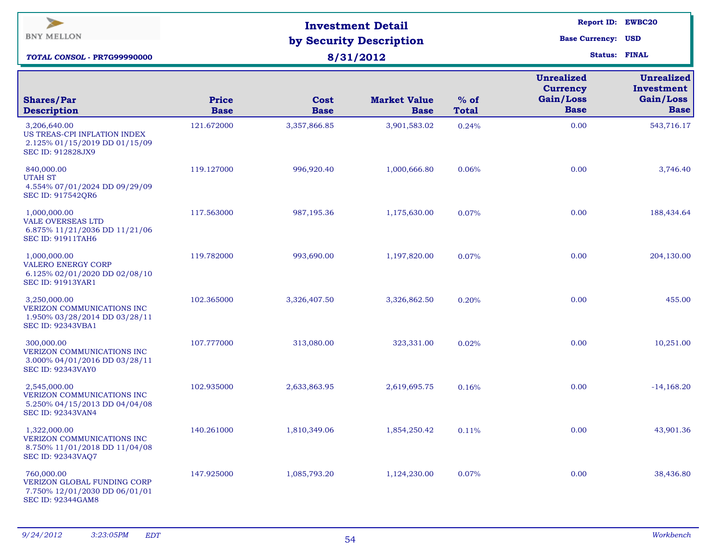| $\blacktriangleright$<br><b>BNY MELLON</b><br><b>TOTAL CONSOL - PR7G99990000</b>                        |                             | <b>Investment Detail</b><br>by Security Description<br>8/31/2012 | Report ID: EWBC20<br><b>Base Currency: USD</b><br><b>Status: FINAL</b> |                        |                                                                  |                                                             |
|---------------------------------------------------------------------------------------------------------|-----------------------------|------------------------------------------------------------------|------------------------------------------------------------------------|------------------------|------------------------------------------------------------------|-------------------------------------------------------------|
| <b>Shares/Par</b><br><b>Description</b>                                                                 | <b>Price</b><br><b>Base</b> | <b>Cost</b><br><b>Base</b>                                       | <b>Market Value</b><br><b>Base</b>                                     | $%$ of<br><b>Total</b> | <b>Unrealized</b><br><b>Currency</b><br>Gain/Loss<br><b>Base</b> | <b>Unrealized</b><br>Investment<br>Gain/Loss<br><b>Base</b> |
| 3,206,640.00<br>US TREAS-CPI INFLATION INDEX<br>2.125% 01/15/2019 DD 01/15/09<br>SEC ID: 912828JX9      | 121.672000                  | 3,357,866.85                                                     | 3,901,583.02                                                           | 0.24%                  | 0.00                                                             | 543,716.17                                                  |
| 840,000.00<br><b>UTAH ST</b><br>4.554% 07/01/2024 DD 09/29/09<br>SEC ID: 917542QR6                      | 119.127000                  | 996,920.40                                                       | 1,000,666.80                                                           | 0.06%                  | 0.00                                                             | 3,746.40                                                    |
| 1,000,000.00<br><b>VALE OVERSEAS LTD</b><br>6.875% 11/21/2036 DD 11/21/06<br><b>SEC ID: 91911TAH6</b>   | 117.563000                  | 987,195.36                                                       | 1,175,630.00                                                           | 0.07%                  | 0.00                                                             | 188,434.64                                                  |
| 1,000,000.00<br><b>VALERO ENERGY CORP</b><br>6.125% 02/01/2020 DD 02/08/10<br><b>SEC ID: 91913YAR1</b>  | 119.782000                  | 993,690.00                                                       | 1,197,820.00                                                           | 0.07%                  | 0.00                                                             | 204,130.00                                                  |
| 3,250,000.00<br>VERIZON COMMUNICATIONS INC<br>1.950% 03/28/2014 DD 03/28/11<br><b>SEC ID: 92343VBA1</b> | 102.365000                  | 3,326,407.50                                                     | 3,326,862.50                                                           | 0.20%                  | 0.00                                                             | 455.00                                                      |
| 300,000.00<br>VERIZON COMMUNICATIONS INC<br>3.000% 04/01/2016 DD 03/28/11<br><b>SEC ID: 92343VAY0</b>   | 107.777000                  | 313,080.00                                                       | 323,331.00                                                             | 0.02%                  | 0.00                                                             | 10,251.00                                                   |
| 2,545,000.00<br>VERIZON COMMUNICATIONS INC<br>5.250% 04/15/2013 DD 04/04/08<br><b>SEC ID: 92343VAN4</b> | 102.935000                  | 2,633,863.95                                                     | 2,619,695.75                                                           | 0.16%                  | 0.00                                                             | $-14,168.20$                                                |
| 1,322,000.00<br>VERIZON COMMUNICATIONS INC<br>8.750% 11/01/2018 DD 11/04/08<br><b>SEC ID: 92343VAQ7</b> | 140.261000                  | 1,810,349.06                                                     | 1,854,250.42                                                           | 0.11%                  | 0.00                                                             | 43,901.36                                                   |
| 760,000.00<br>VERIZON GLOBAL FUNDING CORP<br>7.750% 12/01/2030 DD 06/01/01<br><b>SEC ID: 92344GAM8</b>  | 147.925000                  | 1,085,793.20                                                     | 1,124,230.00                                                           | 0.07%                  | 0.00                                                             | 38,436.80                                                   |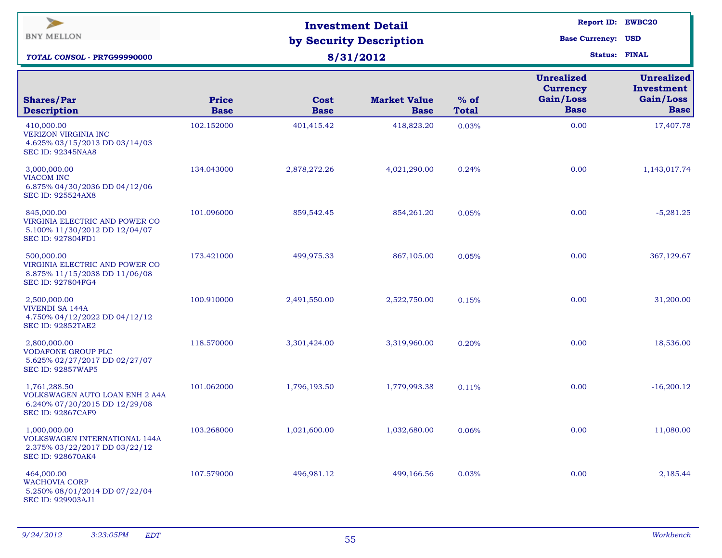| $\geq$<br><b>BNY MELLON</b><br>TOTAL CONSOL - PR7G99990000                                                  |                             | <b>Investment Detail</b><br>by Security Description<br>8/31/2012 | <b>Report ID: EWBC20</b><br><b>Base Currency: USD</b><br><b>Status: FINAL</b> |                        |                                                                  |                                                             |
|-------------------------------------------------------------------------------------------------------------|-----------------------------|------------------------------------------------------------------|-------------------------------------------------------------------------------|------------------------|------------------------------------------------------------------|-------------------------------------------------------------|
| <b>Shares/Par</b><br><b>Description</b>                                                                     | <b>Price</b><br><b>Base</b> | Cost<br><b>Base</b>                                              | <b>Market Value</b><br><b>Base</b>                                            | $%$ of<br><b>Total</b> | <b>Unrealized</b><br><b>Currency</b><br>Gain/Loss<br><b>Base</b> | <b>Unrealized</b><br>Investment<br>Gain/Loss<br><b>Base</b> |
| 410,000.00<br>VERIZON VIRGINIA INC<br>4.625% 03/15/2013 DD 03/14/03<br><b>SEC ID: 92345NAA8</b>             | 102.152000                  | 401,415.42                                                       | 418,823.20                                                                    | 0.03%                  | 0.00                                                             | 17,407.78                                                   |
| 3,000,000.00<br><b>VIACOM INC</b><br>6.875% 04/30/2036 DD 04/12/06<br><b>SEC ID: 925524AX8</b>              | 134.043000                  | 2,878,272.26                                                     | 4,021,290.00                                                                  | 0.24%                  | 0.00                                                             | 1,143,017.74                                                |
| 845,000.00<br>VIRGINIA ELECTRIC AND POWER CO<br>5.100% 11/30/2012 DD 12/04/07<br><b>SEC ID: 927804FD1</b>   | 101.096000                  | 859,542.45                                                       | 854,261.20                                                                    | 0.05%                  | 0.00                                                             | $-5,281.25$                                                 |
| 500,000.00<br>VIRGINIA ELECTRIC AND POWER CO<br>8.875% 11/15/2038 DD 11/06/08<br>SEC ID: 927804FG4          | 173.421000                  | 499,975.33                                                       | 867,105.00                                                                    | 0.05%                  | 0.00                                                             | 367,129.67                                                  |
| 2,500,000.00<br><b>VIVENDI SA 144A</b><br>4.750% 04/12/2022 DD 04/12/12<br><b>SEC ID: 92852TAE2</b>         | 100.910000                  | 2,491,550.00                                                     | 2,522,750.00                                                                  | 0.15%                  | 0.00                                                             | 31,200.00                                                   |
| 2,800,000.00<br><b>VODAFONE GROUP PLC</b><br>5.625% 02/27/2017 DD 02/27/07<br><b>SEC ID: 92857WAP5</b>      | 118.570000                  | 3,301,424.00                                                     | 3,319,960.00                                                                  | 0.20%                  | 0.00                                                             | 18,536.00                                                   |
| 1,761,288.50<br>VOLKSWAGEN AUTO LOAN ENH 2 A4A<br>6.240% 07/20/2015 DD 12/29/08<br><b>SEC ID: 92867CAF9</b> | 101.062000                  | 1,796,193.50                                                     | 1,779,993.38                                                                  | 0.11%                  | 0.00                                                             | $-16,200.12$                                                |
| 1,000,000.00<br>VOLKSWAGEN INTERNATIONAL 144A<br>2.375% 03/22/2017 DD 03/22/12<br><b>SEC ID: 928670AK4</b>  | 103.268000                  | 1,021,600.00                                                     | 1,032,680.00                                                                  | 0.06%                  | 0.00                                                             | 11,080.00                                                   |
| 464,000.00<br><b>WACHOVIA CORP</b><br>5.250% 08/01/2014 DD 07/22/04<br>SEC ID: 929903AJ1                    | 107.579000                  | 496,981.12                                                       | 499,166.56                                                                    | 0.03%                  | 0.00                                                             | 2,185.44                                                    |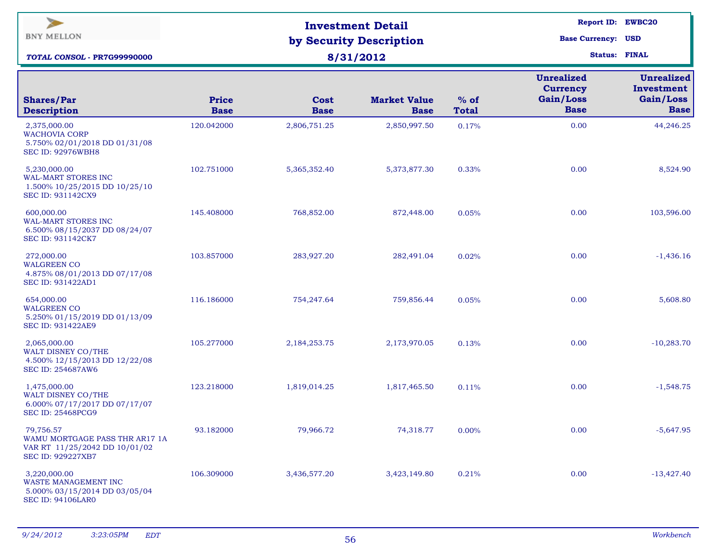| $\geq$<br><b>BNY MELLON</b><br>TOTAL CONSOL - PR7G99990000                                        |                             | <b>Investment Detail</b><br>by Security Description<br>8/31/2012 | <b>Report ID: EWBC20</b><br><b>Base Currency: USD</b><br><b>Status: FINAL</b> |                        |                                                                  |                                                             |
|---------------------------------------------------------------------------------------------------|-----------------------------|------------------------------------------------------------------|-------------------------------------------------------------------------------|------------------------|------------------------------------------------------------------|-------------------------------------------------------------|
| <b>Shares/Par</b><br><b>Description</b>                                                           | <b>Price</b><br><b>Base</b> | Cost<br><b>Base</b>                                              | <b>Market Value</b><br><b>Base</b>                                            | $%$ of<br><b>Total</b> | <b>Unrealized</b><br><b>Currency</b><br>Gain/Loss<br><b>Base</b> | <b>Unrealized</b><br>Investment<br>Gain/Loss<br><b>Base</b> |
| 2,375,000.00<br><b>WACHOVIA CORP</b><br>5.750% 02/01/2018 DD 01/31/08<br><b>SEC ID: 92976WBH8</b> | 120.042000                  | 2,806,751.25                                                     | 2,850,997.50                                                                  | 0.17%                  | 0.00                                                             | 44,246.25                                                   |
| 5,230,000.00<br><b>WAL-MART STORES INC</b><br>1.500% 10/25/2015 DD 10/25/10<br>SEC ID: 931142CX9  | 102.751000                  | 5,365,352.40                                                     | 5,373,877.30                                                                  | 0.33%                  | 0.00                                                             | 8,524.90                                                    |
| 600,000.00<br>WAL-MART STORES INC<br>6.500% 08/15/2037 DD 08/24/07<br><b>SEC ID: 931142CK7</b>    | 145.408000                  | 768,852.00                                                       | 872,448.00                                                                    | 0.05%                  | 0.00                                                             | 103,596.00                                                  |
| 272,000.00<br><b>WALGREEN CO</b><br>4.875% 08/01/2013 DD 07/17/08<br>SEC ID: 931422AD1            | 103.857000                  | 283,927.20                                                       | 282,491.04                                                                    | 0.02%                  | 0.00                                                             | $-1,436.16$                                                 |
| 654,000.00<br><b>WALGREEN CO</b><br>5.250% 01/15/2019 DD 01/13/09<br><b>SEC ID: 931422AE9</b>     | 116.186000                  | 754,247.64                                                       | 759,856.44                                                                    | 0.05%                  | 0.00                                                             | 5,608.80                                                    |
| 2,065,000.00<br>WALT DISNEY CO/THE<br>4.500% 12/15/2013 DD 12/22/08<br>SEC ID: 254687AW6          | 105.277000                  | 2,184,253.75                                                     | 2,173,970.05                                                                  | 0.13%                  | 0.00                                                             | $-10,283.70$                                                |
| 1,475,000.00<br>WALT DISNEY CO/THE<br>6.000% 07/17/2017 DD 07/17/07<br><b>SEC ID: 25468PCG9</b>   | 123.218000                  | 1,819,014.25                                                     | 1,817,465.50                                                                  | 0.11%                  | 0.00                                                             | $-1,548.75$                                                 |
| 79,756.57<br>WAMU MORTGAGE PASS THR AR17 1A<br>VAR RT 11/25/2042 DD 10/01/02<br>SEC ID: 929227XB7 | 93.182000                   | 79,966.72                                                        | 74,318.77                                                                     | 0.00%                  | 0.00                                                             | $-5,647.95$                                                 |
| 3,220,000.00<br>WASTE MANAGEMENT INC<br>5.000% 03/15/2014 DD 03/05/04<br><b>SEC ID: 94106LAR0</b> | 106.309000                  | 3,436,577.20                                                     | 3,423,149.80                                                                  | 0.21%                  | 0.00                                                             | $-13,427.40$                                                |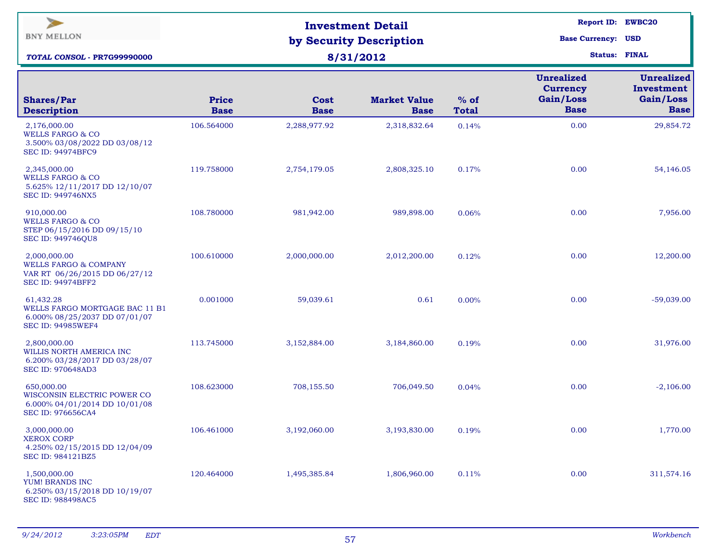| $\blacktriangleright$<br><b>BNY MELLON</b><br>TOTAL CONSOL - PR7G99990000                                     |                             | <b>Investment Detail</b><br>by Security Description<br>8/31/2012 | <b>Report ID: EWBC20</b><br><b>Base Currency: USD</b><br><b>Status: FINAL</b> |                        |                                                                  |                                                             |
|---------------------------------------------------------------------------------------------------------------|-----------------------------|------------------------------------------------------------------|-------------------------------------------------------------------------------|------------------------|------------------------------------------------------------------|-------------------------------------------------------------|
| <b>Shares/Par</b><br><b>Description</b>                                                                       | <b>Price</b><br><b>Base</b> | Cost<br><b>Base</b>                                              | <b>Market Value</b><br><b>Base</b>                                            | $%$ of<br><b>Total</b> | <b>Unrealized</b><br><b>Currency</b><br>Gain/Loss<br><b>Base</b> | <b>Unrealized</b><br>Investment<br>Gain/Loss<br><b>Base</b> |
| 2,176,000.00<br><b>WELLS FARGO &amp; CO</b><br>3.500% 03/08/2022 DD 03/08/12<br><b>SEC ID: 94974BFC9</b>      | 106.564000                  | 2,288,977.92                                                     | 2,318,832.64                                                                  | 0.14%                  | 0.00                                                             | 29,854.72                                                   |
| 2,345,000.00<br><b>WELLS FARGO &amp; CO</b><br>5.625% 12/11/2017 DD 12/10/07<br><b>SEC ID: 949746NX5</b>      | 119.758000                  | 2,754,179.05                                                     | 2,808,325.10                                                                  | 0.17%                  | 0.00                                                             | 54,146.05                                                   |
| 910,000.00<br><b>WELLS FARGO &amp; CO</b><br>STEP 06/15/2016 DD 09/15/10<br><b>SEC ID: 949746QU8</b>          | 108.780000                  | 981,942.00                                                       | 989,898.00                                                                    | 0.06%                  | 0.00                                                             | 7,956.00                                                    |
| 2,000,000.00<br><b>WELLS FARGO &amp; COMPANY</b><br>VAR RT 06/26/2015 DD 06/27/12<br><b>SEC ID: 94974BFF2</b> | 100.610000                  | 2,000,000.00                                                     | 2,012,200.00                                                                  | 0.12%                  | 0.00                                                             | 12,200.00                                                   |
| 61,432.28<br>WELLS FARGO MORTGAGE BAC 11 B1<br>6.000% 08/25/2037 DD 07/01/07<br><b>SEC ID: 94985WEF4</b>      | 0.001000                    | 59,039.61                                                        | 0.61                                                                          | 0.00%                  | 0.00                                                             | $-59,039.00$                                                |
| 2,800,000.00<br>WILLIS NORTH AMERICA INC<br>6.200% 03/28/2017 DD 03/28/07<br><b>SEC ID: 970648AD3</b>         | 113.745000                  | 3,152,884.00                                                     | 3,184,860.00                                                                  | 0.19%                  | 0.00                                                             | 31,976.00                                                   |
| 650,000.00<br>WISCONSIN ELECTRIC POWER CO<br>6.000% 04/01/2014 DD 10/01/08<br><b>SEC ID: 976656CA4</b>        | 108.623000                  | 708,155.50                                                       | 706,049.50                                                                    | 0.04%                  | 0.00                                                             | $-2,106.00$                                                 |
| 3,000,000.00<br><b>XEROX CORP</b><br>4.250% 02/15/2015 DD 12/04/09<br>SEC ID: 984121BZ5                       | 106.461000                  | 3,192,060.00                                                     | 3,193,830.00                                                                  | 0.19%                  | 0.00                                                             | 1,770.00                                                    |
| 1,500,000.00<br>YUM! BRANDS INC<br>6.250% 03/15/2018 DD 10/19/07<br><b>SEC ID: 988498AC5</b>                  | 120.464000                  | 1,495,385.84                                                     | 1,806,960.00                                                                  | 0.11%                  | 0.00                                                             | 311,574.16                                                  |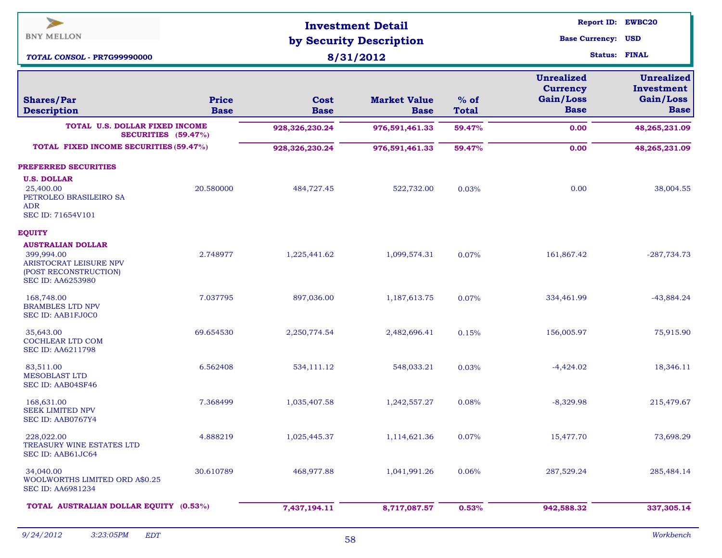| ⋗<br><b>BNY MELLON</b><br><b>TOTAL CONSOL - PR7G99990000</b>                                                          |                             | <b>Investment Detail</b><br>by Security Description<br>8/31/2012 | <b>Report ID: EWBC20</b><br><b>Base Currency: USD</b><br><b>Status: FINAL</b> |                        |                                                                  |                                                             |
|-----------------------------------------------------------------------------------------------------------------------|-----------------------------|------------------------------------------------------------------|-------------------------------------------------------------------------------|------------------------|------------------------------------------------------------------|-------------------------------------------------------------|
| <b>Shares/Par</b><br><b>Description</b>                                                                               | <b>Price</b><br><b>Base</b> | <b>Cost</b><br><b>Base</b>                                       | <b>Market Value</b><br><b>Base</b>                                            | $%$ of<br><b>Total</b> | <b>Unrealized</b><br><b>Currency</b><br>Gain/Loss<br><b>Base</b> | <b>Unrealized</b><br>Investment<br>Gain/Loss<br><b>Base</b> |
| TOTAL U.S. DOLLAR FIXED INCOME                                                                                        | SECURITIES (59.47%)         | 928,326,230.24                                                   | 976,591,461.33                                                                | 59.47%                 | 0.00                                                             | 48,265,231.09                                               |
| TOTAL FIXED INCOME SECURITIES (59.47%)                                                                                |                             | 928,326,230.24                                                   | 976,591,461.33                                                                | 59.47%                 | 0.00                                                             | 48,265,231.09                                               |
| PREFERRED SECURITIES                                                                                                  |                             |                                                                  |                                                                               |                        |                                                                  |                                                             |
| <b>U.S. DOLLAR</b><br>25,400.00<br>PETROLEO BRASILEIRO SA<br><b>ADR</b><br>SEC ID: 71654V101                          | 20.580000                   | 484,727.45                                                       | 522,732.00                                                                    | 0.03%                  | 0.00                                                             | 38,004.55                                                   |
| <b>EQUITY</b>                                                                                                         |                             |                                                                  |                                                                               |                        |                                                                  |                                                             |
| <b>AUSTRALIAN DOLLAR</b><br>399,994.00<br>ARISTOCRAT LEISURE NPV<br>(POST RECONSTRUCTION)<br><b>SEC ID: AA6253980</b> | 2.748977                    | 1,225,441.62                                                     | 1,099,574.31                                                                  | 0.07%                  | 161,867.42                                                       | $-287,734.73$                                               |
| 168,748.00<br><b>BRAMBLES LTD NPV</b><br>SEC ID: AAB1FJ0C0                                                            | 7.037795                    | 897,036.00                                                       | 1,187,613.75                                                                  | 0.07%                  | 334,461.99                                                       | $-43,884.24$                                                |
| 35,643.00<br>COCHLEAR LTD COM<br><b>SEC ID: AA6211798</b>                                                             | 69.654530                   | 2,250,774.54                                                     | 2,482,696.41                                                                  | 0.15%                  | 156,005.97                                                       | 75,915.90                                                   |
| 83,511.00<br><b>MESOBLAST LTD</b><br>SEC ID: AAB04SF46                                                                | 6.562408                    | 534,111.12                                                       | 548,033.21                                                                    | 0.03%                  | $-4,424.02$                                                      | 18,346.11                                                   |
| 168,631.00<br><b>SEEK LIMITED NPV</b><br>SEC ID: AAB0767Y4                                                            | 7.368499                    | 1,035,407.58                                                     | 1,242,557.27                                                                  | 0.08%                  | $-8,329.98$                                                      | 215,479.67                                                  |
| 228,022.00<br>TREASURY WINE ESTATES LTD<br>SEC ID: AAB61JC64                                                          | 4.888219                    | 1,025,445.37                                                     | 1,114,621.36                                                                  | 0.07%                  | 15,477.70                                                        | 73,698.29                                                   |
| 34,040.00<br>WOOLWORTHS LIMITED ORD A\$0.25<br>SEC ID: AA6981234                                                      | 30.610789                   | 468,977.88                                                       | 1,041,991.26                                                                  | 0.06%                  | 287,529.24                                                       | 285,484.14                                                  |
| TOTAL AUSTRALIAN DOLLAR EQUITY (0.53%)                                                                                |                             | 7,437,194.11                                                     | 8,717,087.57                                                                  | 0.53%                  | 942,588.32                                                       | 337,305.14                                                  |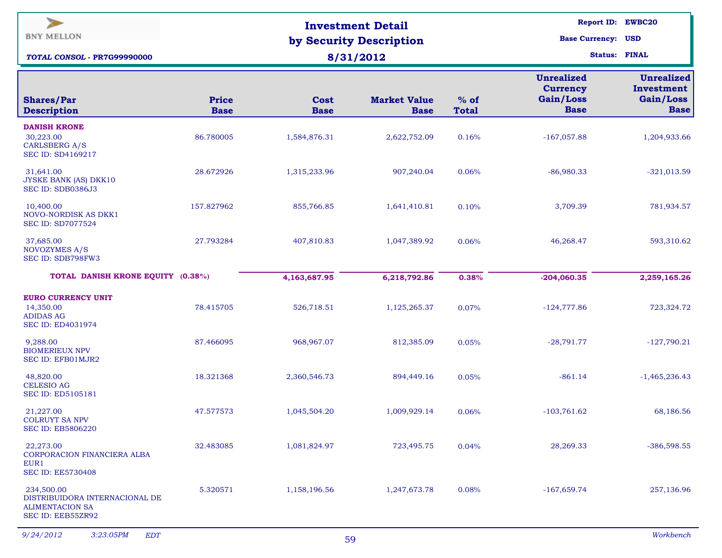| ⋗<br><b>BNY MELLON</b>                                                                      |                             | <b>Investment Detail</b><br>by Security Description | <b>Base Currency: USD</b>          | <b>Report ID: EWBC20</b><br><b>Status: FINAL</b> |                                                                  |                                                             |
|---------------------------------------------------------------------------------------------|-----------------------------|-----------------------------------------------------|------------------------------------|--------------------------------------------------|------------------------------------------------------------------|-------------------------------------------------------------|
| <b>TOTAL CONSOL - PR7G99990000</b>                                                          |                             | 8/31/2012                                           |                                    |                                                  |                                                                  |                                                             |
| <b>Shares/Par</b><br><b>Description</b>                                                     | <b>Price</b><br><b>Base</b> | <b>Cost</b><br><b>Base</b>                          | <b>Market Value</b><br><b>Base</b> | $%$ of<br><b>Total</b>                           | <b>Unrealized</b><br><b>Currency</b><br>Gain/Loss<br><b>Base</b> | <b>Unrealized</b><br>Investment<br>Gain/Loss<br><b>Base</b> |
| <b>DANISH KRONE</b><br>30,223.00<br>CARLSBERG A/S<br><b>SEC ID: SD4169217</b>               | 86.780005                   | 1,584,876.31                                        | 2,622,752.09                       | 0.16%                                            | $-167,057.88$                                                    | 1,204,933.66                                                |
| 31,641.00<br>JYSKE BANK (AS) DKK10<br>SEC ID: SDB0386J3                                     | 28.672926                   | 1,315,233.96                                        | 907,240.04                         | 0.06%                                            | $-86,980.33$                                                     | $-321,013.59$                                               |
| 10,400.00<br><b>NOVO-NORDISK AS DKK1</b><br><b>SEC ID: SD7077524</b>                        | 157.827962                  | 855,766.85                                          | 1,641,410.81                       | 0.10%                                            | 3,709.39                                                         | 781,934.57                                                  |
| 37,685.00<br>NOVOZYMES A/S<br>SEC ID: SDB798FW3                                             | 27.793284                   | 407,810.83                                          | 1,047,389.92                       | 0.06%                                            | 46,268.47                                                        | 593,310.62                                                  |
| TOTAL DANISH KRONE EQUITY (0.38%)                                                           |                             | 4,163,687.95                                        | 6,218,792.86                       | 0.38%                                            | $-204,060.35$                                                    | 2,259,165.26                                                |
| <b>EURO CURRENCY UNIT</b><br>14,350.00<br><b>ADIDAS AG</b><br><b>SEC ID: ED4031974</b>      | 78.415705                   | 526,718.51                                          | 1,125,265.37                       | 0.07%                                            | $-124,777.86$                                                    | 723,324.72                                                  |
| 9,288.00<br><b>BIOMERIEUX NPV</b><br>SEC ID: EFB01MJR2                                      | 87.466095                   | 968,967.07                                          | 812,385.09                         | 0.05%                                            | $-28,791.77$                                                     | $-127,790.21$                                               |
| 48,820.00<br><b>CELESIO AG</b><br><b>SEC ID: ED5105181</b>                                  | 18.321368                   | 2,360,546.73                                        | 894,449.16                         | 0.05%                                            | $-861.14$                                                        | $-1,465,236.43$                                             |
| 21,227.00<br><b>COLRUYT SA NPV</b><br><b>SEC ID: EB5806220</b>                              | 47.577573                   | 1,045,504.20                                        | 1,009,929.14                       | 0.06%                                            | $-103,761.62$                                                    | 68,186.56                                                   |
| 22,273.00<br>CORPORACION FINANCIERA ALBA<br>EUR1<br><b>SEC ID: EE5730408</b>                | 32.483085                   | 1,081,824.97                                        | 723,495.75                         | 0.04%                                            | 28,269.33                                                        | $-386,598.55$                                               |
| 234,500.00<br>DISTRIBUIDORA INTERNACIONAL DE<br><b>ALIMENTACION SA</b><br>SEC ID: EEB55ZR92 | 5.320571                    | 1,158,196.56                                        | 1,247,673.78                       | 0.08%                                            | $-167,659.74$                                                    | 257,136.96                                                  |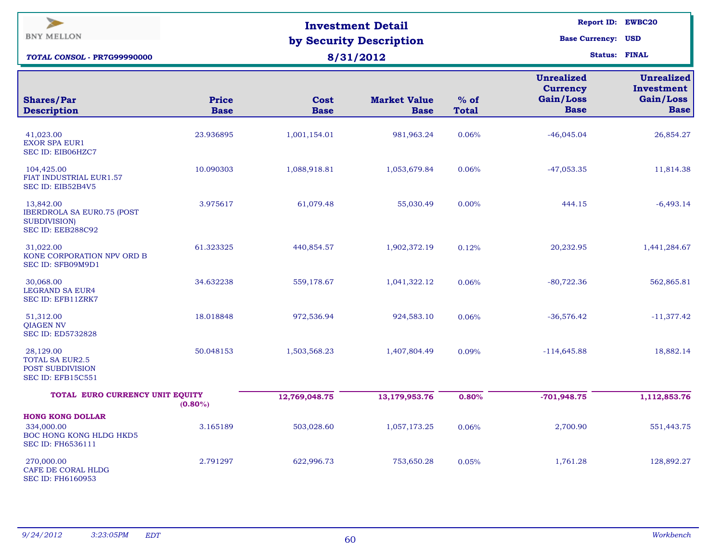| ⋗<br><b>BNY MELLON</b><br>TOTAL CONSOL - PR7G99990000                                     |                      | <b>Investment Detail</b><br>by Security Description<br>8/31/2012 | <b>Report ID: EWBC20</b><br><b>Base Currency: USD</b><br><b>Status: FINAL</b> |                        |                                                                  |                                                             |
|-------------------------------------------------------------------------------------------|----------------------|------------------------------------------------------------------|-------------------------------------------------------------------------------|------------------------|------------------------------------------------------------------|-------------------------------------------------------------|
| <b>Shares/Par</b><br><b>Description</b>                                                   | Price<br><b>Base</b> | <b>Cost</b><br><b>Base</b>                                       | <b>Market Value</b><br><b>Base</b>                                            | $%$ of<br><b>Total</b> | <b>Unrealized</b><br><b>Currency</b><br>Gain/Loss<br><b>Base</b> | <b>Unrealized</b><br>Investment<br>Gain/Loss<br><b>Base</b> |
| 41,023.00<br><b>EXOR SPA EUR1</b><br>SEC ID: EIB06HZC7                                    | 23.936895            | 1,001,154.01                                                     | 981,963.24                                                                    | 0.06%                  | $-46,045.04$                                                     | 26,854.27                                                   |
| 104,425.00<br>FIAT INDUSTRIAL EUR1.57<br>SEC ID: EIB52B4V5                                | 10.090303            | 1,088,918.81                                                     | 1,053,679.84                                                                  | 0.06%                  | $-47,053.35$                                                     | 11,814.38                                                   |
| 13,842.00<br><b>IBERDROLA SA EURO.75 (POST</b><br><b>SUBDIVISION</b><br>SEC ID: EEB288C92 | 3.975617             | 61,079.48                                                        | 55,030.49                                                                     | 0.00%                  | 444.15                                                           | $-6,493.14$                                                 |
| 31,022.00<br>KONE CORPORATION NPV ORD B<br>SEC ID: SFB09M9D1                              | 61.323325            | 440,854.57                                                       | 1,902,372.19                                                                  | 0.12%                  | 20,232.95                                                        | 1,441,284.67                                                |
| 30,068.00<br><b>LEGRAND SA EUR4</b><br>SEC ID: EFB11ZRK7                                  | 34.632238            | 559,178.67                                                       | 1,041,322.12                                                                  | 0.06%                  | $-80,722.36$                                                     | 562,865.81                                                  |
| 51,312.00<br><b>QIAGEN NV</b><br><b>SEC ID: ED5732828</b>                                 | 18.018848            | 972,536.94                                                       | 924,583.10                                                                    | 0.06%                  | $-36,576.42$                                                     | $-11,377.42$                                                |
| 28,129.00<br><b>TOTAL SA EUR2.5</b><br>POST SUBDIVISION<br>SEC ID: EFB15C551              | 50.048153            | 1,503,568.23                                                     | 1,407,804.49                                                                  | 0.09%                  | $-114,645.88$                                                    | 18,882.14                                                   |
| TOTAL EURO CURRENCY UNIT EQUITY                                                           | $(0.80\%)$           | 12,769,048.75                                                    | 13,179,953.76                                                                 | 0.80%                  | $-701,948.75$                                                    | 1,112,853.76                                                |
| <b>HONG KONG DOLLAR</b><br>334,000.00<br>BOC HONG KONG HLDG HKD5<br>SEC ID: FH6536111     | 3.165189             | 503,028.60                                                       | 1,057,173.25                                                                  | 0.06%                  | 2,700.90                                                         | 551,443.75                                                  |
| 270,000.00<br>CAFE DE CORAL HLDG<br><b>SEC ID: FH6160953</b>                              | 2.791297             | 622,996.73                                                       | 753,650.28                                                                    | 0.05%                  | 1,761.28                                                         | 128,892.27                                                  |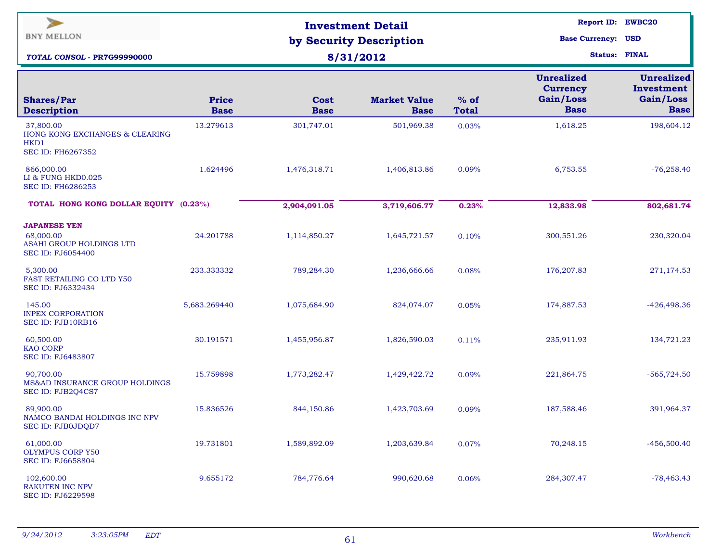| $\geq$<br><b>BNY MELLON</b><br>TOTAL CONSOL - PR7G99990000                               |                             | <b>Investment Detail</b><br>by Security Description<br>8/31/2012 | <b>Report ID: EWBC20</b><br><b>Base Currency: USD</b><br><b>Status: FINAL</b> |                        |                                                                  |                                                             |
|------------------------------------------------------------------------------------------|-----------------------------|------------------------------------------------------------------|-------------------------------------------------------------------------------|------------------------|------------------------------------------------------------------|-------------------------------------------------------------|
| <b>Shares/Par</b><br><b>Description</b>                                                  | <b>Price</b><br><b>Base</b> | Cost<br><b>Base</b>                                              | <b>Market Value</b><br><b>Base</b>                                            | $%$ of<br><b>Total</b> | <b>Unrealized</b><br><b>Currency</b><br>Gain/Loss<br><b>Base</b> | <b>Unrealized</b><br>Investment<br>Gain/Loss<br><b>Base</b> |
| 37,800.00<br>HONG KONG EXCHANGES & CLEARING<br>HKD1<br>SEC ID: FH6267352                 | 13.279613                   | 301,747.01                                                       | 501,969.38                                                                    | 0.03%                  | 1,618.25                                                         | 198,604.12                                                  |
| 866,000.00<br>LI & FUNG HKD0.025<br><b>SEC ID: FH6286253</b>                             | 1.624496                    | 1,476,318.71                                                     | 1,406,813.86                                                                  | 0.09%                  | 6,753.55                                                         | $-76,258.40$                                                |
| TOTAL HONG KONG DOLLAR EQUITY (0.23%)                                                    |                             | 2,904,091.05                                                     | 3,719,606.77                                                                  | 0.23%                  | 12,833.98                                                        | 802,681.74                                                  |
| <b>JAPANESE YEN</b><br>68,000.00<br>ASAHI GROUP HOLDINGS LTD<br><b>SEC ID: FJ6054400</b> | 24.201788                   | 1,114,850.27                                                     | 1,645,721.57                                                                  | 0.10%                  | 300,551.26                                                       | 230,320.04                                                  |
| 5,300.00<br>FAST RETAILING CO LTD Y50<br>SEC ID: FJ6332434                               | 233.333332                  | 789,284.30                                                       | 1,236,666.66                                                                  | 0.08%                  | 176, 207.83                                                      | 271,174.53                                                  |
| 145.00<br><b>INPEX CORPORATION</b><br>SEC ID: FJB10RB16                                  | 5,683.269440                | 1,075,684.90                                                     | 824,074.07                                                                    | 0.05%                  | 174,887.53                                                       | $-426,498.36$                                               |
| 60,500.00<br><b>KAO CORP</b><br>SEC ID: FJ6483807                                        | 30.191571                   | 1,455,956.87                                                     | 1,826,590.03                                                                  | 0.11%                  | 235,911.93                                                       | 134,721.23                                                  |
| 90,700.00<br>MS&AD INSURANCE GROUP HOLDINGS<br>SEC ID: FJB2Q4CS7                         | 15.759898                   | 1,773,282.47                                                     | 1,429,422.72                                                                  | 0.09%                  | 221,864.75                                                       | $-565,724.50$                                               |
| 89,900.00<br>NAMCO BANDAI HOLDINGS INC NPV<br>SEC ID: FJB0JDQD7                          | 15.836526                   | 844,150.86                                                       | 1,423,703.69                                                                  | 0.09%                  | 187,588.46                                                       | 391,964.37                                                  |
| 61,000.00<br><b>OLYMPUS CORP Y50</b><br><b>SEC ID: FJ6658804</b>                         | 19.731801                   | 1,589,892.09                                                     | 1,203,639.84                                                                  | 0.07%                  | 70,248.15                                                        | $-456,500.40$                                               |
| 102,600.00<br><b>RAKUTEN INC NPV</b><br>SEC ID: FJ6229598                                | 9.655172                    | 784,776.64                                                       | 990,620.68                                                                    | 0.06%                  | 284,307.47                                                       | $-78,463.43$                                                |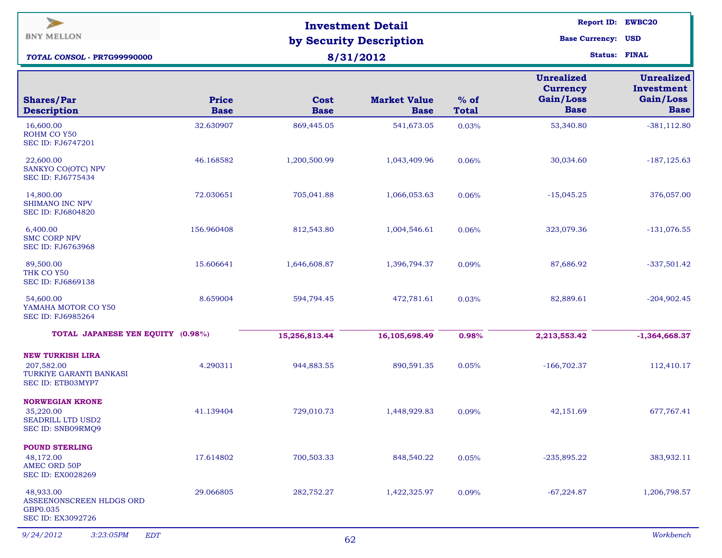| ⋗<br><b>BNY MELLON</b>                                                                |                             | <b>Investment Detail</b>             |                                                   |                        |                                                                  | <b>Report ID: EWBC20</b>                                    |
|---------------------------------------------------------------------------------------|-----------------------------|--------------------------------------|---------------------------------------------------|------------------------|------------------------------------------------------------------|-------------------------------------------------------------|
| <b>TOTAL CONSOL - PR7G99990000</b>                                                    |                             | by Security Description<br>8/31/2012 | <b>Base Currency: USD</b><br><b>Status: FINAL</b> |                        |                                                                  |                                                             |
| <b>Shares/Par</b>                                                                     | <b>Price</b><br><b>Base</b> | <b>Cost</b><br><b>Base</b>           | <b>Market Value</b>                               | $%$ of<br><b>Total</b> | <b>Unrealized</b><br><b>Currency</b><br>Gain/Loss<br><b>Base</b> | <b>Unrealized</b><br>Investment<br>Gain/Loss<br><b>Base</b> |
| <b>Description</b><br>16,600.00<br>ROHM CO Y50                                        | 32.630907                   | 869,445.05                           | <b>Base</b><br>541,673.05                         | 0.03%                  | 53,340.80                                                        | $-381, 112.80$                                              |
| <b>SEC ID: FJ6747201</b><br>22,600.00<br>SANKYO CO(OTC) NPV<br>SEC ID: FJ6775434      | 46.168582                   | 1,200,500.99                         | 1,043,409.96                                      | 0.06%                  | 30,034.60                                                        | $-187, 125.63$                                              |
| 14,800.00<br><b>SHIMANO INC NPV</b><br><b>SEC ID: FJ6804820</b>                       | 72.030651                   | 705,041.88                           | 1,066,053.63                                      | 0.06%                  | $-15,045.25$                                                     | 376,057.00                                                  |
| 6,400.00<br><b>SMC CORP NPV</b><br><b>SEC ID: FJ6763968</b>                           | 156.960408                  | 812,543.80                           | 1,004,546.61                                      | 0.06%                  | 323,079.36                                                       | $-131,076.55$                                               |
| 89,500.00<br>THK CO Y50<br>SEC ID: FJ6869138                                          | 15.606641                   | 1,646,608.87                         | 1,396,794.37                                      | 0.09%                  | 87,686.92                                                        | $-337,501.42$                                               |
| 54,600.00<br>YAMAHA MOTOR CO Y50<br>SEC ID: FJ6985264                                 | 8.659004                    | 594,794.45                           | 472,781.61                                        | 0.03%                  | 82,889.61                                                        | $-204,902.45$                                               |
| TOTAL JAPANESE YEN EQUITY (0.98%)                                                     |                             | 15,256,813.44                        | 16,105,698.49                                     | 0.98%                  | 2,213,553.42                                                     | $-1,364,668.37$                                             |
| <b>NEW TURKISH LIRA</b><br>207,582.00<br>TURKIYE GARANTI BANKASI<br>SEC ID: ETB03MYP7 | 4.290311                    | 944,883.55                           | 890,591.35                                        | 0.05%                  | $-166,702.37$                                                    | 112,410.17                                                  |
| <b>NORWEGIAN KRONE</b><br>35,220.00<br><b>SEADRILL LTD USD2</b><br>SEC ID: SNB09RMQ9  | 41.139404                   | 729,010.73                           | 1,448,929.83                                      | 0.09%                  | 42,151.69                                                        | 677,767.41                                                  |
| <b>POUND STERLING</b><br>48,172.00<br><b>AMEC ORD 50P</b><br>SEC ID: EX0028269        | 17.614802                   | 700,503.33                           | 848,540.22                                        | 0.05%                  | $-235,895.22$                                                    | 383,932.11                                                  |
| 48,933.00<br>ASSEENONSCREEN HLDGS ORD<br>GBP0.035<br>SEC ID: EX3092726                | 29.066805                   | 282,752.27                           | 1,422,325.97                                      | 0.09%                  | $-67,224.87$                                                     | 1,206,798.57                                                |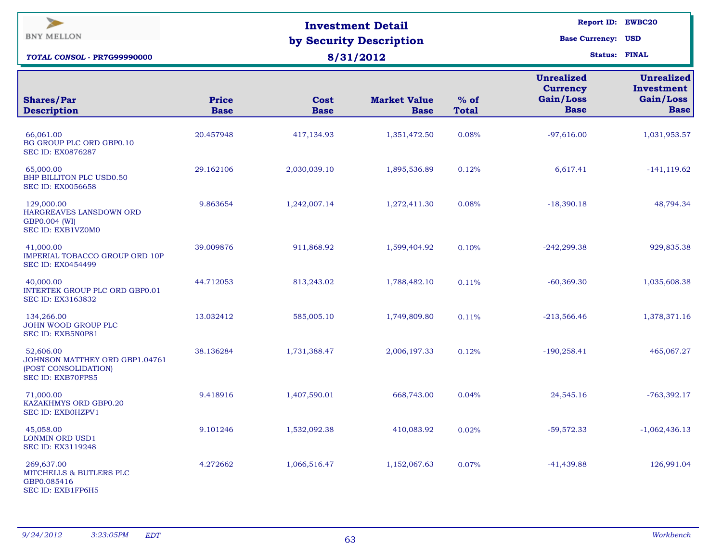| ⋗<br><b>BNY MELLON</b><br><b>TOTAL CONSOL - PR7G99990000</b>                             |                             |                            | <b>Investment Detail</b><br>by Security Description<br>8/31/2012 |                        | <b>Report ID: EWBC20</b><br><b>Base Currency: USD</b><br><b>Status: FINAL</b> |                                                             |  |
|------------------------------------------------------------------------------------------|-----------------------------|----------------------------|------------------------------------------------------------------|------------------------|-------------------------------------------------------------------------------|-------------------------------------------------------------|--|
| <b>Shares/Par</b><br><b>Description</b>                                                  | <b>Price</b><br><b>Base</b> | <b>Cost</b><br><b>Base</b> | <b>Market Value</b><br><b>Base</b>                               | $%$ of<br><b>Total</b> | <b>Unrealized</b><br><b>Currency</b><br>Gain/Loss<br><b>Base</b>              | <b>Unrealized</b><br>Investment<br>Gain/Loss<br><b>Base</b> |  |
| 66,061.00<br>BG GROUP PLC ORD GBP0.10<br><b>SEC ID: EX0876287</b>                        | 20.457948                   | 417,134.93                 | 1,351,472.50                                                     | 0.08%                  | $-97,616.00$                                                                  | 1,031,953.57                                                |  |
| 65,000.00<br>BHP BILLITON PLC USD0.50<br><b>SEC ID: EX0056658</b>                        | 29.162106                   | 2,030,039.10               | 1,895,536.89                                                     | 0.12%                  | 6,617.41                                                                      | $-141, 119.62$                                              |  |
| 129,000.00<br>HARGREAVES LANSDOWN ORD<br>GBP0.004 (WI)<br>SEC ID: EXB1VZ0M0              | 9.863654                    | 1,242,007.14               | 1,272,411.30                                                     | 0.08%                  | $-18,390.18$                                                                  | 48,794.34                                                   |  |
| 41,000.00<br><b>IMPERIAL TOBACCO GROUP ORD 10P</b><br><b>SEC ID: EX0454499</b>           | 39.009876                   | 911,868.92                 | 1,599,404.92                                                     | 0.10%                  | $-242,299.38$                                                                 | 929,835.38                                                  |  |
| 40,000.00<br><b>INTERTEK GROUP PLC ORD GBP0.01</b><br>SEC ID: EX3163832                  | 44.712053                   | 813,243.02                 | 1,788,482.10                                                     | 0.11%                  | $-60,369.30$                                                                  | 1,035,608.38                                                |  |
| 134,266.00<br>JOHN WOOD GROUP PLC<br>SEC ID: EXB5N0P81                                   | 13.032412                   | 585,005.10                 | 1,749,809.80                                                     | 0.11%                  | $-213,566.46$                                                                 | 1,378,371.16                                                |  |
| 52,606.00<br>JOHNSON MATTHEY ORD GBP1.04761<br>(POST CONSOLIDATION)<br>SEC ID: EXB70FPS5 | 38.136284                   | 1,731,388.47               | 2,006,197.33                                                     | 0.12%                  | $-190,258.41$                                                                 | 465,067.27                                                  |  |
| 71,000.00<br>KAZAKHMYS ORD GBP0.20<br>SEC ID: EXB0HZPV1                                  | 9.418916                    | 1,407,590.01               | 668,743.00                                                       | 0.04%                  | 24,545.16                                                                     | $-763,392.17$                                               |  |
| 45,058.00<br>LONMIN ORD USD1<br>SEC ID: EX3119248                                        | 9.101246                    | 1,532,092.38               | 410,083.92                                                       | 0.02%                  | $-59,572.33$                                                                  | $-1,062,436.13$                                             |  |
| 269,637.00<br>MITCHELLS & BUTLERS PLC<br>GBP0.085416<br>SEC ID: EXB1FP6H5                | 4.272662                    | 1,066,516.47               | 1,152,067.63                                                     | 0.07%                  | $-41,439.88$                                                                  | 126,991.04                                                  |  |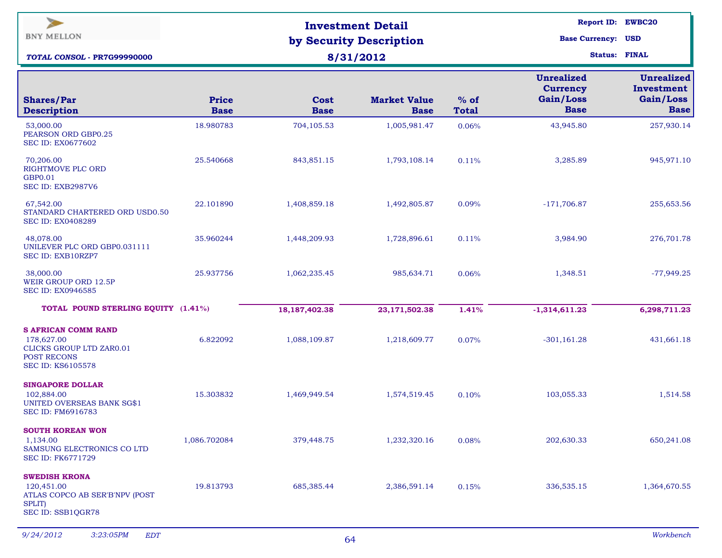| ⋗<br><b>BNY MELLON</b><br><b>TOTAL CONSOL - PR7G99990000</b>                                                                  |                             |                     | <b>Investment Detail</b><br>by Security Description<br>8/31/2012 |                        | <b>Report ID: EWBC20</b><br><b>Base Currency: USD</b><br><b>Status: FINAL</b> |                                                             |  |
|-------------------------------------------------------------------------------------------------------------------------------|-----------------------------|---------------------|------------------------------------------------------------------|------------------------|-------------------------------------------------------------------------------|-------------------------------------------------------------|--|
| <b>Shares/Par</b>                                                                                                             | <b>Price</b><br><b>Base</b> | Cost<br><b>Base</b> | <b>Market Value</b>                                              | $%$ of<br><b>Total</b> | <b>Unrealized</b><br><b>Currency</b><br>Gain/Loss<br><b>Base</b>              | <b>Unrealized</b><br>Investment<br>Gain/Loss<br><b>Base</b> |  |
| <b>Description</b><br>53,000.00<br>PEARSON ORD GBP0.25<br><b>SEC ID: EX0677602</b>                                            | 18.980783                   | 704,105.53          | <b>Base</b><br>1,005,981.47                                      | 0.06%                  | 43,945.80                                                                     | 257,930.14                                                  |  |
| 70,206.00<br><b>RIGHTMOVE PLC ORD</b><br>GBP0.01<br>SEC ID: EXB2987V6                                                         | 25.540668                   | 843,851.15          | 1,793,108.14                                                     | 0.11%                  | 3,285.89                                                                      | 945,971.10                                                  |  |
| 67,542.00<br>STANDARD CHARTERED ORD USD0.50<br><b>SEC ID: EX0408289</b>                                                       | 22.101890                   | 1,408,859.18        | 1,492,805.87                                                     | 0.09%                  | $-171,706.87$                                                                 | 255,653.56                                                  |  |
| 48.078.00<br>UNILEVER PLC ORD GBP0.031111<br>SEC ID: EXB10RZP7                                                                | 35.960244                   | 1,448,209.93        | 1,728,896.61                                                     | 0.11%                  | 3,984.90                                                                      | 276,701.78                                                  |  |
| 38,000.00<br>WEIR GROUP ORD 12.5P<br><b>SEC ID: EX0946585</b>                                                                 | 25.937756                   | 1,062,235.45        | 985,634.71                                                       | 0.06%                  | 1,348.51                                                                      | $-77,949.25$                                                |  |
| TOTAL POUND STERLING EQUITY (1.41%)                                                                                           |                             | 18, 187, 402. 38    | 23,171,502.38                                                    | 1.41%                  | $-1,314,611.23$                                                               | 6,298,711.23                                                |  |
| <b>S AFRICAN COMM RAND</b><br>178,627.00<br><b>CLICKS GROUP LTD ZAR0.01</b><br><b>POST RECONS</b><br><b>SEC ID: KS6105578</b> | 6.822092                    | 1,088,109.87        | 1,218,609.77                                                     | 0.07%                  | $-301,161.28$                                                                 | 431,661.18                                                  |  |
| <b>SINGAPORE DOLLAR</b><br>102,884.00<br>UNITED OVERSEAS BANK SG\$1<br>SEC ID: FM6916783                                      | 15.303832                   | 1,469,949.54        | 1,574,519.45                                                     | 0.10%                  | 103,055.33                                                                    | 1,514.58                                                    |  |
| <b>SOUTH KOREAN WON</b><br>1,134.00<br>SAMSUNG ELECTRONICS CO LTD<br><b>SEC ID: FK6771729</b>                                 | 1,086.702084                | 379,448.75          | 1,232,320.16                                                     | 0.08%                  | 202,630.33                                                                    | 650,241.08                                                  |  |
| <b>SWEDISH KRONA</b><br>120,451.00<br>ATLAS COPCO AB SER'B'NPV (POST<br>SPLIT)<br>SEC ID: SSB1QGR78                           | 19.813793                   | 685,385.44          | 2,386,591.14                                                     | 0.15%                  | 336,535.15                                                                    | 1,364,670.55                                                |  |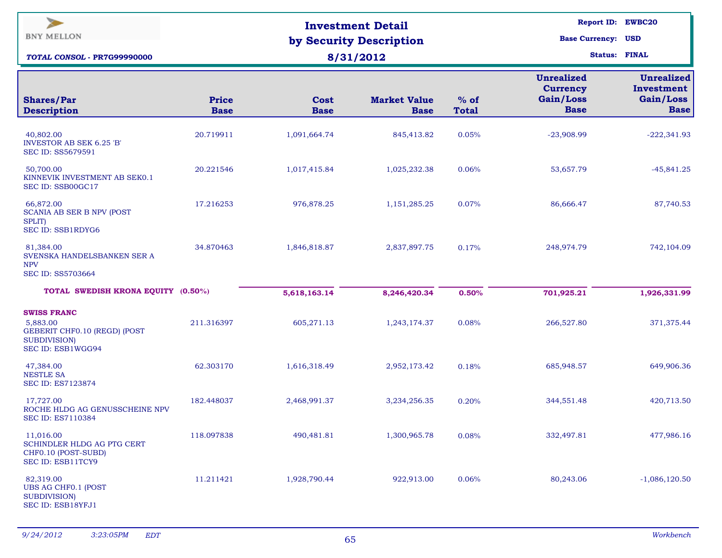| $\geq$<br><b>BNY MELLON</b><br>TOTAL CONSOL - PR7G99990000                                                |                             |                     | <b>Investment Detail</b><br>by Security Description<br>8/31/2012 |                        | <b>Report ID: EWBC20</b><br><b>Base Currency: USD</b>            | <b>Status: FINAL</b>                                        |
|-----------------------------------------------------------------------------------------------------------|-----------------------------|---------------------|------------------------------------------------------------------|------------------------|------------------------------------------------------------------|-------------------------------------------------------------|
| <b>Shares/Par</b><br><b>Description</b>                                                                   | <b>Price</b><br><b>Base</b> | Cost<br><b>Base</b> | <b>Market Value</b><br><b>Base</b>                               | $%$ of<br><b>Total</b> | <b>Unrealized</b><br><b>Currency</b><br>Gain/Loss<br><b>Base</b> | <b>Unrealized</b><br>Investment<br>Gain/Loss<br><b>Base</b> |
| 40,802.00<br><b>INVESTOR AB SEK 6.25 'B'</b><br>SEC ID: SS5679591                                         | 20.719911                   | 1,091,664.74        | 845,413.82                                                       | 0.05%                  | $-23,908.99$                                                     | $-222,341.93$                                               |
| 50,700.00<br>KINNEVIK INVESTMENT AB SEKO.1<br>SEC ID: SSB00GC17                                           | 20.221546                   | 1,017,415.84        | 1,025,232.38                                                     | 0.06%                  | 53,657.79                                                        | $-45,841.25$                                                |
| 66,872.00<br><b>SCANIA AB SER B NPV (POST</b><br><b>SPLIT</b> )<br>SEC ID: SSB1RDYG6                      | 17.216253                   | 976,878.25          | 1,151,285.25                                                     | 0.07%                  | 86,666.47                                                        | 87,740.53                                                   |
| 81,384.00<br>SVENSKA HANDELSBANKEN SER A<br><b>NPV</b><br>SEC ID: SS5703664                               | 34.870463                   | 1,846,818.87        | 2,837,897.75                                                     | 0.17%                  | 248,974.79                                                       | 742,104.09                                                  |
| TOTAL SWEDISH KRONA EQUITY (0.50%)                                                                        |                             | 5,618,163.14        | 8,246,420.34                                                     | 0.50%                  | 701,925.21                                                       | 1,926,331.99                                                |
| <b>SWISS FRANC</b><br>5,883.00<br>GEBERIT CHF0.10 (REGD) (POST<br><b>SUBDIVISION</b><br>SEC ID: ESB1WGG94 | 211.316397                  | 605,271.13          | 1,243,174.37                                                     | 0.08%                  | 266,527.80                                                       | 371,375.44                                                  |
| 47,384.00<br><b>NESTLE SA</b><br>SEC ID: ES7123874                                                        | 62.303170                   | 1,616,318.49        | 2,952,173.42                                                     | 0.18%                  | 685,948.57                                                       | 649,906.36                                                  |
| 17,727.00<br>ROCHE HLDG AG GENUSSCHEINE NPV<br><b>SEC ID: ES7110384</b>                                   | 182.448037                  | 2,468,991.37        | 3,234,256.35                                                     | 0.20%                  | 344,551.48                                                       | 420,713.50                                                  |
| 11,016.00<br>SCHINDLER HLDG AG PTG CERT<br>CHF0.10 (POST-SUBD)<br>SEC ID: ESB11TCY9                       | 118.097838                  | 490,481.81          | 1,300,965.78                                                     | 0.08%                  | 332,497.81                                                       | 477,986.16                                                  |
| 82,319.00<br><b>UBS AG CHF0.1 (POST</b><br><b>SUBDIVISION)</b><br>SEC ID: ESB18YFJ1                       | 11.211421                   | 1,928,790.44        | 922,913.00                                                       | 0.06%                  | 80,243.06                                                        | $-1,086,120.50$                                             |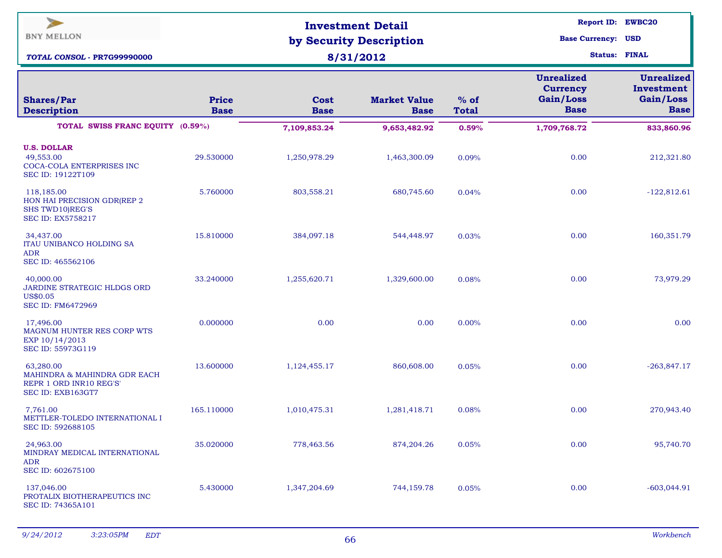| $\geq$<br><b>BNY MELLON</b><br>TOTAL CONSOL - PR7G99990000                                |                             |                            | <b>Investment Detail</b><br>by Security Description<br>8/31/2012 |                        | <b>Report ID: EWBC20</b><br><b>Base Currency: USD</b><br><b>Status: FINAL</b> |                                                             |  |  |
|-------------------------------------------------------------------------------------------|-----------------------------|----------------------------|------------------------------------------------------------------|------------------------|-------------------------------------------------------------------------------|-------------------------------------------------------------|--|--|
| <b>Shares/Par</b><br><b>Description</b>                                                   | <b>Price</b><br><b>Base</b> | <b>Cost</b><br><b>Base</b> | <b>Market Value</b><br><b>Base</b>                               | $%$ of<br><b>Total</b> | <b>Unrealized</b><br><b>Currency</b><br>Gain/Loss<br><b>Base</b>              | <b>Unrealized</b><br>Investment<br>Gain/Loss<br><b>Base</b> |  |  |
| TOTAL SWISS FRANC EQUITY (0.59%)                                                          |                             | 7,109,853.24               | 9,653,482.92                                                     | 0.59%                  | 1,709,768.72                                                                  | 833,860.96                                                  |  |  |
| <b>U.S. DOLLAR</b><br>49,553.00<br>COCA-COLA ENTERPRISES INC<br>SEC ID: 19122T109         | 29.530000                   | 1,250,978.29               | 1,463,300.09                                                     | 0.09%                  | 0.00                                                                          | 212,321.80                                                  |  |  |
| 118,185.00<br>HON HAI PRECISION GDR(REP 2<br>SHS TWD10)REG'S<br><b>SEC ID: EX5758217</b>  | 5.760000                    | 803,558.21                 | 680,745.60                                                       | 0.04%                  | 0.00                                                                          | $-122,812.61$                                               |  |  |
| 34,437.00<br>ITAU UNIBANCO HOLDING SA<br><b>ADR</b><br>SEC ID: 465562106                  | 15.810000                   | 384,097.18                 | 544,448.97                                                       | 0.03%                  | 0.00                                                                          | 160,351.79                                                  |  |  |
| 40,000.00<br>JARDINE STRATEGIC HLDGS ORD<br>US\$0.05<br><b>SEC ID: FM6472969</b>          | 33.240000                   | 1,255,620.71               | 1,329,600.00                                                     | 0.08%                  | 0.00                                                                          | 73,979.29                                                   |  |  |
| 17,496.00<br>MAGNUM HUNTER RES CORP WTS<br>EXP 10/14/2013<br>SEC ID: 55973G119            | 0.000000                    | 0.00                       | 0.00                                                             | 0.00%                  | 0.00                                                                          | 0.00                                                        |  |  |
| 63,280.00<br>MAHINDRA & MAHINDRA GDR EACH<br>REPR 1 ORD INR10 REG'S'<br>SEC ID: EXB163GT7 | 13.600000                   | 1,124,455.17               | 860,608.00                                                       | 0.05%                  | 0.00                                                                          | $-263,847.17$                                               |  |  |
| 7,761.00<br>METTLER-TOLEDO INTERNATIONAL I<br>SEC ID: 592688105                           | 165.110000                  | 1,010,475.31               | 1,281,418.71                                                     | 0.08%                  | 0.00                                                                          | 270,943.40                                                  |  |  |
| 24,963.00<br>MINDRAY MEDICAL INTERNATIONAL<br><b>ADR</b><br>SEC ID: 602675100             | 35.020000                   | 778,463.56                 | 874,204.26                                                       | 0.05%                  | 0.00                                                                          | 95,740.70                                                   |  |  |
| 137,046.00<br>PROTALIX BIOTHERAPEUTICS INC<br>SEC ID: 74365A101                           | 5.430000                    | 1,347,204.69               | 744,159.78                                                       | 0.05%                  | 0.00                                                                          | $-603,044.91$                                               |  |  |